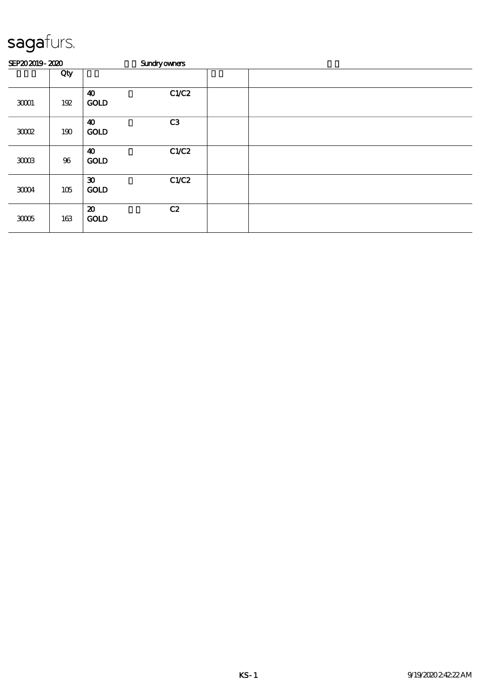| SEP202019-2020 |        |                                            | <b>Sundryowners</b> |  |  |
|----------------|--------|--------------------------------------------|---------------------|--|--|
|                | Qty    |                                            |                     |  |  |
| 30001          | 192    | $\boldsymbol{\omega}$<br><b>GOLD</b>       | C1/C2               |  |  |
| 3002           | 190    | $\boldsymbol{\omega}$<br><b>GOLD</b>       | C3                  |  |  |
| $3003$         | $96\,$ | 40<br><b>GOLD</b>                          | C1/C2               |  |  |
| $3004$         | 105    | $\boldsymbol{\mathfrak{D}}$<br><b>GOLD</b> | C1/C2               |  |  |
| 3005           | 163    | $\boldsymbol{\mathfrak{D}}$<br><b>GOLD</b> | C2                  |  |  |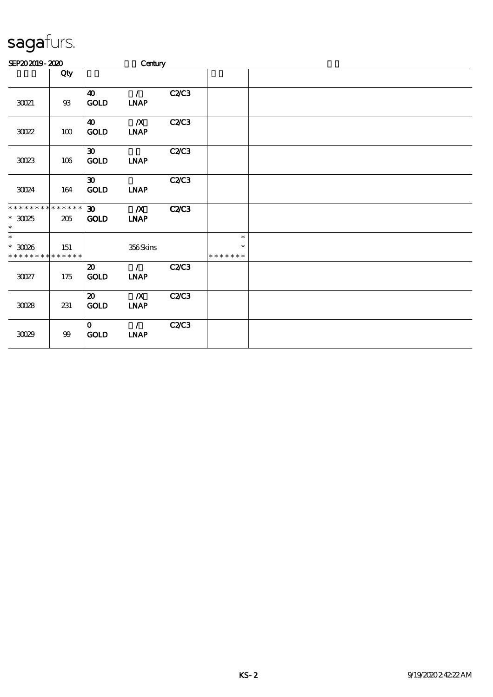| SEP202019-2020                                                       |        |                                                   | Century                                       |              |                                   |  |  |  |  |  |
|----------------------------------------------------------------------|--------|---------------------------------------------------|-----------------------------------------------|--------------|-----------------------------------|--|--|--|--|--|
|                                                                      | Qty    |                                                   |                                               |              |                                   |  |  |  |  |  |
| 3021                                                                 | $93\,$ | $\boldsymbol{\omega}$<br><b>GOLD</b>              | $\mathcal{L}$<br><b>INAP</b>                  | C2C3         |                                   |  |  |  |  |  |
| $3022$                                                               | 100    | $\boldsymbol{\omega}$<br><b>GOLD</b>              | $\boldsymbol{X}$<br><b>INAP</b>               | C2C3         |                                   |  |  |  |  |  |
| $3023$                                                               | 106    | $\boldsymbol{\mathfrak{D}}$<br>$\mathop{\rm GOD}$ | $\ensuremath{\mathbf{INAP}}$                  | C2C3         |                                   |  |  |  |  |  |
| 30024                                                                | 164    | $\boldsymbol{\mathfrak{D}}$<br>GOLD               | <b>INAP</b>                                   | C2C3         |                                   |  |  |  |  |  |
| * * * * * * * * * * * * * *<br>$^\ast$ 30025<br>$\ast$               | 205    | $\boldsymbol{\mathfrak{D}}$<br><b>GOLD</b>        | $\boldsymbol{X}$<br><b>INAP</b>               | <b>C2/C3</b> |                                   |  |  |  |  |  |
| $\overline{\phantom{0}}$<br>$*$ 30026<br>* * * * * * * * * * * * * * | 151    |                                                   | 356Skins                                      |              | $\ast$<br>$\ast$<br>* * * * * * * |  |  |  |  |  |
| $3027$                                                               | 175    | $\boldsymbol{\mathfrak{D}}$<br>GOLD               | $\mathcal{L}$<br>$\ensuremath{\text{INAP}}$   | C2C3         |                                   |  |  |  |  |  |
| $30\!\!\!\!/28$                                                      | 231    | $\boldsymbol{\mathfrak{D}}$<br><b>GOLD</b>        | $\boldsymbol{X}$<br>INAP                      | C2C3         |                                   |  |  |  |  |  |
| 3029                                                                 | 99     | $\mathbf{O}$<br><b>GOLD</b>                       | $\mathcal{L}$<br>$\ensuremath{\mathbf{INAP}}$ | C2C3         |                                   |  |  |  |  |  |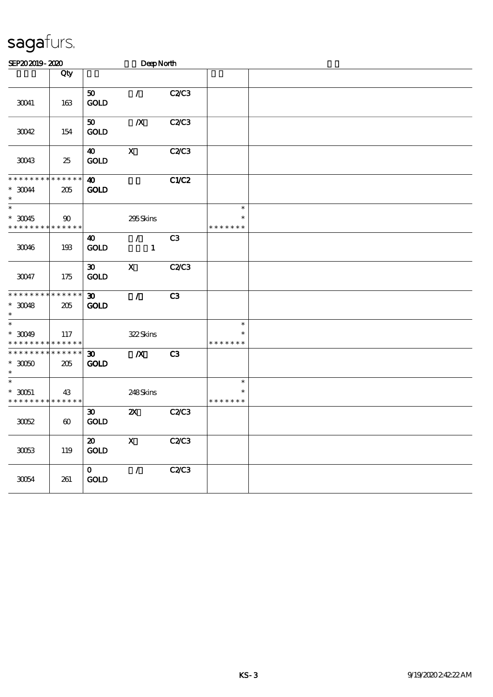| SEP202019-2020                                             |                       |                                            | DeepNorth                     |                |                                   |  |  |  |
|------------------------------------------------------------|-----------------------|--------------------------------------------|-------------------------------|----------------|-----------------------------------|--|--|--|
|                                                            | Qty                   |                                            |                               |                |                                   |  |  |  |
| 30041                                                      | 163                   | 50<br><b>GOLD</b>                          | $\mathcal{L}$                 | <b>C2/C3</b>   |                                   |  |  |  |
| 30042                                                      | 154                   | $\boldsymbol{\mathfrak{D}}$<br><b>GOLD</b> | $\boldsymbol{X}$              | <b>C2/C3</b>   |                                   |  |  |  |
| 30043                                                      | 25                    | $\boldsymbol{\omega}$<br><b>GOLD</b>       | $\boldsymbol{\mathsf{X}}$     | C2C3           |                                   |  |  |  |
| * * * * * * * * * * * * * *<br>$^*$ 30044 $\,$<br>$\ast$   | 205                   | $\boldsymbol{\omega}$<br><b>GOLD</b>       |                               | C1/C2          |                                   |  |  |  |
| $\ast$<br>$^*$ 30045 $\,$<br>* * * * * * * * * * * * * *   | 90                    |                                            | 295Skins                      |                | $\ast$<br>$\ast$<br>* * * * * * * |  |  |  |
| 30046                                                      | 193                   | $\boldsymbol{\omega}$<br><b>GOLD</b>       | $\mathcal{L}$<br>$\mathbf{1}$ | C <sub>3</sub> |                                   |  |  |  |
| $30047\,$                                                  | 175                   | $\boldsymbol{\mathfrak{D}}$<br><b>GOLD</b> | $\mathbf X$                   | <b>C2/C3</b>   |                                   |  |  |  |
| * * * * * * * * * * * * * *<br>$*$ 30048<br>$\ast$         | 205                   | $\boldsymbol{\mathfrak{D}}$<br><b>GOLD</b> | $\mathcal{L}$                 | C <sub>3</sub> |                                   |  |  |  |
| $\overline{\phantom{a}^*}$<br>$*$ 30049<br>* * * * * * * * | 117<br>* * * * * *    |                                            | 322Skins                      |                | $\ast$<br>$\ast$<br>* * * * * * * |  |  |  |
| * * * * * * * * * * * * * *<br>$*3050$<br>$\ast$           | 205                   | $\boldsymbol{\mathfrak{D}}$<br><b>GOLD</b> | $\pmb{X}$                     | C <sub>3</sub> |                                   |  |  |  |
| $\ast$<br>$*$ 30051<br>* * * * * * * * * * * * * *         | 43                    |                                            | 248Skins                      |                | $\ast$<br>$\ast$<br>* * * * * * * |  |  |  |
| 30052                                                      | $\boldsymbol{\omega}$ | $\boldsymbol{\mathfrak{D}}$<br><b>GOLD</b> | $\boldsymbol{\mathsf{z}}$     | C2C3           |                                   |  |  |  |
| $3003\,$                                                   | 119                   | $\boldsymbol{\mathsf{20}}$<br>GOD          | $\mathbf X$                   | C2C3           |                                   |  |  |  |
| $3004\,$                                                   | 261                   | $\mathbf{o}$<br>$\mathop{\rm GOD}$         | $\mathcal{L}$                 | C2C3           |                                   |  |  |  |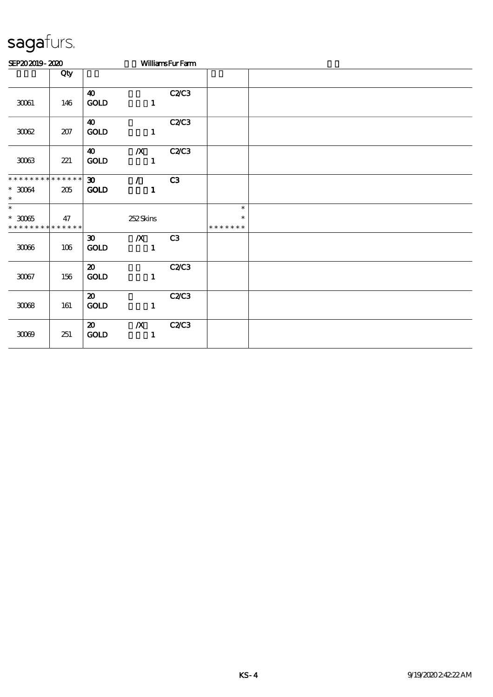| SEP202019-2020                                         |     |                                            |                                  | <b>WilliamsFurFam</b> |                                   |  |  |  |  |
|--------------------------------------------------------|-----|--------------------------------------------|----------------------------------|-----------------------|-----------------------------------|--|--|--|--|
|                                                        | Qty |                                            |                                  |                       |                                   |  |  |  |  |
| $30001$                                                | 146 | $\boldsymbol{\omega}$<br>GOLD              | $\mathbf{1}$                     | C2C3                  |                                   |  |  |  |  |
| $3002\,$                                               | 207 | $\boldsymbol{40}$<br><b>GOLD</b>           | $\mathbf{1}$                     | C2C3                  |                                   |  |  |  |  |
| $3003\,$                                               | 221 | $\boldsymbol{\omega}$<br><b>GOLD</b>       | $\boldsymbol{X}$<br>$\mathbf{1}$ | C2C3                  |                                   |  |  |  |  |
| * * * * * * * * * * * * * *<br>$^\ast$ 30064<br>$\ast$ | 205 | $\infty$<br><b>GOLD</b>                    | $\mathcal{L}$<br>$\mathbf{1}$    | C3                    |                                   |  |  |  |  |
| $\ast$<br>$^\ast$ 30065<br>* * * * * * * * * * * * * * | 47  |                                            | 252Skins                         |                       | $\ast$<br>$\ast$<br>* * * * * * * |  |  |  |  |
| $3006\,$                                               | 106 | $\boldsymbol{\mathfrak{D}}$<br><b>GOLD</b> | $\boldsymbol{X}$<br>$\mathbf{1}$ | C3                    |                                   |  |  |  |  |
| $300\%$                                                | 156 | $\boldsymbol{\mathfrak{D}}$<br><b>GOLD</b> | $\mathbf{1}$                     | C2C3                  |                                   |  |  |  |  |
| $3008\,$                                               | 161 | $\boldsymbol{\mathfrak{D}}$<br>GOLD        | $\mathbf{1}$                     | C2C3                  |                                   |  |  |  |  |
| 3009                                                   | 251 | $\boldsymbol{\omega}$<br><b>GOLD</b>       | $\boldsymbol{X}$<br>$\mathbf{1}$ | C2C3                  |                                   |  |  |  |  |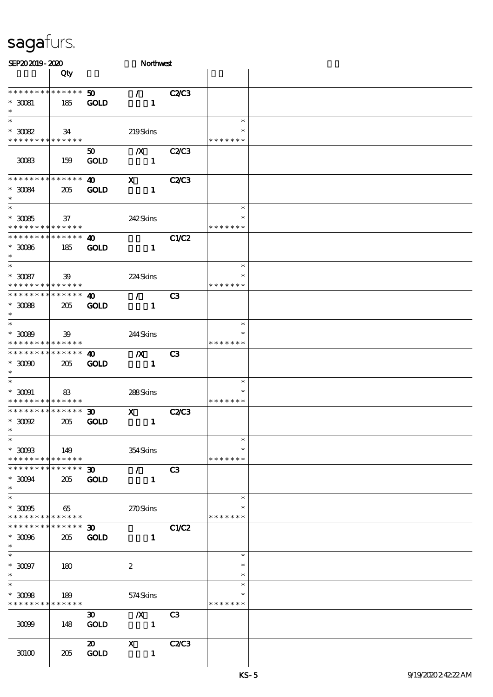| SEP202019-2020                                                                     |                        |                                            | Northwest                                 |                |                                   |  |
|------------------------------------------------------------------------------------|------------------------|--------------------------------------------|-------------------------------------------|----------------|-----------------------------------|--|
|                                                                                    | Qty                    |                                            |                                           |                |                                   |  |
| * * * * * * * *<br>$^\ast$ 30081<br>$\ast$                                         | ******<br>185          | 50 <sub>o</sub><br><b>GOLD</b>             | $\mathcal{L}$<br>$\mathbf{1}$             | <b>C2/C3</b>   |                                   |  |
| $\ast$<br>$^\ast$ 30082<br>* * * * * * * * * * * * * *                             | 34                     |                                            | 219Skins                                  |                | $\ast$<br>$\ast$<br>* * * * * * * |  |
| 30083                                                                              | 159                    | $50^{\circ}$<br><b>GOLD</b>                | $\boldsymbol{X}$<br>$\mathbf{1}$          | <b>C2/C3</b>   |                                   |  |
| * * * * * * * *<br>$^\ast$ 30084<br>$\ast$                                         | ******<br>205          | $\boldsymbol{\omega}$<br><b>GOLD</b>       | $\boldsymbol{\mathrm{X}}$<br>$\mathbf{1}$ | <b>C2/C3</b>   |                                   |  |
| $\overline{\ast}$<br>$^\ast$ 30085<br>* * * * * * * * * * * * * *                  | 37                     |                                            | 242Skins                                  |                | $\ast$<br>$\ast$<br>* * * * * * * |  |
| * * * * * * * * * * * * * *<br>$^\ast$ 30066<br>$\ast$                             | 185                    | 40<br><b>GOLD</b>                          | $\mathbf{1}$                              | <b>C1/C2</b>   |                                   |  |
| $\overline{\ast}$<br>$^\ast$ 30087<br>* * * * * * * * * * * * * *                  | 39                     |                                            | 224Skins                                  |                | $\ast$<br>$\ast$<br>* * * * * * * |  |
| * * * * * * * * * * * * * *<br>$^\ast$ 30088<br>$\ast$<br>$\overline{\phantom{0}}$ | 205                    | $\boldsymbol{\omega}$<br><b>GOLD</b>       | $\mathcal{L}$<br>$\mathbf{1}$             | C3             |                                   |  |
| $*3089$<br>* * * * * * * * * * * * * *<br>* * * * * * * * * * * * * *              | 39                     |                                            | 244Skins                                  |                | $\ast$<br>* * * * * * *           |  |
| $*$ 30000<br>$\ast$<br>$\ast$                                                      | 205                    | 40<br><b>GOLD</b>                          | $\boldsymbol{X}$<br>$\mathbf{1}$          | C <sub>3</sub> | $\ast$                            |  |
| $^\ast$ 30091<br>* * * * * * * * * * * * * *                                       | 83                     |                                            | 288Skins                                  |                | * * * * * * *                     |  |
| * * * * * * * * * * * * * *<br>$*$ 30092<br>$*$                                    | 205                    | $\boldsymbol{\mathfrak{D}}$<br><b>GOLD</b> | $\mathbf{x}$<br>$\mathbf{1}$              | <b>C2/C3</b>   |                                   |  |
| $\ast$<br>$^\ast$ 3008<br>* * * * * * * * * * * * * * *                            | 149                    |                                            | 354Skins                                  |                | $\ast$<br>$\ast$<br>* * * * * * * |  |
| * * * * * * * *<br>$^\ast$ 30094<br>$\ast$<br>$\overline{\ast}$                    | * * * * * *<br>205     | $\boldsymbol{\mathfrak{D}}$<br><b>GOLD</b> | $\mathcal{L}$<br>$\mathbf{1}$             | C3             |                                   |  |
| $*3005$<br>* * * * * * * * * * * * * *                                             | 65                     |                                            | 270Skins                                  |                | $\ast$<br>* * * * * * *           |  |
| * * * * * * * *<br>$*$ 30066<br>$\ast$                                             | $* * * * * * *$<br>205 | $\boldsymbol{\mathfrak{D}}$<br><b>GOLD</b> | $\mathbf{1}$                              | <b>C1/C2</b>   |                                   |  |
| $\ast$<br>$^\ast$ 30097<br>$\ast$<br>$\overline{\ast}$                             | 180                    |                                            | $\boldsymbol{2}$                          |                | $\ast$<br>$\ast$<br>$\ast$        |  |
| $\hspace{0.1cm}^*$ 3008<br>* * * * * * * * <mark>* * * * * *</mark>                | 189                    |                                            | 574Skins                                  |                | $\ast$<br>* * * * * * *           |  |
| 3009                                                                               | 148                    | $\boldsymbol{\mathfrak{D}}$<br><b>GOLD</b> | $\boldsymbol{X}$<br>$\mathbf{1}$          | C <sub>3</sub> |                                   |  |
| 30100                                                                              | 205                    | $\boldsymbol{\omega}$<br><b>GOLD</b>       | $\mathbf{X}$<br>$\mathbf{1}$              | <b>C2/C3</b>   |                                   |  |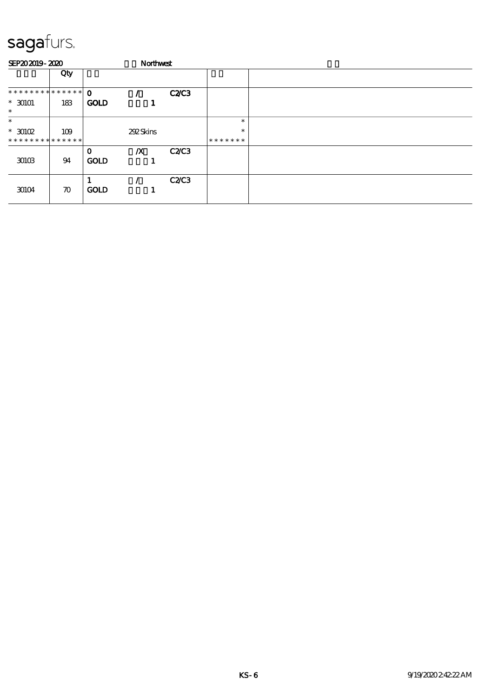| SEP202019-2020      |                    |                            | Northwest        |              |         |  |
|---------------------|--------------------|----------------------------|------------------|--------------|---------|--|
|                     | Qty                |                            |                  |              |         |  |
| *************** 0   |                    |                            |                  | <b>C2C3</b>  |         |  |
| $* 30101$<br>$\ast$ | 183                | <b>GOLD</b>                |                  |              |         |  |
| $\ast$              |                    |                            |                  |              | $\ast$  |  |
| $*$ 30102           | 109                |                            | 292Skins         |              | $\ast$  |  |
| **************      |                    |                            |                  |              | ******* |  |
| 30103               | 94                 | $\mathbf 0$<br><b>GOLD</b> | $\boldsymbol{X}$ | <b>C2/C3</b> |         |  |
| 30104               | $\boldsymbol{\pi}$ | <b>GOLD</b>                |                  | C2C3         |         |  |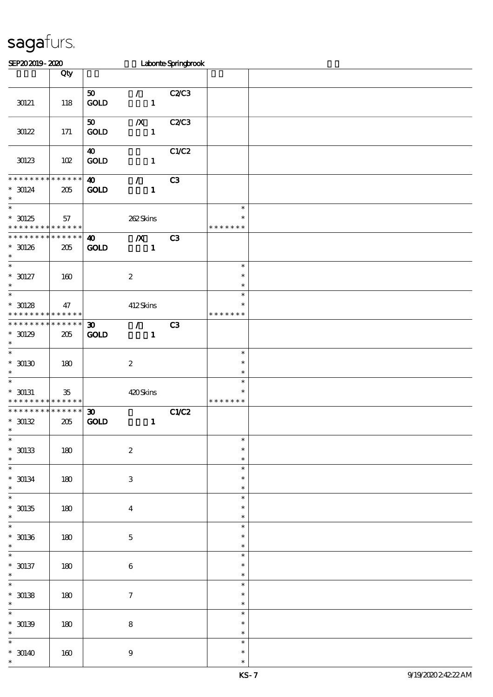| SEP202019-2020                                                    |              |                                             |                                             | Laborte Springbrook |                                   |  |
|-------------------------------------------------------------------|--------------|---------------------------------------------|---------------------------------------------|---------------------|-----------------------------------|--|
|                                                                   | Qty          |                                             |                                             |                     |                                   |  |
|                                                                   |              |                                             |                                             |                     |                                   |  |
| 30121                                                             | 118          | $\boldsymbol{\mathfrak{D}}$<br>GOLD         | $\mathcal{L}$<br>$\mathbf{1}$               | C2C3                |                                   |  |
| $30122$                                                           | 171          | 50<br>$\mathbf{GOLD}$                       | $\boldsymbol{X}$<br>$\mathbf{1}$            | <b>C2/C3</b>        |                                   |  |
| 30123                                                             | 102          | $\boldsymbol{\omega}$<br>$\mathop{\rm GOD}$ | $\mathbf{1}$                                | C1/C2               |                                   |  |
| * * * * * * * * * * * * * *<br>$* 30124$<br>$\ast$                | 205          | $\boldsymbol{\omega}$<br><b>GOLD</b>        | $\mathcal{T}$<br>$\mathbf{1}$               | C3                  |                                   |  |
| $\ast$<br>$*30125$<br>* * * * * * * * <mark>* * * * * * *</mark>  | 57           |                                             | 262Skins                                    |                     | $\ast$<br>$\ast$<br>* * * * * * * |  |
| * * * * * * * * * * * * * *<br>$*30126$<br>$\ast$                 | 205          | $\boldsymbol{\omega}$<br><b>GOLD</b>        | $\boldsymbol{X}$<br>$\mathbf{1}$            | C3                  |                                   |  |
| $\overline{\phantom{a}^*}$<br>$^*$ 30127<br>$\ast$                | 160          |                                             | $\boldsymbol{2}$                            |                     | $\ast$<br>$\ast$<br>$\ast$        |  |
| $\overline{\ast}$<br>$^*$ 30128 $\,$<br>* * * * * * * *           | 47<br>****** |                                             | 412Skins                                    |                     | $\ast$<br>$\ast$<br>* * * * * * * |  |
| * * * * * * * * * * * * * *<br>$*30129$<br>$\ast$                 | 205          | $\boldsymbol{\mathfrak{D}}$<br><b>GOLD</b>  | $\mathcal{T}^{\mathcal{A}}$<br>$\mathbf{1}$ | C3                  |                                   |  |
| $\overline{\ast}$<br>$^*$ 30130 $\,$<br>$\ast$                    | 180          |                                             | $\boldsymbol{2}$                            |                     | $\ast$<br>$\ast$<br>$\ast$        |  |
| $\ast$<br>$*$ 30131<br>* * * * * * * * <mark>* * * * * * *</mark> | $35\,$       |                                             | 420Skins                                    |                     | $\ast$<br>$\ast$<br>* * * * * * * |  |
| * * * * * * * * * * * * * * *<br>$*30132$                         | 205          | $\boldsymbol{\mathfrak{D}}$<br><b>GOLD</b>  | $\mathbf{1}$                                | C1/C2               |                                   |  |
| $\ast$<br>$^\ast$ 30133<br>$\ast$                                 | 180          |                                             | $\boldsymbol{2}$                            |                     | $\ast$<br>$\ast$<br>$\ast$        |  |
| $\overline{\phantom{0}}$<br>$^*$ 30134 $\,$<br>$\ast$             | $180\,$      |                                             | $\ensuremath{\mathsf{3}}$                   |                     | $\ast$<br>$\ast$<br>$\ast$        |  |
| $\overline{\ast}$<br>$^\ast$ 30135<br>$\ast$                      | 180          |                                             | $\overline{\mathbf{4}}$                     |                     | $\ast$<br>$\ast$<br>$\ast$        |  |
| $\frac{1}{\ast}$<br>$^\ast$ 30136<br>$\ast$                       | 180          |                                             | $\mathbf 5$                                 |                     | $\ast$<br>$\ast$<br>$\ast$        |  |
| $\overline{\phantom{0}}$<br>$* 30137$<br>$\ast$                   | 180          |                                             | $\boldsymbol{6}$                            |                     | $\ast$<br>$\ast$<br>$\ast$        |  |
| $\overline{\ast}$<br>$^*$ 30138 $\,$<br>$\ast$                    | 180          |                                             | $\boldsymbol{\tau}$                         |                     | $\ast$<br>$\ast$<br>$\ast$        |  |
| $\overline{\phantom{0}}$<br>$* 30139$<br>$\ast$                   | 180          |                                             | $\bf8$                                      |                     | $\ast$<br>$\ast$<br>$\ast$        |  |
| $\ast$<br>$* 30140$<br>$\ast$                                     | 160          |                                             | $\boldsymbol{9}$                            |                     | $\ast$<br>$\ast$<br>$\ast$        |  |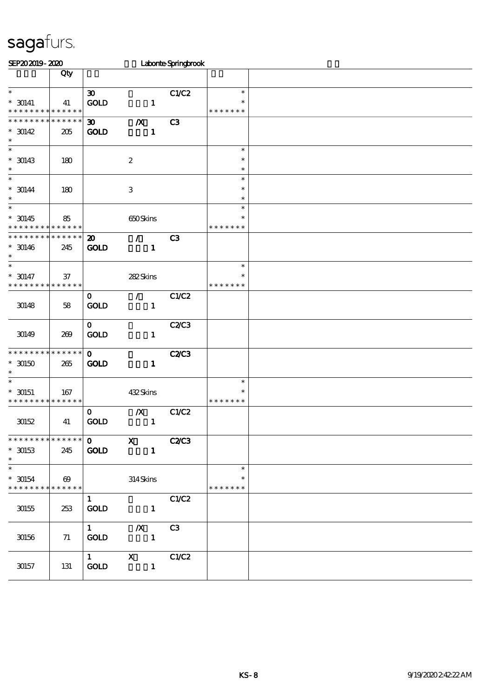| SEP202019-2020                                               |                                      |                                          |                                           | Laborte Springbrook |                                   |  |
|--------------------------------------------------------------|--------------------------------------|------------------------------------------|-------------------------------------------|---------------------|-----------------------------------|--|
|                                                              | Qty                                  |                                          |                                           |                     |                                   |  |
| $\ast$<br>$* 30141$<br>* * * * * * * *                       | 41<br>* * * * * *                    | $\boldsymbol{\infty}$<br>GOLD            | $\mathbf{1}$                              | C1/C2               | $\ast$<br>$\ast$<br>* * * * * * * |  |
| * * * * * * *<br>$* 30142$<br>$\ast$                         | * * * * * *<br>205                   | $\boldsymbol{\mathfrak{D}}$<br>GOLD      | $\boldsymbol{X}$<br>$\mathbf{1}$          | C3                  |                                   |  |
| $\ast$<br>$*$ 30143<br>$\ast$                                | 180                                  |                                          | $\boldsymbol{2}$                          |                     | $\ast$<br>$\ast$<br>$\ast$        |  |
| $\ast$<br>$* 30144$<br>$\ast$<br>$\ast$                      | 180                                  |                                          | $\,3\,$                                   |                     | $\ast$<br>$\ast$<br>$\ast$        |  |
| $* 30145$<br>* * * * * * * *                                 | 85<br>* * * * * *                    |                                          | 650Skins                                  |                     | $\ast$<br>$\ast$<br>* * * * * * * |  |
| * * * * * * * *<br>$* 30146$<br>$\ast$                       | * * * * * *<br>245                   | $\boldsymbol{\mathbf{z}}$<br><b>GOLD</b> | $\mathcal{L}$<br>$\mathbf{1}$             | C3                  |                                   |  |
| $\overline{\ast}$<br>$* 30147$<br>* * * * * * * *            | $37\,$<br>* * * * * *                |                                          | 282Skins                                  |                     | $\ast$<br>$\ast$<br>* * * * * * * |  |
| 30148                                                        | 58                                   | $\mathbf 0$<br>$\rm GOID$                | $\mathcal{T}$<br>$\mathbf{1}$             | C1/C2               |                                   |  |
| 30149                                                        | 269                                  | $\mathbf{o}$<br>GOLD                     | $\mathbf{1}$                              | C2C3                |                                   |  |
| * * * * * * * *<br>$^*$ 30150 $\,$<br>$\ast$                 | * * * * * *<br>265                   | $\mathbf{o}$<br>GOLD                     | $\mathbf{1}$                              | <b>C2/C3</b>        |                                   |  |
| $\ast$<br>$*$ 30151<br>* * * * * * * *                       | 167<br>* * * * * *                   |                                          | 432Skins                                  |                     | $\ast$<br>$\ast$<br>* * * * * * * |  |
| $30152$                                                      | 41                                   | $\mathbf 0$<br>$\mathop{\rm GOD}$        | $\boldsymbol{X}$<br>$\mathbf{1}$          | C1/C2               |                                   |  |
| * * * *<br>$*$ 30153<br>$\ast$                               | * * * * * *<br>245                   | $\mathbf 0$<br>GOLD                      | $\boldsymbol{\mathrm{X}}$<br>$\mathbf{1}$ | <b>C2/C3</b>        |                                   |  |
| $\overline{\phantom{0}}$<br>$^*$ 30154 $\,$<br>* * * * * * * | $\boldsymbol{\omega}$<br>* * * * * * |                                          | 314Skins                                  |                     | $\ast$<br>$\ast$<br>* * * * * * * |  |
| $30\!55$                                                     | 253                                  | $\mathbf{1}$<br>GOLD                     | $\mathbf{1}$                              | C1/C2               |                                   |  |
| $30156\,$                                                    | 71                                   | $1 -$<br><b>GOLD</b>                     | $\boldsymbol{X}$<br>$\mathbf{1}$          | C <sub>3</sub>      |                                   |  |
| $30\!\!157$                                                  | 131                                  | $1 -$<br>$\mathop{\rm GOD}$              | $\boldsymbol{\mathrm{X}}$<br>$\mathbf{1}$ | C1/C2               |                                   |  |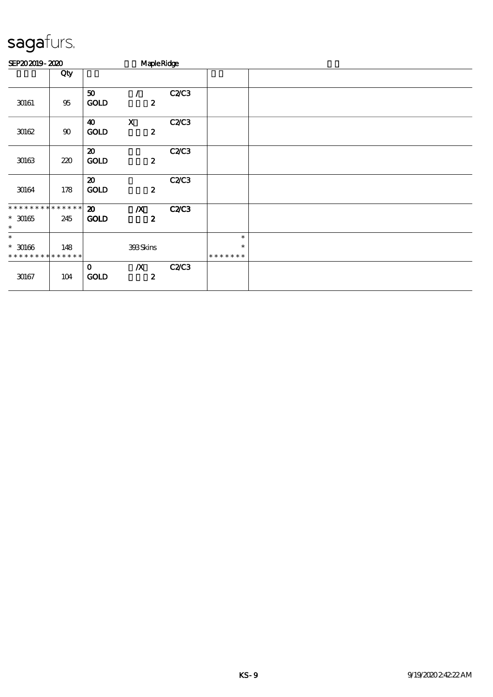| SEP202019-2020               |                    |                                            | <b>Maple Ridge</b>                            |              |                         |  |
|------------------------------|--------------------|--------------------------------------------|-----------------------------------------------|--------------|-------------------------|--|
|                              | Qty                |                                            |                                               |              |                         |  |
| 30161                        | $95\,$             | 50<br><b>GOLD</b>                          | $\prime$<br>$\boldsymbol{z}$                  | C2C3         |                         |  |
| 30162                        | $90\,$             | $\boldsymbol{\omega}$<br><b>GOLD</b>       | $\boldsymbol{\mathrm{X}}$<br>$\boldsymbol{z}$ | <b>C2/C3</b> |                         |  |
| $30\!\!\!\!\!\cdot\!\!63$    | 220                | $\boldsymbol{\mathfrak{D}}$<br><b>GOLD</b> | $\boldsymbol{z}$                              | C2C3         |                         |  |
| 30164                        | 178                | $\boldsymbol{\mathsf{20}}$<br><b>GOLD</b>  | $\boldsymbol{z}$                              | C2C3         |                         |  |
| * * * * * * * * * * * * * *  |                    | $\boldsymbol{\mathfrak{D}}$                | $\boldsymbol{X}$                              | <b>C2/C3</b> |                         |  |
| $^\ast$ 30165<br>$\ast$      | 245                | <b>GOLD</b>                                | $\boldsymbol{z}$                              |              |                         |  |
| $\ast$                       |                    |                                            |                                               |              | $\ast$                  |  |
| $*$ 30166<br>* * * * * * * * | 148<br>* * * * * * |                                            | 393Skins                                      |              | $\ast$<br>* * * * * * * |  |
| 30167                        | 104                | $\mathbf 0$<br><b>GOLD</b>                 | $\boldsymbol{X}$<br>$\boldsymbol{z}$          | C2C3         |                         |  |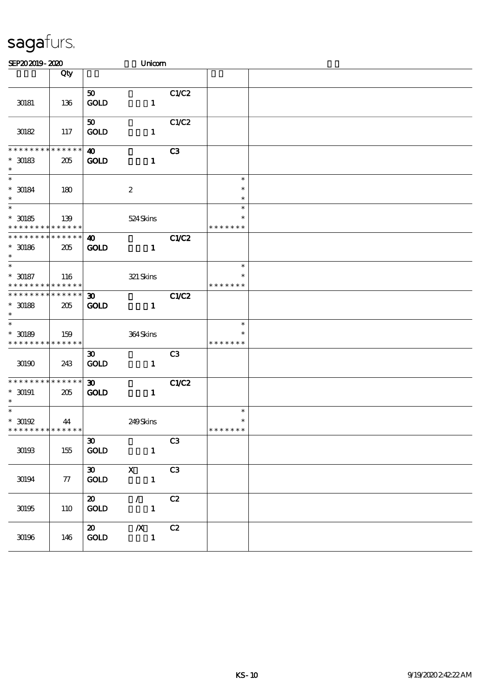| SEP202019-2020                                                        |                   |                                                        | Unicom                                    |                |                                   |  |
|-----------------------------------------------------------------------|-------------------|--------------------------------------------------------|-------------------------------------------|----------------|-----------------------------------|--|
|                                                                       | Qty               |                                                        |                                           |                |                                   |  |
| 30181                                                                 | 136               | 50 <sub>o</sub><br><b>GOLD</b>                         | $\mathbf{1}$                              | C1/C2          |                                   |  |
| 30182                                                                 | 117               | 50<br><b>GOLD</b>                                      | $\mathbf{1}$                              | C1/C2          |                                   |  |
| * * * * * * * * * * * * * *<br>$^*$ 30183 $\,$<br>$\ast$              | 205               | $\boldsymbol{\omega}$<br><b>GOLD</b>                   | $\mathbf{1}$                              | C3             |                                   |  |
| $\ast$<br>$^\ast$ 30184<br>$\ast$                                     | 180               |                                                        | $\boldsymbol{2}$                          |                | $\ast$<br>$\ast$<br>$\ast$        |  |
| $\ast$<br>$^*$ 30185 $\,$<br>* * * * * * * * <mark>* * * * * *</mark> | 139               |                                                        | 524Skins                                  |                | $\ast$<br>$\ast$<br>* * * * * * * |  |
| * * * * * * * * * * * * * *<br>$^*$ 30186 $\,$<br>$\ast$              | 205               | $\boldsymbol{\omega}$<br><b>GOLD</b>                   | $\mathbf{1}$                              | C1/C2          |                                   |  |
| $\overline{\ast}$<br>$^\ast$ 30187<br>* * * * * * * * * * * * * *     | 116               |                                                        | 321 Skins                                 |                | $\ast$<br>$\ast$<br>* * * * * * * |  |
| * * * * * * * * * * * * * *<br>$^\ast$ 30188<br>$\ast$                | 205               | $\boldsymbol{\mathfrak{D}}$<br><b>GOLD</b>             | $\mathbf{1}$                              | C1/C2          |                                   |  |
| $\ast$<br>$^*$ 30189 $\,$<br>* * * * * * * * * * * * * *              | 159               |                                                        | 364Skins                                  |                | $\ast$<br>$\ast$<br>* * * * * * * |  |
| 30190                                                                 | 243               | $\boldsymbol{\mathfrak{D}}$<br>GOLD                    | $\mathbf{1}$                              | C <sub>3</sub> |                                   |  |
| * * * * * * * * * * * * * *<br>$^*$ 30191 $\,$<br>$\ast$              | 205               | 30 <sub>o</sub><br><b>GOLD</b>                         | $\mathbf{1}$                              | C1/C2          |                                   |  |
| $\ast$<br>$*$ 30192<br>* * * * * * * *                                | 44<br>* * * * * * |                                                        | 249Skins                                  |                | $\ast$<br>$\ast$<br>* * * * * * * |  |
| $30\!\!.03$                                                           | 155               | $\boldsymbol{\mathfrak{D}}$<br>$\mathop{\mathrm{GOD}}$ | $\mathbf{I}$                              | C3             |                                   |  |
| 30194                                                                 | 77                | $\boldsymbol{\mathfrak{D}}$<br>$\mathop{\rm GOD}$      | $\boldsymbol{\mathsf{X}}$<br>$\mathbf{1}$ | C3             |                                   |  |
| $30\!\!.05$                                                           | 110               | $\boldsymbol{\mathfrak{D}}$<br>GOD                     | $\mathcal{L}$<br>$\mathbf{1}$             | C2             |                                   |  |
| $30\!\!\!\!\!\cdot\!\!30$                                             | 146               | $\boldsymbol{\mathfrak{D}}$<br>GOLD                    | $\boldsymbol{X}$<br>$\mathbf{1}$          | C2             |                                   |  |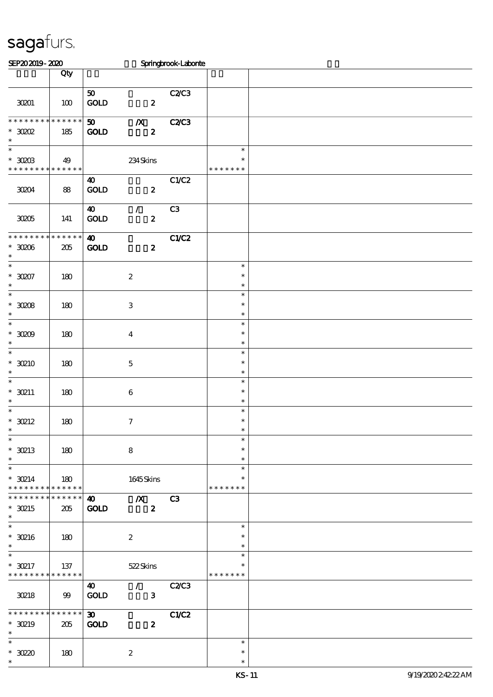| SEP202019-2020                                                              |                |                                      |                                       | Springbrook-Laborie |                                   |  |
|-----------------------------------------------------------------------------|----------------|--------------------------------------|---------------------------------------|---------------------|-----------------------------------|--|
|                                                                             | Qty            |                                      |                                       |                     |                                   |  |
| 30201                                                                       | 100            | 50<br>GOLD                           | $\overline{\mathbf{2}}$               | C2/C3               |                                   |  |
| * * * * * * * * * * * * * *<br>$*30002$<br>$\ast$                           | 185            | 50<br>GOLD                           | $\boldsymbol{X}$<br>$\boldsymbol{z}$  | <b>C2C3</b>         |                                   |  |
| $\overline{\phantom{0}}$<br>$*$ 30203<br>* * * * * * * * * * * * * *        | 49             |                                      | 234Skins                              |                     | $\ast$<br>$\ast$<br>* * * * * * * |  |
| 30204                                                                       | 88             | $\boldsymbol{\omega}$<br>GOD         | $\boldsymbol{z}$                      | C1/C2               |                                   |  |
| 30205                                                                       | 141            | $\boldsymbol{\omega}$<br><b>GOLD</b> | $\mathcal{L}$<br>$\boldsymbol{z}$     | C3                  |                                   |  |
| * * * * * * * *<br>$*30006$<br>$\ast$<br>$\overline{\phantom{a}^*}$         | ******<br>205  | $\boldsymbol{\omega}$<br><b>GOLD</b> | $\boldsymbol{z}$                      | C1/C2               |                                   |  |
| $*3007$<br>$\ast$                                                           | 180            |                                      | $\boldsymbol{2}$                      |                     | $\ast$<br>$\ast$<br>$\ast$        |  |
| $\overline{\phantom{a}}$<br>$*3008$<br>$\ast$<br>$\overline{\phantom{a}^*}$ | 180            |                                      | $\ensuremath{\mathbf{3}}$             |                     | $\ast$<br>$\ast$<br>$\ast$        |  |
| $^\ast$ 3009<br>$\ast$                                                      | 180            |                                      | $\bf{4}$                              |                     | $\ast$<br>$\ast$<br>$\ast$        |  |
| $\overline{\phantom{0}}$<br>$*30210$<br>$\ast$                              | 180            |                                      | $\mathbf 5$                           |                     | $\ast$<br>$\ast$<br>$\ast$        |  |
| $\ast$<br>$*$ 30211<br>$\ast$                                               | 180            |                                      | 6                                     |                     | $\ast$<br>$\ast$<br>$\ast$        |  |
| $\ast$<br>$*$ 30212<br>$\ast$                                               | 180            |                                      | $\boldsymbol{7}$                      |                     | $\ast$<br>$\ast$                  |  |
| $\overline{\phantom{a}}$<br>$*$ 30213<br>$\ast$                             | 180            |                                      | $\bf 8$                               |                     | $\ast$<br>$\ast$<br>$\ast$        |  |
| $\overline{\phantom{a}^*}$<br>$*$ 30214<br>* * * * * * * * * * * * * *      | 180            |                                      | 1645Skins                             |                     | $\ast$<br>$\ast$<br>* * * * * * * |  |
| * * * * * * * * * * * * * *<br>$*$ 30215<br>$\ast$                          | 205            | $\boldsymbol{\omega}$<br><b>GOLD</b> | $\overline{X}$ C3<br>$\boldsymbol{z}$ |                     |                                   |  |
| $\overline{\phantom{0}}$<br>$*$ 30216<br>$\ast$                             | 180            |                                      | $\boldsymbol{2}$                      |                     | $\ast$<br>$\ast$<br>$\ast$        |  |
| $\ast$<br>$*30217$<br>* * * * * * * * * * * * * * *                         | 137            |                                      | 522Skins                              |                     | $\ast$<br>$\ast$<br>* * * * * * * |  |
| 30218                                                                       | $\mathfrak{B}$ | $\boldsymbol{\omega}$<br>GOLD        | $\sqrt{2}$ C2/C3<br>$\mathbf{3}$      |                     |                                   |  |
| * * * * * * * * * * * * * *<br>$*$ 30219<br>$\ast$                          | 205            | 30 <sub>1</sub><br>GOLD              | $\boldsymbol{z}$                      | C1/C2               |                                   |  |
| $\ast$<br>$*3020$<br>$\ast$                                                 | 180            |                                      | $\boldsymbol{z}$                      |                     | $\ast$<br>$\ast$<br>$\ast$        |  |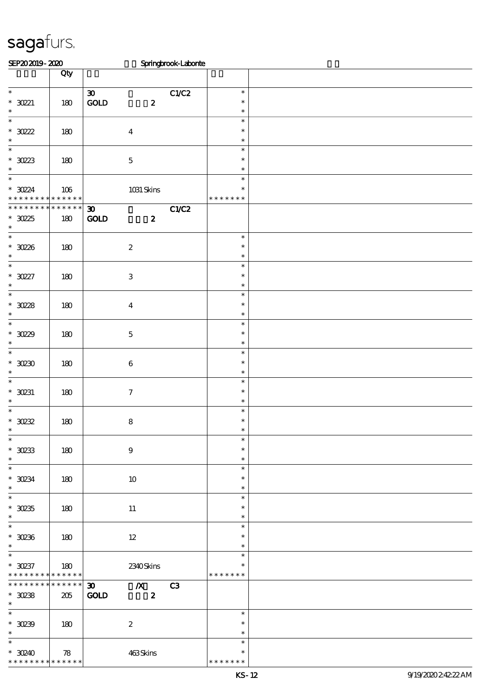| SEP202019-2020                                              |                    |                                                                                 | Springbrook-Laborie |                                   |  |
|-------------------------------------------------------------|--------------------|---------------------------------------------------------------------------------|---------------------|-----------------------------------|--|
|                                                             | Qty                |                                                                                 |                     |                                   |  |
| $\ast$<br>$*$ 30221<br>$\ast$                               | 180                | $\boldsymbol{\mathfrak{D}}$<br>$\mathop{\rm GOD}$<br>$\boldsymbol{z}$           | C1/C2               | $\ast$<br>$\ast$<br>$\ast$        |  |
| $\overline{\phantom{0}}$<br>$*30222$<br>$\ast$              | 180                | $\boldsymbol{4}$                                                                |                     | $\ast$<br>$\ast$<br>$\ast$        |  |
| $\overline{\ast}$<br>$*3023$<br>$\ast$                      | 180                | $\mathbf 5$                                                                     |                     | $\ast$<br>$\ast$<br>$\ast$        |  |
| $\ast$<br>$*$ 30224<br>* * *<br>* * * * *                   | 106<br>* * * * * * | 1031 Skins                                                                      |                     | $\ast$<br>$\ast$<br>* * * * * * * |  |
| * * * * * * * *<br>$*3025$<br>$\ast$                        | * * * * * *<br>180 | $\boldsymbol{\mathfrak{D}}$<br>GOLD<br>$\boldsymbol{z}$                         | C1/C2               |                                   |  |
| $\overline{\ast}$<br>$*30236$<br>$\ast$                     | 180                | $\boldsymbol{2}$                                                                |                     | $\ast$<br>$\ast$<br>$\ast$        |  |
| $\overline{\ast}$<br>$*3027$<br>$\ast$                      | 180                | $\ensuremath{\mathbf{3}}$                                                       |                     | $\ast$<br>$\ast$<br>$\ast$        |  |
| $_{*}^{-}$<br>$*3028$<br>$\ast$                             | 180                | $\boldsymbol{4}$                                                                |                     | $\ast$<br>$\ast$<br>$\ast$        |  |
| $\overline{\ast}$<br>$*3029$<br>$\ast$                      | 180                | $\mathbf 5$                                                                     |                     | $\ast$<br>$\ast$<br>$\ast$        |  |
| $\overline{\ast}$<br>$*30230$<br>$\ast$                     | 180                | $\boldsymbol{6}$                                                                |                     | $\ast$<br>$\ast$<br>$\ast$        |  |
| $_{*}$<br>$*$ 30231<br>$\ast$                               | 180                | $\tau$                                                                          |                     | $\ast$<br>$\ast$<br>$\ast$        |  |
| $\ast$<br>$*$ 30232<br>$\ast$<br>$\overline{\phantom{a}^*}$ | 180                | $\bf 8$                                                                         |                     | $\ast$<br>$\ast$<br>∗             |  |
| $*$ 30233<br>$\ast$                                         | 180                | $\boldsymbol{9}$                                                                |                     | $\ast$<br>$\ast$<br>$\ast$        |  |
| $\overline{\phantom{a}^*}$<br>$^*$ 30234 $\,$<br>$\ast$     | 180                | 10                                                                              |                     | $\ast$<br>$\ast$<br>$\ast$        |  |
| $\overline{\phantom{0}}$<br>$^\ast$ 30235<br>$\ast$         | 180                | $11\,$                                                                          |                     | $\ast$<br>$\ast$<br>$\ast$        |  |
| $\overline{\phantom{a}^*}$<br>$*$ 30236<br>$\ast$           | 180                | $12\,$                                                                          |                     | $\ast$<br>$\ast$<br>$\ast$        |  |
| $\overline{\phantom{0}}$<br>$* 30237$<br>* * * * * * * *    | 180<br>******      | 2340Skins                                                                       |                     | $\ast$<br>$\ast$<br>* * * * * * * |  |
| * * * * * * *<br>$*$ 30238<br>$\ast$                        | $******$<br>205    | $\boldsymbol{\mathfrak{D}}$<br>$\chi$ C3<br>$\mathbf{GOLD}$<br>$\boldsymbol{z}$ |                     |                                   |  |
| $\overline{\ast}$<br>$^*$ 30239<br>$\ast$                   | 180                | $\boldsymbol{z}$                                                                |                     | $\ast$<br>$\ast$<br>$\ast$        |  |
| $\overline{\phantom{0}}$<br>$*30240$<br>* * * * * * * *     | 78<br>* * * * * *  | 463Skins                                                                        |                     | $\ast$<br>$\ast$<br>* * * * * * * |  |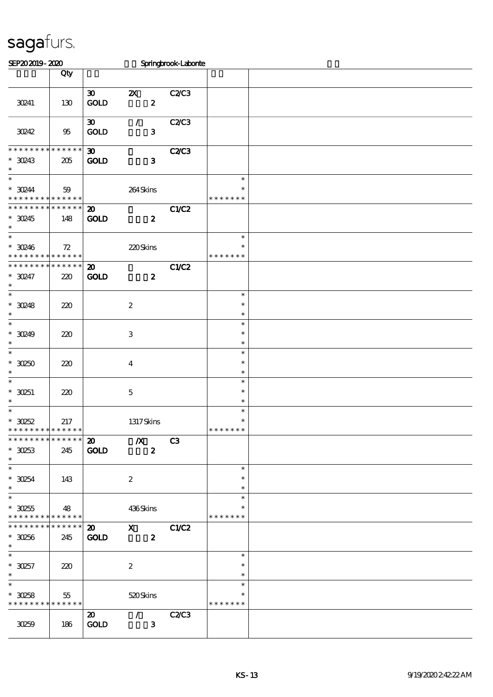| SEP202019-2020                                                |                    |                                                      |                                                 | Springbrook-Laborite |                                   |  |
|---------------------------------------------------------------|--------------------|------------------------------------------------------|-------------------------------------------------|----------------------|-----------------------------------|--|
|                                                               | Qty                |                                                      |                                                 |                      |                                   |  |
| 30241                                                         | 130                | $\boldsymbol{\mathfrak{D}}$<br>GOLD                  | $\boldsymbol{\mathsf{Z}}$<br>$\boldsymbol{z}$   | <b>C2/C3</b>         |                                   |  |
| 30242                                                         | 95                 | $\boldsymbol{\mathfrak{D}}$<br><b>GOLD</b>           | $\mathcal{L}$<br>$\mathbf{3}$                   | <b>C2/C3</b>         |                                   |  |
| * * * * * * * *<br>$*$ 30243<br>$\ast$                        | * * * * * *<br>205 | $\boldsymbol{\mathfrak{D}}$<br><b>GOLD</b>           | $\mathbf{3}$                                    | <b>C2/C3</b>         |                                   |  |
| $\overline{\ast}$<br>$*$ 30244<br>* * * * * * * * * * * * * * | 59                 |                                                      | 264Skins                                        |                      | $\ast$<br>$\ast$<br>* * * * * * * |  |
| * * * * * * * *<br>$*$ 30245<br>$\ast$                        | * * * * * *<br>148 | $\boldsymbol{\mathfrak{D}}$<br><b>GOLD</b>           | $\boldsymbol{z}$                                | C1/C2                |                                   |  |
| $\ast$<br>$* 30246$<br>* * * * * * * * * * * * * *            | 72                 |                                                      | 220Skins                                        |                      | $\ast$<br>$\ast$<br>* * * * * * * |  |
| * * * * * * * *<br>$*$ 30247<br>$\ast$                        | * * * * * *<br>220 | $\boldsymbol{\mathfrak{D}}$<br><b>GOLD</b>           | $\boldsymbol{z}$                                | C1/C2                |                                   |  |
| $\ast$<br>$*30248$<br>$\ast$                                  | 220                |                                                      | $\boldsymbol{2}$                                |                      | $\ast$<br>$\ast$<br>$\ast$        |  |
| $\overline{\ast}$<br>$*30249$<br>$\ast$                       | 220                |                                                      | $\,3\,$                                         |                      | $\ast$<br>$\ast$<br>$\ast$        |  |
| $\overline{\ast}$<br>$*30250$<br>$\ast$                       | 220                |                                                      | $\boldsymbol{4}$                                |                      | $\ast$<br>$\ast$<br>$\ast$        |  |
| $\ast$<br>$*30251$<br>$\ast$                                  | 220                |                                                      | $\mathbf 5$                                     |                      | $\ast$<br>$\ast$<br>$\ast$        |  |
| $\ast$<br>$*30252$<br>* * * * * * * * * * * * * *             | 217                |                                                      | 1317Skins                                       |                      | $\ast$<br>$\ast$<br>* * * * * * * |  |
| * * * * * * * *<br>$*30253$<br>$\ast$                         | * * * * * *<br>245 | $\boldsymbol{\mathfrak{D}}$<br>GOLD                  | $\boldsymbol{X}$<br>$\boldsymbol{z}$            | C3                   |                                   |  |
| $\overline{\phantom{0}}$<br>$*30254$<br>$\ast$                | 143                |                                                      | $\boldsymbol{2}$                                |                      | $\ast$<br>$\ast$<br>$\ast$        |  |
| $\overline{\ast}$<br>$^\ast$ 30255<br>* * * * * * * *         | 48<br>* * * * * *  |                                                      | 436Skins                                        |                      | $\ast$<br>$\ast$<br>* * * * * * * |  |
| * * * * * * * *<br>$*30256$<br>$\ast$                         | * * * * * *<br>245 | $\boldsymbol{\mathfrak{D}}$<br>GOLD                  | $\mathbf{x}$<br>$\boldsymbol{z}$                | C1/C2                |                                   |  |
| $\overline{\phantom{a}^*}$<br>$*30257$<br>$\ast$              | 220                |                                                      | $\boldsymbol{z}$                                |                      | $\ast$<br>$\ast$<br>$\ast$        |  |
| $\ast$<br>$*30258$<br>* * * * * * * *                         | 55<br>* * * * * *  |                                                      | 520Skins                                        |                      | $\ast$<br>$\ast$<br>* * * * * * * |  |
| 30259                                                         | 186                | $\boldsymbol{\mathfrak{D}}$<br>$\operatorname{GOLD}$ | $\mathcal{F}$ and $\mathcal{F}$<br>$\mathbf{3}$ | <b>C2/C3</b>         |                                   |  |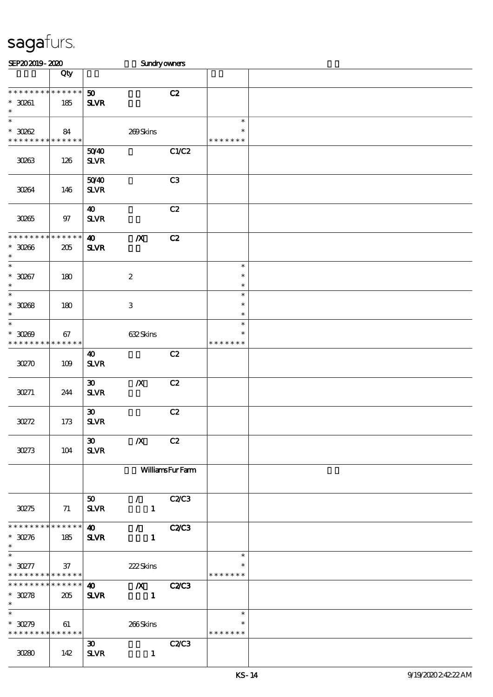| SEP202019-2020                                                   |                       |                                                         | <b>Sundryowners</b>              |                        |                                   |  |
|------------------------------------------------------------------|-----------------------|---------------------------------------------------------|----------------------------------|------------------------|-----------------------------------|--|
|                                                                  | Qty                   |                                                         |                                  |                        |                                   |  |
| * * * * * * * * * * * * * *<br>$*$ 30261<br>$\ast$               | 185                   | 50<br><b>SLVR</b>                                       |                                  | C2                     |                                   |  |
| $\overline{\ast}$<br>$*3002$<br>* * * * * * * * * * * * * *      | 84                    |                                                         | 200Skins                         |                        | $\ast$<br>$\ast$<br>* * * * * * * |  |
| 30263                                                            | 126                   | 5040<br>${\bf S\!L}\!{\bf V\!R}$                        |                                  | C1/C2                  |                                   |  |
| 30264                                                            | 146                   | 5040<br><b>SLVR</b>                                     |                                  | C <sub>3</sub>         |                                   |  |
| 30265                                                            | 97                    | 40<br>$S\!L\!V\!R$                                      |                                  | C2                     |                                   |  |
| * * * * * * * *<br>$*30266$<br>$\ast$                            | ******<br>205         | $\boldsymbol{\omega}$<br><b>SLVR</b>                    | $\boldsymbol{X}$                 | C2                     |                                   |  |
| $\overline{\ast}$<br>$^*$ 30267 $\,$<br>$\ast$                   | 180                   |                                                         | $\boldsymbol{z}$                 |                        | $\ast$<br>$\ast$<br>$\ast$        |  |
| $\ast$<br>$^\ast$ 30268<br>$\ast$                                | 180                   |                                                         | $\ensuremath{\mathbf{3}}$        |                        | $\ast$<br>$\ast$<br>$\ast$        |  |
| $\ast$<br>$^*$ 30269<br>* * * * * * * *                          | 67<br>$* * * * * * *$ |                                                         | 632Skins                         |                        | $\ast$<br>$\ast$<br>* * * * * * * |  |
| 30270                                                            | 109                   | $\boldsymbol{\omega}$<br>$S\!L\!V\!R$                   |                                  | C2                     |                                   |  |
| 30271                                                            | 244                   | $\boldsymbol{\mathfrak{D}}$<br>$S\!L\!V\!R$             | $\boldsymbol{X}$                 | C2                     |                                   |  |
| 30272                                                            | 173                   | $\boldsymbol{\mathfrak{D}}$<br>${\bf S\!L}\!{\bf V\!R}$ |                                  | C2                     |                                   |  |
| 30273                                                            | 104                   | $\boldsymbol{\mathfrak{D}}$<br><b>SLVR</b>              | $\boldsymbol{X}$                 | C2                     |                                   |  |
|                                                                  |                       |                                                         |                                  | <b>WilliamsFurFarm</b> |                                   |  |
| <b>30275</b>                                                     | 71                    | 50 <sub>1</sub><br>$S\!L\!V\!R$                         | $\mathcal{L}$<br>$\mathbf{1}$    | <b>C2/C3</b>           |                                   |  |
| **************<br>$*30276$<br>$\ast$                             | 185                   | $\boldsymbol{\omega}$<br><b>SLVR</b>                    | $\mathcal{L}$<br>$\mathbf{1}$    | <b>C2/C3</b>           |                                   |  |
| $\ast$<br>$*30277$<br>* * * * * * * * <mark>* * * * * * *</mark> | 37                    |                                                         | 222Skins                         |                        | $\ast$<br>$\ast$<br>* * * * * * * |  |
| * * * * * * * *<br>$* 30278$<br>$\ast$                           | * * * * * *<br>205    | $\boldsymbol{\omega}$<br><b>SLVR</b>                    | $\boldsymbol{X}$<br>$\mathbf{1}$ | <b>C2/C3</b>           |                                   |  |
| $\ast$<br>$*$ 30279<br>* * * * * * * * * * * * * *               | 61                    |                                                         | 266Skins                         |                        | $\ast$<br>$\ast$<br>* * * * * * * |  |
| 30280                                                            | 142                   | $\boldsymbol{\mathfrak{D}}$<br>$S\!L\!V\!R$             | $\mathbf{1}$                     | <b>C2/C3</b>           |                                   |  |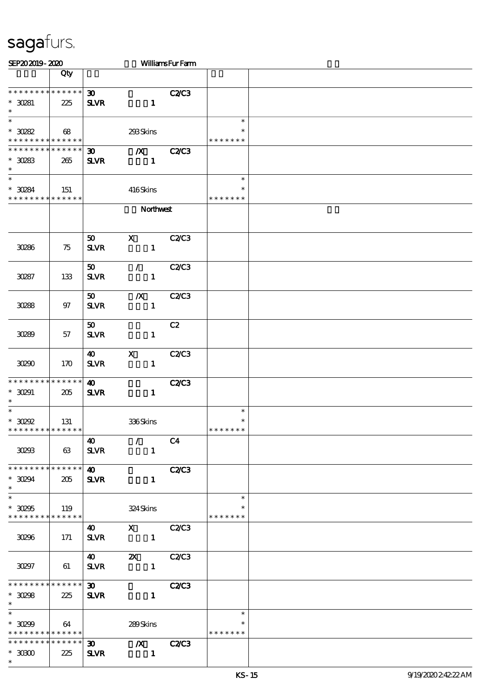| SEP202019-2020                                                                     |                    |                                            |                                  | <b>WilliamsFurFarm</b> |                                   |  |
|------------------------------------------------------------------------------------|--------------------|--------------------------------------------|----------------------------------|------------------------|-----------------------------------|--|
|                                                                                    | Qty                |                                            |                                  |                        |                                   |  |
| * * * * * * * * * * * * * *<br>$*30281$<br>$\ast$                                  | 225                | $\boldsymbol{\mathfrak{D}}$<br><b>SLVR</b> | $\mathbf{1}$                     | <b>C2/C3</b>           |                                   |  |
| $\overline{\phantom{1}}$<br>$*30282$<br>* * * * * * * * <mark>* * * * * *</mark> * | 68                 |                                            | 293Skins                         |                        | $\ast$<br>$\ast$<br>* * * * * * * |  |
| * * * * * * * * * * * * * *<br>$*$ 30283<br>$\ast$                                 | 265                | $\boldsymbol{\mathfrak{D}}$<br><b>SLVR</b> | $\boldsymbol{X}$<br>$\mathbf{1}$ | <b>C2/C3</b>           |                                   |  |
| $\ast$<br>$*30284$<br>* * * * * * * * * * * * * *                                  | 151                |                                            | 416Skins                         |                        | $\ast$<br>$\ast$<br>* * * * * * * |  |
|                                                                                    |                    |                                            | Northwest                        |                        |                                   |  |
| 30286                                                                              | 75                 | 50<br><b>SLVR</b>                          | X<br>$\mathbf{1}$                | <b>C2/C3</b>           |                                   |  |
| 30287                                                                              | 133                | 50<br><b>SLVR</b>                          | $\mathcal{L}$<br>$\mathbf{1}$    | <b>C2/C3</b>           |                                   |  |
| 30288                                                                              | 97                 | $\boldsymbol{\mathfrak{D}}$<br><b>SLVR</b> | $\boldsymbol{X}$<br>$\mathbf{1}$ | <b>C2/C3</b>           |                                   |  |
| 30289                                                                              | 57                 | $\boldsymbol{\mathfrak{D}}$<br><b>SLVR</b> | $\mathbf{1}$                     | C2                     |                                   |  |
| 30290                                                                              | 170                | 40<br>$S\!L\!V\!R$                         | $\mathbf x$<br>$\mathbf{1}$      | <b>C2/C3</b>           |                                   |  |
| * * * * * * * * * * * * * *<br>$^*$ 30291 $\,$<br>$\ast$                           | 205                | 40<br><b>SLVR</b>                          | $\mathbf{1}$                     | <b>C2/C3</b>           |                                   |  |
| $\ast$<br>$*$ 30292<br>* * * * * * * * * * * * * *                                 | 131                |                                            | 336Skins                         |                        | $\ast$<br>$\ast$<br>* * * * * * * |  |
| 30293                                                                              | 63                 | 40<br>$S\!L\!V\!R$                         | $\mathcal{L}$<br>$\mathbf{1}$    | C <sub>4</sub>         |                                   |  |
| * * * * * * * * * * * * * *<br>$*$ 30294<br>$\ast$                                 | 205                | $\boldsymbol{\omega}$<br><b>SLVR</b>       | $\mathbf{1}$                     | <b>C2/C3</b>           |                                   |  |
| $\ast$<br>$^\ast$ 30295<br>******** <mark>******</mark>                            | 119                |                                            | 324 Skins                        |                        | $\ast$<br>$\ast$<br>* * * * * * * |  |
| 30296                                                                              | 171                | $\boldsymbol{40}$<br>$S\!L\!V\!R$          | X C2/C3<br>$\mathbf{1}$          |                        |                                   |  |
| 30297                                                                              | 61                 | <b>40</b><br><b>SLVR</b>                   | $\mathbf{X}$<br>$\mathbf{1}$     | C2C3                   |                                   |  |
| * * * * * * * *<br>$*30298$<br>$\ast$                                              | * * * * * *<br>225 | $\boldsymbol{\mathfrak{D}}$<br><b>SLVR</b> | $\mathbf{1}$                     | <b>C2/C3</b>           |                                   |  |
| $\ast$<br>$*30299$<br>* * * * * * * * * * * * * *                                  | 64                 |                                            | 289Skins                         |                        | $\ast$<br>*<br>* * * * * * *      |  |
| * * * * * * * *<br>$^\ast$ 30000<br>$\ast$                                         | * * * * * *<br>225 | $\infty$<br><b>SLVR</b>                    | $\mathbf{X}$<br>$\sim$ 1         | <b>C2/C3</b>           |                                   |  |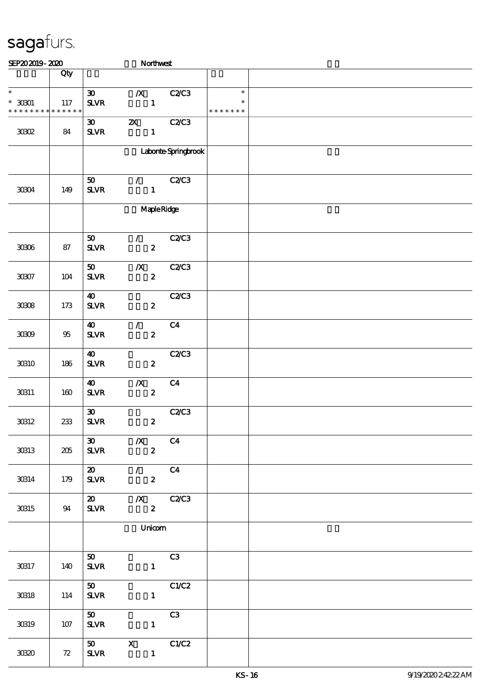| SEP202019-2020                                                                            |         |                                                         | Northwest                                       |                     |                                   |  |
|-------------------------------------------------------------------------------------------|---------|---------------------------------------------------------|-------------------------------------------------|---------------------|-----------------------------------|--|
|                                                                                           | Qty     |                                                         |                                                 |                     |                                   |  |
| $\overline{\phantom{0}}$<br>$^*$ 30001 $\,$<br>* * * * * * * * <mark>* * * * * * *</mark> | $117\,$ | $\boldsymbol{\mathfrak{D}}$<br><b>SLVR</b>              | $\boldsymbol{X}$<br>$\mathbf{1}$                | C2C3                | $\ast$<br>$\ast$<br>* * * * * * * |  |
| $3002$                                                                                    | 84      | $\boldsymbol{\mathfrak{D}}$<br>${\bf S\!L}\!{\bf V\!R}$ | $\boldsymbol{\mathsf{z}}$<br>$\mathbf{1}$       | <b>C2/C3</b>        |                                   |  |
|                                                                                           |         |                                                         |                                                 | Laborte Springbrook |                                   |  |
| 30304                                                                                     | 149     | 50<br><b>SLVR</b>                                       | $\mathcal{F}$ and $\mathcal{F}$<br>$\mathbf{1}$ | <b>C2/C3</b>        |                                   |  |
|                                                                                           |         |                                                         |                                                 | <b>Maple Ridge</b>  |                                   |  |
| $3006\,$                                                                                  | 87      | 50<br><b>SLVR</b>                                       | $\mathcal{F}$<br>$\boldsymbol{z}$               | C2C3                |                                   |  |
| $3007\,$                                                                                  | $104$   | 50<br><b>SLVR</b>                                       | $\boldsymbol{X}$<br>$\boldsymbol{2}$            | <b>C2/C3</b>        |                                   |  |
| 3008                                                                                      | 173     | $\boldsymbol{\omega}$<br><b>SLVR</b>                    | $\boldsymbol{z}$                                | <b>C2/C3</b>        |                                   |  |
| 30809                                                                                     | 95      | $\boldsymbol{\omega}$<br><b>SLVR</b>                    | $\mathcal{L}$<br>$\boldsymbol{z}$               | C <sub>4</sub>      |                                   |  |
| 30810                                                                                     | 186     | $\boldsymbol{\omega}$<br><b>SLVR</b>                    | $\boldsymbol{z}$                                | C2C3                |                                   |  |
| 30311                                                                                     | 160     | 40<br><b>SLVR</b>                                       | $\boldsymbol{X}$<br>$\boldsymbol{z}$            | C <sub>4</sub>      |                                   |  |
| 30312                                                                                     | 233     | $\boldsymbol{\mathfrak{D}}$<br>${\bf S\!L}\!{\bf V\!R}$ | $\boldsymbol{z}$                                | C2C3                |                                   |  |
| 30813                                                                                     | 205     | 30 <sub>o</sub><br><b>SLVR</b>                          | $\boldsymbol{X}$<br>$\overline{\mathbf{z}}$     | C <sub>4</sub>      |                                   |  |
| 30314                                                                                     | 179     | $\boldsymbol{\omega}$<br><b>SLVR</b>                    | $\mathcal{T}$<br>$\overline{\mathbf{2}}$        | C <sub>4</sub>      |                                   |  |
| 30815                                                                                     | 94      | $\boldsymbol{\mathsf{20}}$<br><b>SLVR</b>               | $\boldsymbol{z}$                                | $X$ $C2C3$          |                                   |  |
|                                                                                           |         |                                                         | Unicom                                          |                     |                                   |  |
| 30317                                                                                     | 140     | 50<br><b>SLVR</b>                                       | $\mathbf{1}$                                    | C3                  |                                   |  |
| $30\!\!\!\!\!\beta 18$                                                                    | 114     | 50<br><b>SLVR</b>                                       | $\mathbf{1}$                                    | C1/C2               |                                   |  |
| 30819                                                                                     | 107     | 50<br><b>SLVR</b>                                       | $\mathbf{1}$                                    | C3                  |                                   |  |
| 3030                                                                                      | 72      | 50<br><b>SLVR</b>                                       | $\mathbf{X}$<br>$\mathbf{1}$                    | C1/C2               |                                   |  |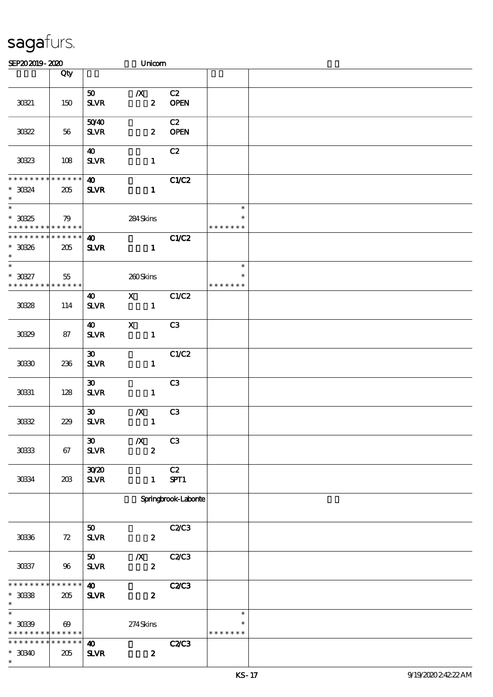| SEP202019-2020                                                  |                       |                                                         | Unicom                               |                   |                                   |  |
|-----------------------------------------------------------------|-----------------------|---------------------------------------------------------|--------------------------------------|-------------------|-----------------------------------|--|
|                                                                 | Qty                   |                                                         |                                      |                   |                                   |  |
|                                                                 |                       |                                                         |                                      |                   |                                   |  |
| 30321                                                           | 150                   | 50<br>${\bf S\!L}\!{\bf V\!R}$                          | $\boldsymbol{X}$<br>$\boldsymbol{z}$ | C2<br><b>OPEN</b> |                                   |  |
| 30322                                                           | 56                    | 5040<br>$S\!L\!V\!R$                                    | $\boldsymbol{z}$                     | C2<br><b>OPEN</b> |                                   |  |
| 30323                                                           | 108                   | 40<br>$S\!L\!V\!R$                                      | $\mathbf{1}$                         | C2                |                                   |  |
| * * * * * * * * * * * * * *<br>$*$ 30324<br>$\ast$              | 205                   | $\boldsymbol{\omega}$<br>$S\!L\!V\!R$                   | $\mathbf{1}$                         | C1/C2             |                                   |  |
| $\overline{\phantom{a}}$                                        |                       |                                                         |                                      |                   | $\ast$                            |  |
| $^\ast$ 30325<br>* * * * * * * * <mark>* * * * * *</mark>       | 79                    |                                                         | 284Skins                             |                   | $\ast$<br>* * * * * * *           |  |
| * * * * * * * * * * * * * *                                     |                       | $\boldsymbol{\omega}$                                   |                                      | C1/C2             |                                   |  |
| $*$ 30326<br>$\ast$<br>$\ast$                                   | 205                   | $S\!L\!V\!R$                                            | $\mathbf{1}$                         |                   |                                   |  |
| $^*$ 30327 $\,$<br>* * * * * * * * <mark>* * * * * * *</mark>   | $55\,$                |                                                         | 200Skins                             |                   | $\ast$<br>$\ast$<br>* * * * * * * |  |
|                                                                 |                       | $\boldsymbol{\omega}$                                   | $\mathbf{X}$                         | C1/C2             |                                   |  |
| 3038                                                            | 114                   | $S\!L\!V\!R$                                            | $\mathbf{1}$                         |                   |                                   |  |
| 3039                                                            | 87                    | 40<br><b>SLVR</b>                                       | $\mathbf{x}$<br>$\mathbf{1}$         | C <sub>3</sub>    |                                   |  |
| 3030                                                            | 236                   | $\boldsymbol{\mathfrak{D}}$<br>$S\!L\!V\!R$             | $\mathbf{1}$                         | C1/C2             |                                   |  |
| 30331                                                           | 128                   | $\boldsymbol{\mathfrak{D}}$<br>$S\!L\!V\!R$             | $\mathbf{1}$                         | C3                |                                   |  |
| 3032                                                            | 229                   | $\boldsymbol{\mathfrak{D}}$<br>${\bf S\!L}\!{\bf V\!R}$ | $\boldsymbol{X}$<br>$\mathbf{1}$     | C <sub>3</sub>    |                                   |  |
| $30\!\!\!\!\!\!33$                                              | 67                    | $\boldsymbol{\mathfrak{D}}$<br>$S\!L\!V\!R$             | $\boldsymbol{X}$<br>$\boldsymbol{z}$ | C <sub>3</sub>    |                                   |  |
| 30334                                                           | 203                   | 3020<br>$S\!L\!V\!R$                                    | $\mathbf{1}$                         | C2<br>SPT1        |                                   |  |
|                                                                 |                       |                                                         | Springbrook-Laborite                 |                   |                                   |  |
| 3036                                                            | 72                    | 50<br>$S\!L\!VR$                                        | $\boldsymbol{z}$                     | <b>C2/C3</b>      |                                   |  |
| 30337                                                           | 96                    | 50<br>$S\!L\!V\!R$                                      | $\boldsymbol{X}$<br>$\boldsymbol{z}$ | C2C3              |                                   |  |
| * * * * * * * * * * * * * *<br>$^\ast$ 3038<br>$\ast$           | 205                   | $\boldsymbol{\omega}$<br><b>SLVR</b>                    | $\boldsymbol{z}$                     | <b>C2/C3</b>      |                                   |  |
| $\ast$<br>$^*$ 3039<br>* * * * * * * * <mark>* * * * * *</mark> | $\boldsymbol{\omega}$ |                                                         | $274$ Skins                          |                   | $\ast$<br>∗<br>* * * * * * *      |  |
| * * * * * * * * * * * * * *<br>$*30340$<br>$\ast$               | 205                   | 40<br><b>SLVR</b>                                       | $\boldsymbol{z}$                     | <b>C2/C3</b>      |                                   |  |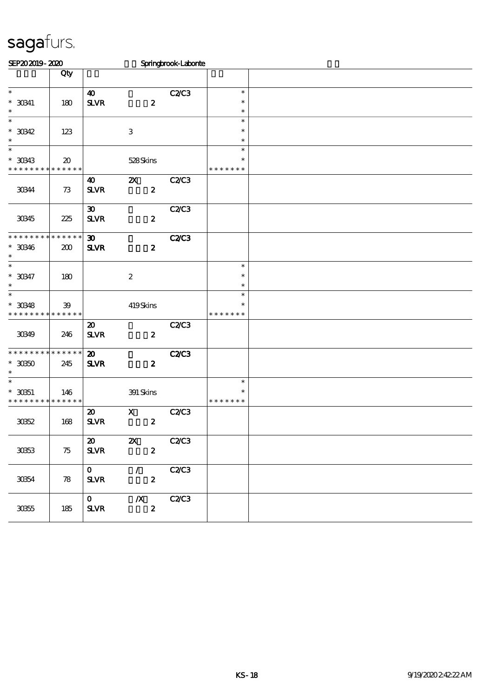| SEP202019-2020              |                                     |                             |                                              | Springbrook-Laborte |                  |  |
|-----------------------------|-------------------------------------|-----------------------------|----------------------------------------------|---------------------|------------------|--|
|                             | Qty                                 |                             |                                              |                     |                  |  |
|                             |                                     |                             |                                              |                     |                  |  |
| $\ast$                      |                                     | $\boldsymbol{\omega}$       |                                              | <b>C2/C3</b>        | $\ast$           |  |
| $*$ 30341<br>$\ast$         | 180                                 | ${\bf S\!L}\!{\bf V\!R}$    | $\boldsymbol{z}$                             |                     | $\ast$<br>$\ast$ |  |
| $\ast$                      |                                     |                             |                                              |                     | $\ast$           |  |
| $*30342$                    | 123                                 |                             | $\,3\,$                                      |                     | $\ast$           |  |
| $\ast$                      |                                     |                             |                                              |                     | $\ast$           |  |
| $\ast$                      |                                     |                             |                                              |                     | $\ast$           |  |
| $*$ 30343                   | $\boldsymbol{\boldsymbol{\lambda}}$ |                             | 528Skins                                     |                     | $\ast$           |  |
| * * * * * * * *             | * * * * * *                         |                             |                                              |                     | * * * * * * *    |  |
|                             |                                     | $\boldsymbol{\omega}$       | $\boldsymbol{\mathsf{z}}$                    | C2C3                |                  |  |
| 30344                       | 73                                  | $S\!L\!V\!R$                | $\boldsymbol{2}$                             |                     |                  |  |
|                             |                                     |                             |                                              |                     |                  |  |
|                             |                                     | $\boldsymbol{\mathfrak{D}}$ |                                              | <b>C2/C3</b>        |                  |  |
| 30345                       | 225                                 | <b>SLVR</b>                 | $\boldsymbol{2}$                             |                     |                  |  |
| * * * * * * * *             | <b>******</b>                       | $\boldsymbol{\mathfrak{D}}$ |                                              | <b>C2/C3</b>        |                  |  |
| $* 30346$                   | 200                                 | <b>SLVR</b>                 | $\pmb{2}$                                    |                     |                  |  |
| $\ast$                      |                                     |                             |                                              |                     |                  |  |
| $\ast$                      |                                     |                             |                                              |                     | $\ast$           |  |
| $*30347$                    | 180                                 |                             | $\boldsymbol{2}$                             |                     | $\ast$           |  |
| $\ast$                      |                                     |                             |                                              |                     | $\ast$           |  |
| $\overline{\ast}$           |                                     |                             |                                              |                     | $\ast$           |  |
| $*$ 30348                   | 39                                  |                             | 419Skins                                     |                     | $\ast$           |  |
| * * * * * * * *             | * * * * * *                         |                             |                                              |                     | * * * * * * *    |  |
|                             |                                     | $\boldsymbol{\mathfrak{D}}$ |                                              | C2C3                |                  |  |
| 30349                       | 246                                 | <b>SLVR</b>                 | $\boldsymbol{z}$                             |                     |                  |  |
| * * * * * * * * * * * * * * |                                     | $\boldsymbol{\mathbf{z}}$   |                                              | <b>C2/C3</b>        |                  |  |
| $^*$ 30350 $\,$             | 245                                 | <b>SLVR</b>                 | $\boldsymbol{z}$                             |                     |                  |  |
| $\ast$                      |                                     |                             |                                              |                     |                  |  |
| $\ast$                      |                                     |                             |                                              |                     | $\ast$           |  |
| $^*$ 30351                  | 146                                 |                             | 391 Skins                                    |                     | $\ast$           |  |
| * * * * * * * *             | * * * * * *                         |                             |                                              |                     | * * * * * * *    |  |
|                             |                                     | $\boldsymbol{\mathfrak{D}}$ | $\mathbf x$                                  | <b>C2/C3</b>        |                  |  |
| 3062                        | 168                                 | ${\bf S\!L}\!{\bf V\!R}$    | $\pmb{2}$                                    |                     |                  |  |
|                             |                                     |                             |                                              |                     |                  |  |
|                             |                                     | $\boldsymbol{\mathfrak{D}}$ | $\boldsymbol{\mathsf{z}}$                    | <b>C2/C3</b>        |                  |  |
| 3063                        | 75                                  | $S\!L\!V\!R$                | $\boldsymbol{z}$                             |                     |                  |  |
|                             |                                     |                             |                                              | C2C3                |                  |  |
| 30354                       | 78                                  | $\mathbf{o}$<br><b>SLVR</b> | $\mathcal{F}_\mathbb{R}$<br>$\boldsymbol{z}$ |                     |                  |  |
|                             |                                     |                             |                                              |                     |                  |  |
|                             |                                     | $\mathbf{o}$                | $\boldsymbol{X}$                             | <b>C2/C3</b>        |                  |  |
| 30355                       | 185                                 | <b>SLVR</b>                 | $\boldsymbol{z}$                             |                     |                  |  |
|                             |                                     |                             |                                              |                     |                  |  |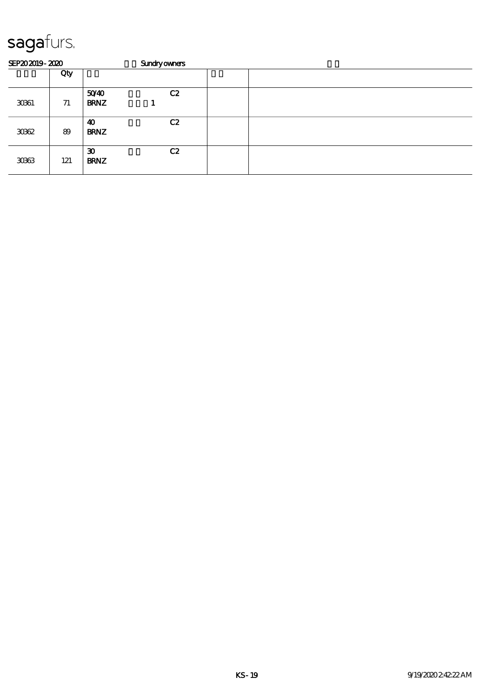| SEP202019-2020 |     |                                            | <b>Sundryowners</b> |  |
|----------------|-----|--------------------------------------------|---------------------|--|
|                | Qty |                                            |                     |  |
| 3061           | 71  | 5040<br><b>BRNZ</b>                        | C2                  |  |
| 3062           | 89  | 40<br><b>BRNZ</b>                          | C2                  |  |
| 3063           | 121 | $\boldsymbol{\mathfrak{D}}$<br><b>BRNZ</b> | C2                  |  |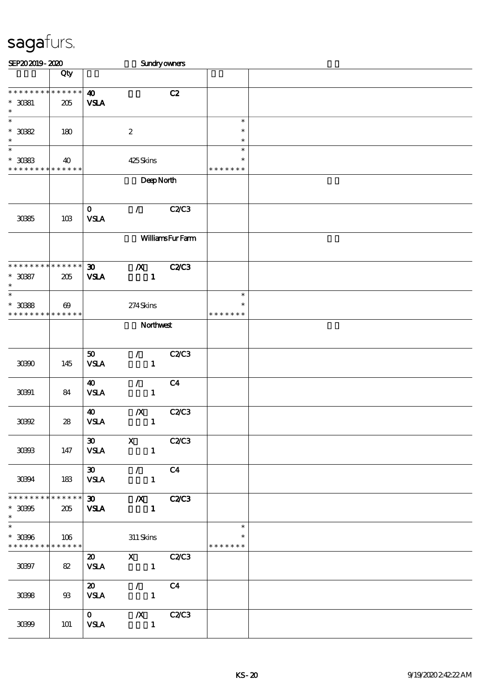| SEP202019-2020                                                         |                       |                                            |                                                                                                                                                                                                                                                                                  | Sundryowners           |                                   |  |
|------------------------------------------------------------------------|-----------------------|--------------------------------------------|----------------------------------------------------------------------------------------------------------------------------------------------------------------------------------------------------------------------------------------------------------------------------------|------------------------|-----------------------------------|--|
|                                                                        | Qty                   |                                            |                                                                                                                                                                                                                                                                                  |                        |                                   |  |
| * * * * * * * * * * * * * *<br>$* 3081$<br>$\ast$                      | 205                   | $\boldsymbol{\omega}$<br><b>VSLA</b>       |                                                                                                                                                                                                                                                                                  | C2                     |                                   |  |
| $\ast$<br>$^\ast$ 3082<br>$\ast$                                       | 180                   |                                            | $\boldsymbol{2}$                                                                                                                                                                                                                                                                 |                        | $\ast$<br>$\ast$<br>$\ast$        |  |
| $\ast$<br>$^*$ 3083<br>* * * * * * * * * * * * * *                     | 40                    |                                            | 425Skins                                                                                                                                                                                                                                                                         |                        | $\ast$<br>$\ast$<br>* * * * * * * |  |
|                                                                        |                       |                                            | DeepNorth                                                                                                                                                                                                                                                                        |                        |                                   |  |
| 3085                                                                   | 10B                   | $\mathbf 0$<br><b>VSLA</b>                 | $\mathcal{L}$                                                                                                                                                                                                                                                                    | <b>C2/C3</b>           |                                   |  |
|                                                                        |                       |                                            |                                                                                                                                                                                                                                                                                  | <b>WilliamsFurFarm</b> |                                   |  |
| * * * * * * * * * * * * * *<br>$^\ast$ 3087<br>$\ast$                  | 205                   | $\boldsymbol{\mathfrak{D}}$<br><b>VSLA</b> | $\boldsymbol{X}$<br>$\mathbf{1}$                                                                                                                                                                                                                                                 | <b>C2/C3</b>           |                                   |  |
| $\ast$<br>$^\ast$ 3088<br>* * * * * * * * * * * * * *                  | $\boldsymbol{\omega}$ |                                            | 274Skins                                                                                                                                                                                                                                                                         |                        | $\ast$<br>$\ast$<br>* * * * * * * |  |
|                                                                        |                       | Northwest                                  |                                                                                                                                                                                                                                                                                  |                        |                                   |  |
| 30900                                                                  | 145                   | 50<br><b>VSLA</b>                          | $\mathcal{L}$<br>$\mathbf{1}$                                                                                                                                                                                                                                                    | <b>C2/C3</b>           |                                   |  |
| 30391                                                                  | 84                    | 40<br><b>VSLA</b>                          | $\mathcal{L}_{\mathbb{R}}$<br>$\mathbf{1}$                                                                                                                                                                                                                                       | C <sub>4</sub>         |                                   |  |
| 30992                                                                  | 28                    | $\boldsymbol{\omega}$<br><b>VSLA</b>       | $\boldsymbol{X}$<br>$\mathbf{1}$                                                                                                                                                                                                                                                 | C2/C3                  |                                   |  |
| 30933                                                                  | 147                   | $30-1$<br><b>VSLA</b>                      | $\mathbf X$<br>$\blacksquare$                                                                                                                                                                                                                                                    | C2C3                   |                                   |  |
| 30394                                                                  | 183                   | $\boldsymbol{\mathfrak{D}}$<br><b>VSLA</b> | $\frac{1}{2}$<br>$\overline{\phantom{0}}$ 1                                                                                                                                                                                                                                      | C <sub>4</sub>         |                                   |  |
| * * * * * * * * * * * * * *<br>$^\ast$ 30305<br>$\ast$                 | 205                   | <b>VSLA</b>                                | $\overline{30}$ $\overline{X}$ $\overline{C}$ $\overline{Z}$ $C$ $\overline{Z}$ $C$ $\overline{Z}$ $C$ $\overline{Z}$ $C$ $\overline{Z}$ $C$ $\overline{Z}$ $C$ $\overline{Z}$ $C$ $\overline{Z}$ $C$ $\overline{Z}$ $C$ $\overline{Z}$ $C$ $\overline{Z}$ $C$<br>$\blacksquare$ |                        |                                   |  |
| $\overline{\phantom{1}}$<br>$* 30306$<br>* * * * * * * * * * * * * * * | 106                   |                                            | 311 Skins                                                                                                                                                                                                                                                                        |                        | $\ast$<br>$\ast$<br>* * * * * * * |  |
| 30397                                                                  | 82                    | <b>VSLA</b>                                | 20 X C2/C3<br>$\sim$ $\sim$ $\sim$ $\sim$ $\sim$                                                                                                                                                                                                                                 |                        |                                   |  |
| 30398                                                                  | 93                    | $\boldsymbol{\mathfrak{D}}$<br><b>VSLA</b> | $\mathcal{L}$ and $\mathcal{L}$<br>$\sim$ $\sim$ $\sim$ $\sim$ $\sim$                                                                                                                                                                                                            | C <sub>4</sub>         |                                   |  |
| 30899                                                                  | 101                   | $\mathbf{0}$<br><b>VSLA</b>                | $\blacksquare$                                                                                                                                                                                                                                                                   | $/X$ $C2/C3$           |                                   |  |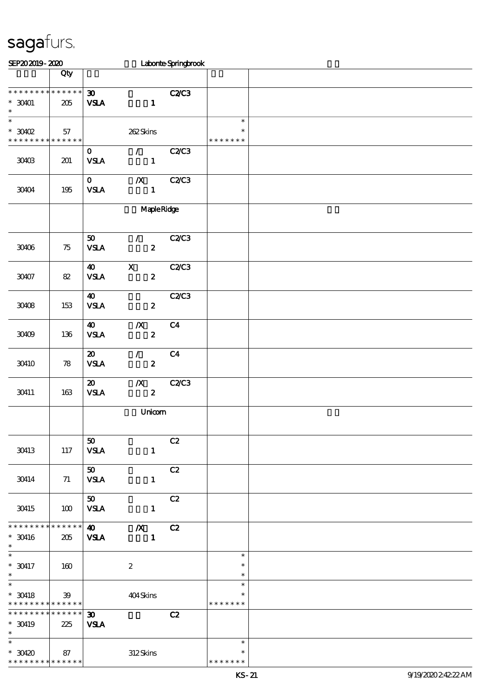| SEP202019-2020                                                        |                    |                                             |                                                     | Laborte Springbrook |                                   |  |
|-----------------------------------------------------------------------|--------------------|---------------------------------------------|-----------------------------------------------------|---------------------|-----------------------------------|--|
|                                                                       | Qty                |                                             |                                                     |                     |                                   |  |
| * * * * * * * * * * * * * * *<br>$*$ 30401<br>$\ast$                  | 205                | $\boldsymbol{\mathfrak{D}}$<br><b>VSLA</b>  | $\mathbf{1}$                                        | <b>C2/C3</b>        |                                   |  |
| $\overline{\phantom{0}}$<br>$*3002$<br>* * * * * * * * * * * * * *    | 57                 |                                             | 262Skins                                            |                     | $\ast$<br>$\ast$<br>* * * * * * * |  |
| 30403                                                                 | 201                | $\mathbf{O}$<br>$\ensuremath{\mathsf{VSA}}$ | $\mathcal{T} = \mathcal{I}$<br>$\mathbf{1}$         | C2C3                |                                   |  |
| 30404                                                                 | 195                | $\mathbf{0}$<br>${\bf VSA}$                 | $\boldsymbol{X}$<br>$\mathbf{1}$                    | <b>C2/C3</b>        |                                   |  |
|                                                                       |                    | <b>Maple Ridge</b>                          |                                                     |                     |                                   |  |
| 30406                                                                 | 75                 | 50<br><b>VSLA</b>                           | $\mathcal{F}$ and $\mathcal{F}$<br>$\boldsymbol{z}$ | C2C3                |                                   |  |
| 30407                                                                 | 82                 | $\boldsymbol{\omega}$<br><b>VSLA</b>        | $\mathbf x$<br>$\boldsymbol{z}$                     | C2C3                |                                   |  |
| 30408                                                                 | 153                | $\boldsymbol{\omega}$<br><b>VSLA</b>        | $\boldsymbol{2}$                                    | C2C3                |                                   |  |
| 30409                                                                 | 136                | 40<br><b>VSLA</b>                           | $\boldsymbol{X}$<br>$\boldsymbol{z}$                | C <sub>4</sub>      |                                   |  |
| 30410                                                                 | 78                 | $\boldsymbol{\mathfrak{D}}$<br><b>VSLA</b>  | $\mathcal{L}$<br>$\boldsymbol{z}$                   | C <sub>4</sub>      |                                   |  |
| 30411                                                                 | 163                | $\boldsymbol{\mathfrak{D}}$<br><b>VSLA</b>  | $\boldsymbol{X}$<br>$\boldsymbol{z}$                | C2C3                |                                   |  |
|                                                                       |                    |                                             | Unicom                                              |                     |                                   |  |
| 30413                                                                 | 117                | 50<br><b>VSLA</b>                           | $\mathbf{1}$                                        | C2                  |                                   |  |
| 30414                                                                 | 71                 | $\boldsymbol{\mathfrak{D}}$<br><b>VSLA</b>  | $\mathbf{1}$                                        | C2                  |                                   |  |
| 30415                                                                 | 100                | 50<br><b>VSLA</b>                           | $\mathbf{1}$                                        | C2                  |                                   |  |
| * * * * * * * * * * * * * *<br>$^*$ 30416 $\,$<br>$\ast$              | 205                | $\boldsymbol{\Phi}$<br><b>VSLA</b>          | $\boldsymbol{X}$<br>$\mathbf{1}$                    | C2                  |                                   |  |
| $\ast$<br>$* 30417$<br>$\ast$                                         | 160                |                                             | $\boldsymbol{2}$                                    |                     | $\ast$<br>$\ast$<br>$\ast$        |  |
| $\overline{\phantom{0}}$<br>$^*$ 30418<br>* * * * * * * * * * * * * * | 39                 |                                             | 404Skins                                            |                     | $\ast$<br>$\ast$<br>* * * * * * * |  |
| * * * * * * * *<br>$*$ 30419<br>$\ast$                                | * * * * * *<br>225 | $\boldsymbol{\mathfrak{D}}$<br><b>VSLA</b>  |                                                     | C2                  |                                   |  |
| $\ast$<br>$*30420$<br>* * * * * * * *                                 | 87<br>* * * * * *  |                                             | 312Skins                                            |                     | $\ast$<br>$\ast$<br>* * * * * * * |  |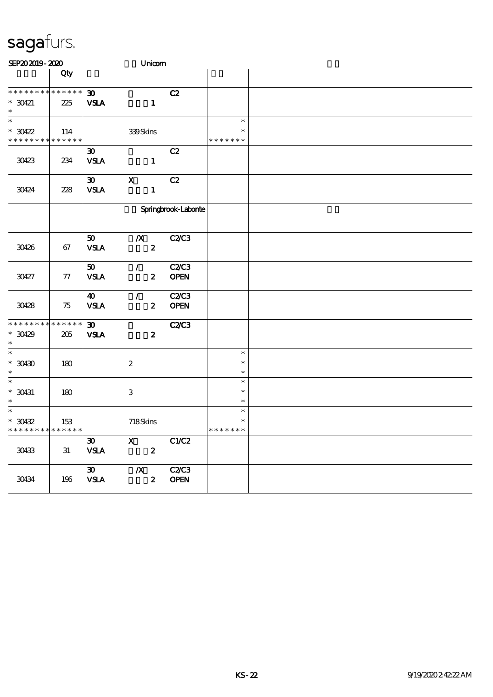| SEP202019-2020                           |     |                             |                  | Unicom           |              |                  |  |
|------------------------------------------|-----|-----------------------------|------------------|------------------|--------------|------------------|--|
|                                          | Qty |                             |                  |                  |              |                  |  |
|                                          |     |                             |                  |                  |              |                  |  |
| * * * * * * * * * * * * * *              |     | 30 <sub>o</sub>             |                  |                  | C2           |                  |  |
| $* 30421$<br>$\ast$                      | 225 | <b>VSLA</b>                 |                  | $\mathbf{1}$     |              |                  |  |
| $\ast$                                   |     |                             |                  |                  |              | $\ast$           |  |
| $*30422$                                 | 114 |                             | 339Skins         |                  |              | *                |  |
| * * * * * * * * * * * * * *              |     |                             |                  |                  |              | * * * * * * *    |  |
|                                          |     | $\boldsymbol{\mathfrak{D}}$ |                  |                  | C2           |                  |  |
| 30423                                    | 234 | <b>VSLA</b>                 |                  | $\mathbf{1}$     |              |                  |  |
|                                          |     |                             |                  |                  |              |                  |  |
|                                          |     | $\boldsymbol{\mathfrak{D}}$ | $\mathbf X$      |                  | C2           |                  |  |
| 30424                                    | 228 | <b>VSLA</b>                 |                  | $\mathbf{1}$     |              |                  |  |
|                                          |     |                             |                  |                  |              |                  |  |
|                                          |     | Springbrook-Laborite        |                  |                  |              |                  |  |
|                                          |     |                             |                  |                  |              |                  |  |
|                                          |     | 50                          | $\boldsymbol{X}$ |                  | <b>C2C3</b>  |                  |  |
| 30426                                    | 67  | <b>VSLA</b>                 |                  | $\boldsymbol{z}$ |              |                  |  |
|                                          |     |                             |                  |                  |              |                  |  |
|                                          |     | 50                          | $\mathcal{L}$    |                  | <b>C2/C3</b> |                  |  |
| 30427                                    | 77  | <b>VSLA</b>                 |                  | $\boldsymbol{z}$ | <b>OPEN</b>  |                  |  |
|                                          |     | $\boldsymbol{\omega}$       | $\mathcal{L}$    |                  | C2C3         |                  |  |
| 30428                                    | 75  | <b>VSLA</b>                 |                  | $\boldsymbol{z}$ | <b>OPEN</b>  |                  |  |
|                                          |     |                             |                  |                  |              |                  |  |
| * * * * * * * * * * * * * *              |     | $\boldsymbol{\mathfrak{D}}$ |                  |                  | <b>C2/C3</b> |                  |  |
| $*30429$                                 | 205 | <b>VSLA</b>                 |                  | $\boldsymbol{z}$ |              |                  |  |
| $\ast$                                   |     |                             |                  |                  |              |                  |  |
| $\ast$                                   |     |                             |                  |                  |              | $\ast$<br>$\ast$ |  |
| $^*$ 30430 $\,$<br>$\ast$                | 180 |                             | $\boldsymbol{2}$ |                  |              | $\ast$           |  |
| $\ast$                                   |     |                             |                  |                  |              | $\ast$           |  |
| $^*$ 30431                               | 180 |                             | $\,3\,$          |                  |              | $\ast$           |  |
| $\ast$                                   |     |                             |                  |                  |              | $\ast$           |  |
| $\ast$                                   |     |                             |                  |                  |              | $\ast$           |  |
| $*$ 30432                                | 153 |                             | 718Skins         |                  |              | $\ast$           |  |
| * * * * * * * * <mark>* * * * * *</mark> |     |                             |                  |                  |              | * * * * * * *    |  |
| 30433                                    |     | $\boldsymbol{\mathfrak{D}}$ | $\mathbf X$      |                  | C1/C2        |                  |  |
|                                          | 31  | <b>VSLA</b>                 |                  | $\boldsymbol{z}$ |              |                  |  |
|                                          |     | $\boldsymbol{\mathfrak{D}}$ | $\boldsymbol{X}$ |                  | <b>C2/C3</b> |                  |  |
| 30434                                    | 196 | <b>VSLA</b>                 |                  | $\boldsymbol{z}$ | <b>OPEN</b>  |                  |  |
|                                          |     |                             |                  |                  |              |                  |  |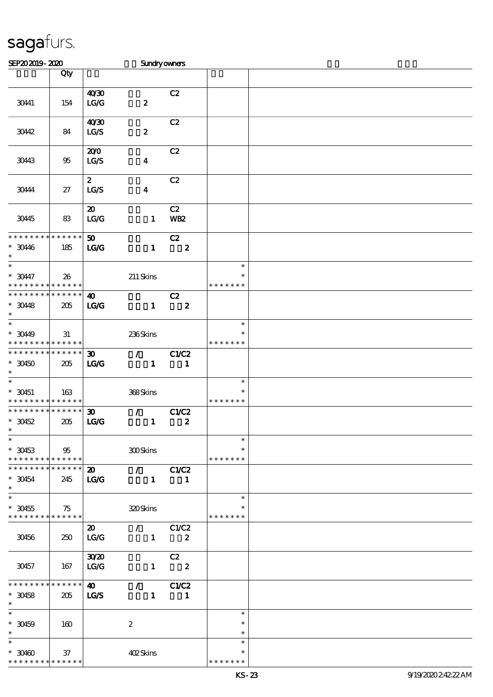| SEP202019-2020                |                 |                             | Sundryowners                    |                         |               |  |
|-------------------------------|-----------------|-----------------------------|---------------------------------|-------------------------|---------------|--|
|                               | Qty             |                             |                                 |                         |               |  |
|                               |                 |                             |                                 |                         |               |  |
|                               |                 | 40'30                       |                                 | C2                      |               |  |
| 30441                         | 154             | LG/G                        | $\pmb{2}$                       |                         |               |  |
|                               |                 |                             |                                 |                         |               |  |
|                               |                 | 40'30                       |                                 | C2                      |               |  |
| 30442                         | 84              | LG/S                        | $\pmb{2}$                       |                         |               |  |
|                               |                 |                             |                                 |                         |               |  |
|                               |                 | 200                         |                                 | C2                      |               |  |
| 30443                         | 95              | LG/S                        | $\boldsymbol{4}$                |                         |               |  |
|                               |                 |                             |                                 |                         |               |  |
|                               |                 | $\boldsymbol{z}$            |                                 | C2                      |               |  |
| 30444                         | 27              | LG/S                        | $\boldsymbol{4}$                |                         |               |  |
|                               |                 |                             |                                 |                         |               |  |
|                               |                 | $\boldsymbol{\mathfrak{D}}$ |                                 | C2                      |               |  |
| 30445                         | 83              | $\mathbf{LG}\mathbf{G}$     | $\mathbf{1}$                    | <b>WB2</b>              |               |  |
|                               |                 |                             |                                 |                         |               |  |
| * * * * * * * *               | * * * * * *     | 50                          |                                 | C2                      |               |  |
| $*3046$                       | 185             | $\mathbf{LG}$               | $\mathbf{1}$                    | $\overline{\mathbf{2}}$ |               |  |
| $\ast$                        |                 |                             |                                 |                         |               |  |
| $\overline{\ast}$             |                 |                             |                                 |                         | $\ast$        |  |
| $* 3047$                      | 26              |                             | $211$ Skins                     |                         | $\ast$        |  |
| * * * * * * * *               | $* * * * * * *$ |                             |                                 |                         | * * * * * * * |  |
| * * * * * * * * * * * * * *   |                 | $\boldsymbol{\omega}$       |                                 | C2                      |               |  |
| $*3048$                       | 205             | LG                          | $\mathbf{1}$                    | $\overline{\mathbf{2}}$ |               |  |
| $\ast$                        |                 |                             |                                 |                         |               |  |
| $\ast$                        |                 |                             |                                 |                         | $\ast$        |  |
| $* 3049$                      | 31              |                             | 236Skins                        |                         | $\ast$        |  |
| * * * * * * * * * * * * * * * |                 |                             |                                 |                         | * * * * * * * |  |
| ******** <mark>******</mark>  |                 | 30 <sub>o</sub>             | $\mathcal{F}$ and $\mathcal{F}$ | C1/C2                   |               |  |
| $*30450$                      | 205             | LG                          | $\mathbf{1}$                    | $\mathbf{1}$            |               |  |
| $\ast$                        |                 |                             |                                 |                         |               |  |
| $\ast$                        |                 |                             |                                 |                         | $\ast$        |  |
| $* 30451$                     | 163             |                             | 368Skins                        |                         | $\ast$        |  |
| * * * * * * * * * * * * * *   |                 |                             |                                 |                         | * * * * * * * |  |
| * * * * * * * * * * * * * *   |                 | $\boldsymbol{\mathfrak{D}}$ | $\mathcal{T} = \mathcal{I}$     | C1/C2                   |               |  |
| $*30452$                      | 205             | LG                          | $\mathbf{1}$                    | $\boldsymbol{z}$        |               |  |
| $*$                           |                 |                             |                                 |                         |               |  |
| $\overline{\ast}$             |                 |                             |                                 |                         | $\ast$        |  |
| $*30453$                      | 95              |                             | 300Skins                        |                         |               |  |
| * * * * * * * * * * * * * * * |                 |                             |                                 |                         | * * * * * * * |  |
| * * * * * * * * * * * * * * * |                 | $\boldsymbol{\mathsf{20}}$  | $\overline{\phantom{a}}$        | C1/C2                   |               |  |
| $*30454$                      | 245             | <b>LG/G</b>                 | $\mathbf{1}$                    | $\blacksquare$          |               |  |
| $\ast$                        |                 |                             |                                 |                         |               |  |
| $\ast$                        |                 |                             |                                 |                         | $\ast$        |  |
| $*30455$                      | 75              |                             | 320Skins                        |                         |               |  |
| * * * * * * * * * * * * * * * |                 |                             |                                 |                         | * * * * * * * |  |
|                               |                 | $\boldsymbol{\mathfrak{D}}$ | $\sqrt{C1/C2}$                  |                         |               |  |
| 30456                         | 250             | $\vert$ LG/G                |                                 | $1 \t 2$                |               |  |
|                               |                 |                             |                                 |                         |               |  |
|                               |                 | 30 <sup>20</sup>            |                                 | C2                      |               |  |
| 30457                         | 167             | LG/G                        |                                 | $1 \t 2$                |               |  |
|                               |                 |                             |                                 |                         |               |  |
| **************                |                 | $\boldsymbol{\omega}$       | $\sqrt{C1/C2}$                  |                         |               |  |
| $*30458$                      | 205             | LG/S                        |                                 | $1 \quad 1$             |               |  |
| $\ast$                        |                 |                             |                                 |                         |               |  |
| $\ast$                        |                 |                             |                                 |                         | $\ast$        |  |
| $* 30459$                     | 160             |                             | $\boldsymbol{2}$                |                         | $\ast$        |  |
|                               |                 |                             |                                 |                         | $\ast$        |  |
| $\ast$                        |                 |                             |                                 |                         | $\ast$        |  |
| $*30460$                      | 37              |                             | 402Skins                        |                         | $\ast$        |  |
| * * * * * * * * * * * * * *   |                 |                             |                                 |                         | * * * * * * * |  |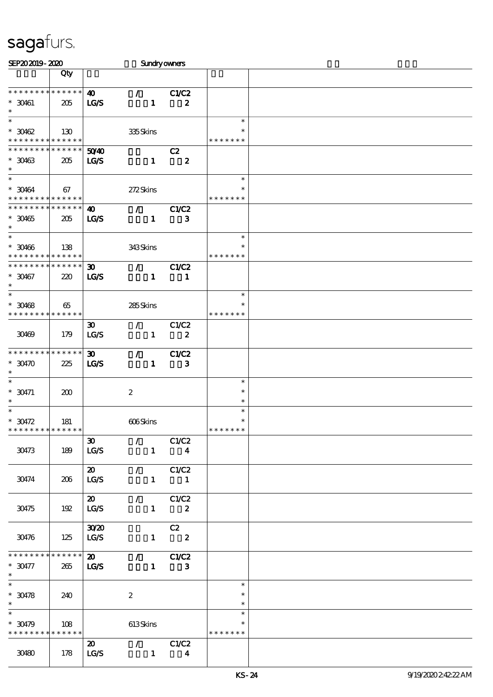| SEP202019-2020                           |     |                             |                             | Sundryowners               |               |  |
|------------------------------------------|-----|-----------------------------|-----------------------------|----------------------------|---------------|--|
|                                          | Qty |                             |                             |                            |               |  |
|                                          |     |                             |                             |                            |               |  |
| * * * * * * * * * * * * * *              |     | $\boldsymbol{\omega}$       | $\mathcal{T}^{\mathcal{A}}$ | C1/C2                      |               |  |
| $* 30461$                                | 205 | IGS                         | $\mathbf{1}$                | $\boldsymbol{z}$           |               |  |
| $\ast$                                   |     |                             |                             |                            |               |  |
| $\ast$                                   |     |                             |                             |                            | $\ast$        |  |
| $*30462$                                 | 130 |                             | 335Skins                    |                            | $\ast$        |  |
| * * * * * * * * * * * * * *              |     |                             |                             |                            | * * * * * * * |  |
| * * * * * * * * * * * * * * *            |     | 5040                        |                             | C2                         |               |  |
| $*30463$<br>$\ast$                       | 205 | <b>LG/S</b>                 | $\mathbf{1}$                | $\overline{\phantom{a}}$ 2 |               |  |
| $\ast$                                   |     |                             |                             |                            | $\ast$        |  |
| $* 30464$                                | 67  |                             | 272Skins                    |                            | $\ast$        |  |
| * * * * * * * * * * * * * *              |     |                             |                             |                            | * * * * * * * |  |
| * * * * * * * * * * * * * *              |     | $\boldsymbol{\omega}$       | $\mathcal{T}$               | <b>C1/C2</b>               |               |  |
| $*30465$                                 | 205 | <b>LG/S</b>                 | $\mathbf{1}$                | $\mathbf{3}$               |               |  |
| $\ast$                                   |     |                             |                             |                            |               |  |
| $\ast$                                   |     |                             |                             |                            | $\ast$        |  |
| $* 30466$                                | 138 |                             | 343Skins                    |                            | $\ast$        |  |
| * * * * * * * * * * * * * *              |     |                             |                             |                            | * * * * * * * |  |
| ******** <mark>******</mark>             |     | $\boldsymbol{\mathfrak{D}}$ | $\mathcal{L}$               | C1/C2                      |               |  |
| $*30467$                                 | 220 | <b>LG/S</b>                 | $\mathbf{1}$                | $\mathbf{1}$               |               |  |
| $\ast$                                   |     |                             |                             |                            |               |  |
| $\ast$                                   |     |                             |                             |                            | $\ast$        |  |
| $*30468$                                 | 65  |                             | 285Skins                    |                            |               |  |
| * * * * * * * * * * * * * * *            |     |                             |                             |                            | * * * * * * * |  |
|                                          |     | $\boldsymbol{\mathfrak{D}}$ | $\mathcal{F}$               | C1/C2                      |               |  |
| 30469                                    | 179 | LG/S                        | $\mathbf{1}$                | $\boldsymbol{z}$           |               |  |
|                                          |     |                             |                             |                            |               |  |
| * * * * * * * * * * * * * *              |     | $\boldsymbol{\mathfrak{D}}$ | $\mathcal{L}$               | CLC2                       |               |  |
| $*$ 30470                                | 225 | LGS                         | $\mathbf{1}$                | 3                          |               |  |
| $\ast$<br>$\ast$                         |     |                             |                             |                            | $\ast$        |  |
| $^*$ 30471                               |     |                             |                             |                            | $\ast$        |  |
|                                          | 200 |                             | $\boldsymbol{2}$            |                            | $\ast$        |  |
| $\ast$                                   |     |                             |                             |                            | $\ast$        |  |
| $^*$ 30472 $\,$                          | 181 |                             | 606Skins                    |                            | $\ast$        |  |
| * * * * * * * * * * * * * *              |     |                             |                             |                            | *******       |  |
|                                          |     | $30-1$                      |                             | $\sqrt{C1/C2}$             |               |  |
| 30473                                    | 189 | LG/S                        |                             | $1 \qquad \qquad 4$        |               |  |
|                                          |     |                             |                             |                            |               |  |
|                                          |     | $\boldsymbol{\mathsf{20}}$  |                             | $\sqrt{C1/C2}$             |               |  |
| 30474                                    | 206 | LG/S                        |                             | $1 \quad 1$                |               |  |
|                                          |     |                             |                             |                            |               |  |
|                                          |     | $\boldsymbol{\mathsf{20}}$  |                             | $\sqrt{C1/C2}$             |               |  |
| 30475                                    | 192 | LG/S                        |                             | $1 \t 2$                   |               |  |
|                                          |     |                             |                             |                            |               |  |
|                                          |     | 3020                        |                             | C2                         |               |  |
| 30476                                    | 125 | $\vert$ LG/S                |                             | $1 \t 2$                   |               |  |
|                                          |     |                             |                             |                            |               |  |
| * * * * * * * * * * * * * * *            |     | $\boldsymbol{\mathsf{20}}$  |                             | $\sqrt{C1/C2}$             |               |  |
| $*30477$                                 | 265 | <b>LG/S</b>                 |                             | $1 \qquad 3$               |               |  |
| $\ast$                                   |     |                             |                             |                            | $\ast$        |  |
| $* 30478$                                | 240 |                             | $\boldsymbol{2}$            |                            | $\ast$        |  |
| $\ast$                                   |     |                             |                             |                            | $\ast$        |  |
| $\ast$                                   |     |                             |                             |                            | $\ast$        |  |
| $* 30479$                                | 108 |                             | 613Skins                    |                            |               |  |
| * * * * * * * * <mark>* * * * * *</mark> |     |                             |                             |                            | * * * * * * * |  |
|                                          |     | $\boldsymbol{\mathfrak{D}}$ |                             | $\sqrt{C1/C2}$             |               |  |
| 30480                                    | 178 | LG/S                        | $\blacksquare$              | $\overline{\mathbf{4}}$    |               |  |
|                                          |     |                             |                             |                            |               |  |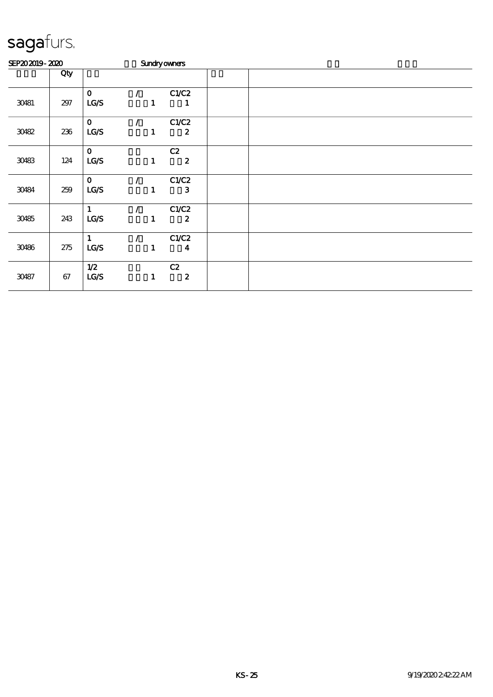| SEP202019-2020 |        |              |               |              | <b>Sundryowners</b> |  |  |  |  |
|----------------|--------|--------------|---------------|--------------|---------------------|--|--|--|--|
|                | Qty    |              |               |              |                     |  |  |  |  |
|                |        | $\mathbf 0$  | $\mathcal{L}$ |              | C1/C2               |  |  |  |  |
| 30481          | 297    | LG/S         |               | $\mathbf{1}$ | 1                   |  |  |  |  |
|                |        | $\mathbf 0$  |               |              | C1/C2               |  |  |  |  |
| 30482          | 236    | LG/S         |               | $\mathbf{1}$ | $\boldsymbol{z}$    |  |  |  |  |
|                |        | $\mathbf{O}$ |               |              | C2                  |  |  |  |  |
| 30483          | 124    | LG/S         |               | $\mathbf{1}$ | $\boldsymbol{2}$    |  |  |  |  |
|                |        | $\mathbf 0$  |               |              | C1/C2               |  |  |  |  |
| 30484          | 259    | LCS          |               | 1            | $\mathbf{3}$        |  |  |  |  |
|                |        | 1            |               |              | C1/C2               |  |  |  |  |
| 30485          | 243    | LG/S         |               | $\mathbf{1}$ | $\boldsymbol{z}$    |  |  |  |  |
|                |        | $\mathbf{1}$ | $\mathcal{L}$ |              | C1/C2               |  |  |  |  |
| 30486          | 275    | LG/S         |               | $\mathbf{1}$ | $\boldsymbol{4}$    |  |  |  |  |
|                |        | 1/2          |               |              | C2                  |  |  |  |  |
| 30487          | $67\,$ | LCS          |               | $\mathbf{1}$ | $\boldsymbol{2}$    |  |  |  |  |
|                |        |              |               |              |                     |  |  |  |  |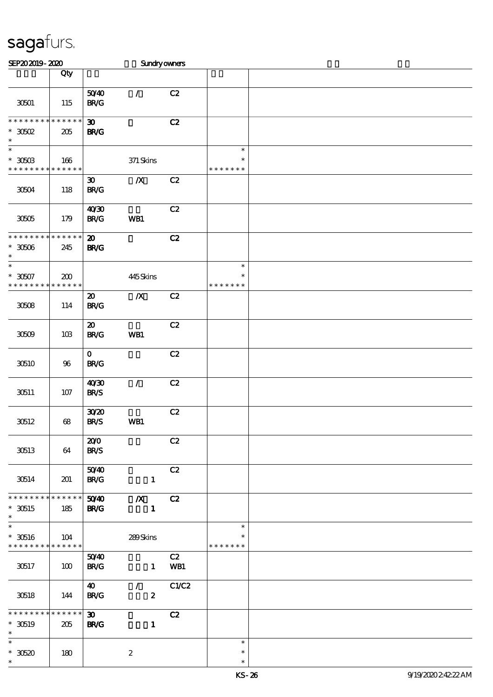| SEP202019-2020                                        |                        |                                            | Sundryowners                      |             |                                   |  |
|-------------------------------------------------------|------------------------|--------------------------------------------|-----------------------------------|-------------|-----------------------------------|--|
|                                                       | Qty                    |                                            |                                   |             |                                   |  |
|                                                       |                        | 5040                                       | $\mathcal{L}$                     | C2          |                                   |  |
| 30501<br>* * * * * * * *                              | 115<br>$* * * * * * *$ | <b>BR/G</b><br>$\boldsymbol{\mathfrak{D}}$ |                                   | C2          |                                   |  |
| $*3002$<br>$\ast$                                     | 205                    | <b>BR/G</b>                                |                                   |             |                                   |  |
| $\overline{\ast}$<br>$^\ast$ 30503<br>* * * * * * * * | 166<br>* * * * * *     |                                            | 371 Skins                         |             | $\ast$<br>$\ast$<br>* * * * * * * |  |
| 30504                                                 | 118                    | $\boldsymbol{\mathfrak{D}}$<br><b>BR/G</b> | $\boldsymbol{X}$                  | C2          |                                   |  |
| 30505                                                 | 179                    | 40'30<br><b>BR/G</b>                       | WB1                               | C2          |                                   |  |
| * * * * * * * *<br>$*30506$<br>$\ast$                 | * * * * * *<br>245     | $\boldsymbol{\mathfrak{D}}$<br><b>BR/G</b> |                                   | C2          |                                   |  |
| $\overline{\ast}$<br>$^\ast$ 30507<br>* * * * * * * * | 200<br>* * * * * *     |                                            | 445Skins                          |             | $\ast$<br>$\ast$<br>* * * * * * * |  |
| 30508                                                 | 114                    | $\boldsymbol{\mathfrak{D}}$<br><b>BR/G</b> | $\pmb{X}$                         | C2          |                                   |  |
| 30509                                                 | 10B                    | $\boldsymbol{\mathbf{z}}$<br><b>BR/G</b>   | WB1                               | C2          |                                   |  |
| 30510                                                 | 96                     | $\mathbf 0$<br><b>BR/G</b>                 |                                   | C2          |                                   |  |
| 30511                                                 | 107                    | 40'30<br><b>BR/S</b>                       | $\mathcal{L}$                     | C2          |                                   |  |
| 30512                                                 | 68                     | 3020<br><b>BR/S</b>                        | WB1                               | C2          |                                   |  |
| 30513                                                 | 64                     | 200<br><b>BR/S</b>                         |                                   | C2          |                                   |  |
| 30514                                                 | 201                    | 5040<br><b>BR/G</b>                        | $\mathbf{1}$                      | C2          |                                   |  |
| * * * * * * * * * * * * * *<br>$*30515$<br>$\ast$     | 185                    | 5040<br><b>BR/G</b>                        | $\boldsymbol{X}$<br>$\mathbf{1}$  | C2          |                                   |  |
| $\ast$<br>$*$ 30516<br>******** <mark>******</mark>   | 104                    |                                            | 289Skins                          |             | $\ast$<br>∗<br>* * * * * * *      |  |
| 30517                                                 | 100                    | 5040<br><b>BR/G</b>                        |                                   | C2<br>1 WB1 |                                   |  |
| 30518                                                 | 144                    | $\boldsymbol{\omega}$<br><b>BR/G</b>       | $\mathcal{L}$<br>$\boldsymbol{z}$ | C1/C2       |                                   |  |
| * * * * * * * *<br>$*30519$<br>$\ast$                 | * * * * * *<br>205     | $\boldsymbol{\mathfrak{D}}$<br><b>BR/G</b> | $\mathbf{1}$                      | C2          |                                   |  |
| $\ast$<br>$*30520$<br>$\ast$                          | 180                    |                                            | $\boldsymbol{z}$                  |             | $\ast$<br>$\ast$<br>$\ast$        |  |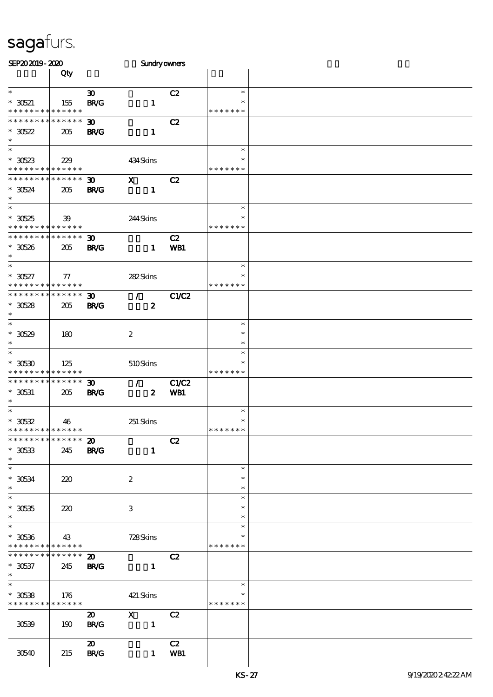| SEP202019-2020                             |                 |                             | <b>Sundryowners</b>              |       |                         |  |
|--------------------------------------------|-----------------|-----------------------------|----------------------------------|-------|-------------------------|--|
|                                            | Qty             |                             |                                  |       |                         |  |
|                                            |                 |                             |                                  |       |                         |  |
| $\ast$                                     |                 | $\boldsymbol{\mathfrak{D}}$ |                                  | C2    | $\ast$                  |  |
| $*30521$                                   | 155             | <b>BR/G</b>                 | $\mathbf{1}$                     |       | $\ast$                  |  |
| * * * * * * * * * * * * * *                |                 |                             |                                  |       | * * * * * * *           |  |
| * * * * * * * * * * * * * *                |                 | $\boldsymbol{\mathfrak{D}}$ |                                  | C2    |                         |  |
| $*30522$                                   | 205             | <b>BR/G</b>                 | $\mathbf{1}$                     |       |                         |  |
| $\ast$                                     |                 |                             |                                  |       |                         |  |
| $\ast$                                     |                 |                             |                                  |       | $\ast$                  |  |
|                                            |                 |                             |                                  |       |                         |  |
| $*30523$                                   | 229             |                             | 434Skins                         |       | $\ast$                  |  |
| * * * * * * * * * * * * * *                |                 |                             |                                  |       | * * * * * * *           |  |
| * * * * * * * * * * * * * *                |                 | $\boldsymbol{\mathfrak{D}}$ | $\boldsymbol{\mathrm{X}}$        | C2    |                         |  |
| $*30524$                                   | 205             | <b>BR/G</b>                 | $\mathbf{1}$                     |       |                         |  |
| $\ast$                                     |                 |                             |                                  |       |                         |  |
| $\ast$                                     |                 |                             |                                  |       | $\ast$                  |  |
| $^\ast$ 30525                              | $39$            |                             | 244Skins                         |       | $\ast$                  |  |
| * * * * * * * * * * * * * *                |                 |                             |                                  |       | * * * * * * *           |  |
| * * * * * * * * * * * * * *                |                 | $\boldsymbol{\mathfrak{D}}$ |                                  | C2    |                         |  |
| $*30526$                                   | 205             | <b>BR/G</b>                 | $\mathbf{1}$                     | WB1   |                         |  |
| $\ast$                                     |                 |                             |                                  |       |                         |  |
| $\ast$                                     |                 |                             |                                  |       | $\ast$                  |  |
|                                            |                 |                             |                                  |       | $\ast$                  |  |
| $*30527$                                   | $\tau$          |                             | 282Skins                         |       |                         |  |
| * * * * * * * * * * * * * *                |                 |                             |                                  |       | * * * * * * *           |  |
| * * * * * * * * * * * * * *                |                 | $\boldsymbol{\mathfrak{D}}$ | $\mathcal{T}$                    | C1/C2 |                         |  |
| $*30528$                                   | 205             | <b>BR/G</b>                 | $\boldsymbol{z}$                 |       |                         |  |
| $\ast$                                     |                 |                             |                                  |       |                         |  |
| $\ast$                                     |                 |                             |                                  |       | $\ast$                  |  |
| $*30529$                                   | 180             |                             | $\boldsymbol{2}$                 |       | $\ast$                  |  |
| $\ast$                                     |                 |                             |                                  |       | $\ast$                  |  |
| $\ast$                                     |                 |                             |                                  |       | $\ast$                  |  |
| $*$ 30530                                  | 125             |                             | 510Skins                         |       | $\ast$                  |  |
| * * * * * * * * * * * * * *                |                 |                             |                                  |       | * * * * * * *           |  |
| * * * * * * * * * * * * * *                |                 | $\boldsymbol{\mathfrak{D}}$ | $\mathcal{L}$                    | C1/C2 |                         |  |
|                                            |                 |                             |                                  |       |                         |  |
| $*$ 30531<br>$\ast$                        | 205             | <b>BR/G</b>                 | $\boldsymbol{z}$                 | WB1   |                         |  |
| $\overline{\ast}$                          |                 |                             |                                  |       | $\ast$                  |  |
|                                            |                 |                             |                                  |       |                         |  |
| $^\ast$ 30532                              | 46              |                             | 251 Skins                        |       | $\ast$<br>* * * * * * * |  |
| * * * * * * * * * * * * * *                |                 |                             |                                  |       |                         |  |
| **************                             |                 | $\boldsymbol{\mathfrak{D}}$ |                                  | C2    |                         |  |
| $^\ast$ 30533                              | 245             | <b>BR/G</b>                 | $\mathbf{1}$                     |       |                         |  |
| $\ast$                                     |                 |                             |                                  |       |                         |  |
| $\ast$                                     |                 |                             |                                  |       | $\ast$                  |  |
| $^\ast$ 30534                              | 220             |                             | $\boldsymbol{z}$                 |       | $\ast$                  |  |
| $\ast$                                     |                 |                             |                                  |       | $\ast$                  |  |
| $\ast$                                     |                 |                             |                                  |       | $\ast$                  |  |
| $^\ast$ 30535                              | 220             |                             | 3                                |       | $\ast$                  |  |
| $\ast$                                     |                 |                             |                                  |       | $\ast$                  |  |
| $\ast$                                     |                 |                             |                                  |       | $\ast$                  |  |
|                                            |                 |                             |                                  |       | *                       |  |
| $* 30536$                                  | 43              |                             | 728Skins                         |       |                         |  |
| * * * * * * * * <mark>* * * * * * *</mark> |                 |                             |                                  |       | * * * * * * *           |  |
| * * * * * * * *                            | $* * * * * * *$ | $\boldsymbol{\mathsf{20}}$  |                                  | C2    |                         |  |
| $* 30537$                                  | 245             | <b>BR/G</b>                 | $\mathbf{1}$                     |       |                         |  |
| $*$                                        |                 |                             |                                  |       |                         |  |
| $\ast$                                     |                 |                             |                                  |       | $\ast$                  |  |
| $*30538$                                   | 176             |                             | 421 Skins                        |       | ∗                       |  |
| * * * * * * * * * * * * * *                |                 |                             |                                  |       | * * * * * * *           |  |
|                                            |                 | $\boldsymbol{\mathfrak{D}}$ |                                  | C2    |                         |  |
| 30539                                      | 190             | <b>BR/G</b>                 | $\overline{X}$<br>$\blacksquare$ |       |                         |  |
|                                            |                 |                             |                                  |       |                         |  |
|                                            |                 |                             |                                  |       |                         |  |
|                                            |                 | $\boldsymbol{\mathfrak{D}}$ |                                  | C2    |                         |  |
| 30540                                      | 215             | <b>BR/G</b>                 |                                  | 1 WB1 |                         |  |
|                                            |                 |                             |                                  |       |                         |  |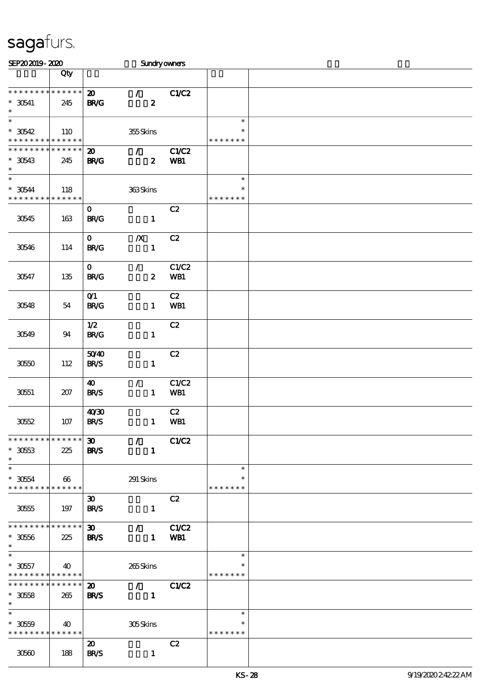| SEP202019-2020                                                         |                    |                                            |                                                   | <b>Sundryowners</b> |                                   |  |
|------------------------------------------------------------------------|--------------------|--------------------------------------------|---------------------------------------------------|---------------------|-----------------------------------|--|
|                                                                        | Qty                |                                            |                                                   |                     |                                   |  |
| * * * * * * * *<br>$*30541$<br>$\ast$                                  | * * * * * *<br>245 | $\boldsymbol{\mathfrak{D}}$<br><b>BR/G</b> | $\mathcal{L}$<br>$\boldsymbol{z}$                 | C1/C2               |                                   |  |
| $\ast$<br>$^*$ 30542 $\,$<br>* * * * * * * * * * * * * *               | 110                |                                            | 355Skins                                          |                     | $\ast$<br>$\ast$<br>* * * * * * * |  |
| * * * * * * * * * * * * * *<br>$*30543$<br>$\ast$<br>$\overline{\ast}$ | 245                | $\boldsymbol{\mathfrak{D}}$<br><b>BR/G</b> | $\mathcal{T}^{\mathcal{A}}$<br>$\boldsymbol{z}$   | C1/C2<br>WB1        |                                   |  |
| $*30544$<br>* * * * * * * *                                            | 118<br>* * * * * * |                                            | 363Skins                                          |                     | $\ast$<br>$\ast$<br>* * * * * * * |  |
| 30545                                                                  | 163                | $\mathbf 0$<br><b>BR/G</b>                 | $\mathbf{1}$                                      | C2                  |                                   |  |
| 30546                                                                  | 114                | $\mathbf{O}$<br><b>BR/G</b>                | $\boldsymbol{X}$<br>$\mathbf{1}$                  | C2                  |                                   |  |
| 30547                                                                  | 135                | $\mathbf{O}$<br><b>BR/G</b>                | $\mathcal{L}$<br>$\boldsymbol{z}$                 | C1/C2<br>WB1        |                                   |  |
| 30548                                                                  | 54                 | O(1)<br><b>BR/G</b>                        | $\mathbf{1}$                                      | C2<br>WB1           |                                   |  |
| 30549                                                                  | 94                 | 1/2<br><b>BR/G</b>                         | $\mathbf{1}$                                      | C2                  |                                   |  |
| 3050                                                                   | 112                | 5040<br><b>BR/S</b>                        | $\mathbf{1}$                                      | C2                  |                                   |  |
| 30551                                                                  | 207                | 40<br><b>BR/S</b>                          | $\mathcal{L}$<br>$\mathbf{1}$                     | C1/C2<br>WB1        |                                   |  |
| 3052                                                                   | 107                | 40'30<br><b>BR/S</b>                       | $\mathbf{1}$                                      | C2<br>WB1           |                                   |  |
| * * * * * * * * * * * * * * *<br>$*3053$<br>$\ast$                     | 225                | $\boldsymbol{\mathfrak{D}}$<br><b>BR/S</b> | $\mathcal{L}$<br>$\mathbf{1}$                     | <b>C1/C2</b>        |                                   |  |
| $\ast$<br>$^\ast$ 3054<br>* * * * * * * * * * * * * * *                | 66                 |                                            | 291 Skins                                         |                     | $\ast$<br>$\ast$<br>* * * * * * * |  |
| 30555                                                                  | 197                | $\boldsymbol{\mathfrak{D}}$<br><b>BR/S</b> | $\mathbf{1}$                                      | C2                  |                                   |  |
| * * * * * * * * * * * * * *<br>$^\ast$ 30566<br>$\ast$                 | 225                | $\boldsymbol{\mathfrak{D}}$<br><b>BR/S</b> | $\mathcal{L}$ and $\mathcal{L}$<br>$\mathbf{1}$   | C1/C2<br>WB1        |                                   |  |
| $\ast$<br>$*3057$<br>* * * * * * * * * * * * * *                       | 40                 |                                            | 265Skins                                          |                     | $\ast$<br>∗<br>* * * * * * *      |  |
| * * * * * * * *<br>$*3058$<br>$\ast$                                   | * * * * * *<br>265 | $\boldsymbol{\mathfrak{D}}$<br><b>BR/S</b> | $\mathcal{T}$ and $\mathcal{T}$<br>$\blacksquare$ | C1/C2               |                                   |  |
| $\overline{\phantom{1}}$<br>$*3050$<br>* * * * * * * * * * * * * *     | 40                 |                                            | 305Skins                                          |                     | $\ast$<br>∗<br>* * * * * * *      |  |
| 30560                                                                  | 188                | $\boldsymbol{\mathfrak{D}}$<br><b>BR/S</b> | $\mathbf{1}$                                      | C2                  |                                   |  |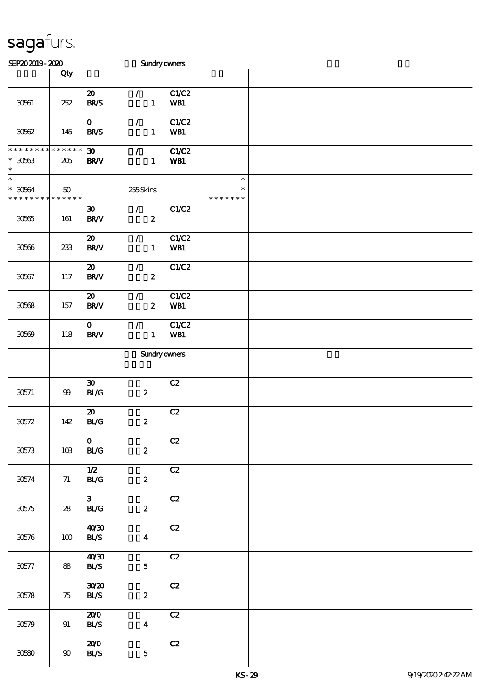| SEP202019-2020                                         |         |                                                    | <b>Sundryowners</b>                             |               |                                   |  |
|--------------------------------------------------------|---------|----------------------------------------------------|-------------------------------------------------|---------------|-----------------------------------|--|
|                                                        | Qty     |                                                    |                                                 |               |                                   |  |
| 30561                                                  | 252     | $\boldsymbol{\mathfrak{D}}$<br><b>BR/S</b>         | $\mathcal{L}$<br>$\mathbf{1}$                   | C1/C2<br>WB1  |                                   |  |
| 30562                                                  | 145     | $\mathbf{O}$<br><b>BR/S</b>                        | $\mathcal{L}$<br>$\mathbf{1}$                   | C1/C2<br>WB1  |                                   |  |
| ***************<br>$^\ast$ 30563<br>$\ast$             | 205     | $\boldsymbol{\mathfrak{D}}$<br><b>BR/V</b>         | $\mathcal{L}$<br>$\mathbf{1}$                   | C1/C2<br>WB1  |                                   |  |
| $\ast$<br>$^\ast$ 30564<br>* * * * * * * * * * * * * * | 50      |                                                    | 255Skins                                        |               | $\ast$<br>$\ast$<br>* * * * * * * |  |
| 30565                                                  | 161     | $\boldsymbol{\mathfrak{D}}$<br><b>BR/V</b>         | $\mathcal{T}_{\mathcal{A}}$<br>$\boldsymbol{z}$ | C1/C2         |                                   |  |
| 30566                                                  | $233\,$ | $\boldsymbol{\mathbf{z}}$<br>BRV                   | $\mathcal{L}$<br>$\mathbf{1}$                   | C1/C2<br>WB1  |                                   |  |
| 30567                                                  | 117     | $\boldsymbol{\mathfrak{D}}$<br>$\text{BR}\text{V}$ | $\mathcal{L}$<br>$\boldsymbol{z}$               | C1/C2         |                                   |  |
| 30568                                                  | 157     | $\boldsymbol{\mathfrak{D}}$<br>BRV                 | $\mathcal{L}$<br>$\boldsymbol{z}$               | C1/C2<br>WB1  |                                   |  |
| 30609                                                  | 118     | $\mathbf{O}$<br><b>BR/V</b>                        | $\mathcal{L}$<br>$\mathbf{1}$                   | C1/C2<br>WB1  |                                   |  |
|                                                        |         |                                                    | <b>Sundryowners</b>                             |               |                                   |  |
| 30571                                                  | $99$    | $\boldsymbol{\mathfrak{D}}$<br>BLG                 | $\boldsymbol{z}$                                | C2            |                                   |  |
| $30572$                                                | 142     | $\boldsymbol{\mathfrak{D}}$<br>BLG                 | $\boldsymbol{z}$                                | C2            |                                   |  |
| 30573                                                  | 10B     | $\mathbf{O}$<br>BLG                                | $\boldsymbol{2}$                                | $\mathbf{C2}$ |                                   |  |
| 30574                                                  | 71      | 1/2<br>BLG                                         | $\boldsymbol{z}$                                | C2            |                                   |  |
| 30575                                                  | 28      | 3 <sup>1</sup><br><b>BL/G</b>                      | $\boldsymbol{z}$                                | $\mathbf{C2}$ |                                   |  |
| $305\%$                                                | 100     | 40'30<br><b>BL/S</b>                               | $\boldsymbol{4}$                                | C2            |                                   |  |
| 30577                                                  | 88      | 40'30<br><b>BLS</b>                                | $5\phantom{.0}$                                 | C2            |                                   |  |
| $305\%$                                                | 75      | 3020<br><b>BLS</b>                                 | $\boldsymbol{z}$                                | C2            |                                   |  |
| 30579                                                  | 91      | 200<br><b>BL/S</b>                                 | $\boldsymbol{4}$                                | C2            |                                   |  |
| 30580                                                  | $90\,$  | 200<br>BLS                                         | ${\bf 5}$                                       | C2            |                                   |  |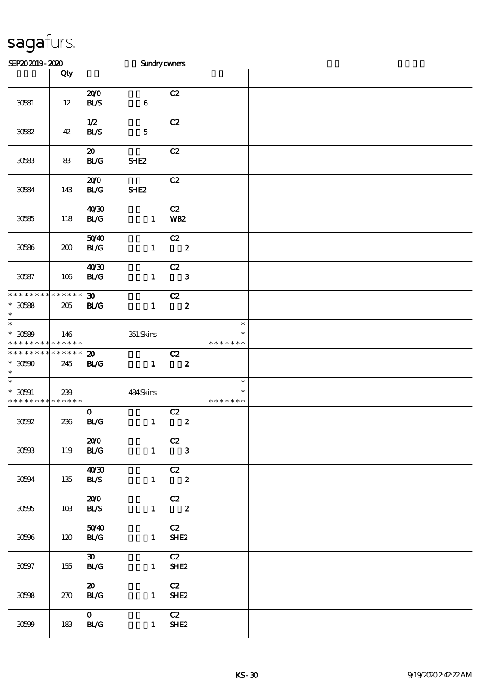| SEP202019-2020                                                           |     |                                            | Sundryowners     |                                  |                                   |  |
|--------------------------------------------------------------------------|-----|--------------------------------------------|------------------|----------------------------------|-----------------------------------|--|
|                                                                          | Qty |                                            |                  |                                  |                                   |  |
| 30581                                                                    | 12  | 200<br>BLS                                 | $\bf{6}$         | C2                               |                                   |  |
| 30582                                                                    | 42  | 1/2<br><b>BL/S</b>                         | ${\bf 5}$        | C2                               |                                   |  |
| 30583                                                                    | 83  | $\boldsymbol{\mathfrak{D}}$<br>BLG         | SHE <sub>2</sub> | C2                               |                                   |  |
| 30584                                                                    | 143 | 200<br>BLG                                 | SHE <sub>2</sub> | C2                               |                                   |  |
| $30585\,$                                                                | 118 | 40'30<br>BLG                               | $\mathbf{1}$     | C2<br>WB <sub>2</sub>            |                                   |  |
| 30586                                                                    | 200 | 5040<br><b>BL/G</b>                        | $\mathbf{1}$     | C2<br>$\overline{\phantom{a}}$ 2 |                                   |  |
| $30587\,$                                                                | 106 | 40 <sup>30</sup><br>BLG                    | $\mathbf{1}$     | C2<br>$\mathbf{3}$               |                                   |  |
| * * * * * * * * * * * * * *<br>$^\ast$ 30588<br>$\ast$                   | 205 | 30 <sub>1</sub><br><b>BL/G</b>             | $\mathbf{1}$     | C2<br>$\boldsymbol{z}$           |                                   |  |
| $\overline{\phantom{0}}$<br>$^\ast$ 30589<br>* * * * * * * * * * * * * * | 146 |                                            | $351$ Skins      |                                  | $\ast$<br>$\ast$<br>* * * * * * * |  |
| * * * * * * * * * * * * * *<br>$^\ast$ 30590<br>$\ast$                   | 245 | $\boldsymbol{\mathfrak{D}}$<br><b>BL/G</b> | $\mathbf{1}$     | C2<br>$\overline{\mathbf{2}}$    |                                   |  |
| $\ast$<br>$* 30591$<br>* * * * * * * * * * * * * *                       | 239 |                                            | 484Skins         |                                  | $\ast$<br>$\ast$<br>* * * * * * * |  |
| 30692                                                                    | 236 | $\mathbf{O}$<br>BLG                        | $\mathbf{1}$     | C2<br>$\boldsymbol{z}$           |                                   |  |
| 30603                                                                    | 119 | 200<br>BLG                                 | $\mathbf{1}$     | C2<br>$\overline{\phantom{a}}$ 3 |                                   |  |
| 30594                                                                    | 135 | 40'30<br><b>BL/S</b>                       |                  | C2<br>$1 \t 2$                   |                                   |  |
| 30595                                                                    | 10B | 200<br><b>BLS</b>                          |                  | C2<br>$1 \t 2$                   |                                   |  |
| 30596                                                                    | 120 | 5040<br>BLG                                | $1 -$            | C2<br>SHE <sub>2</sub>           |                                   |  |
| $30597\,$                                                                | 155 | $\boldsymbol{\mathfrak{D}}$<br><b>BL/G</b> |                  | C2<br>$1$ SHE2                   |                                   |  |
| 30598                                                                    | 270 | $\boldsymbol{\mathfrak{D}}$<br><b>BL/G</b> |                  | C2<br>$1$ SHE2                   |                                   |  |
| 30699                                                                    | 183 | $\mathbf{O}$<br><b>BL/G</b>                |                  | C2<br>$1$ SHE2                   |                                   |  |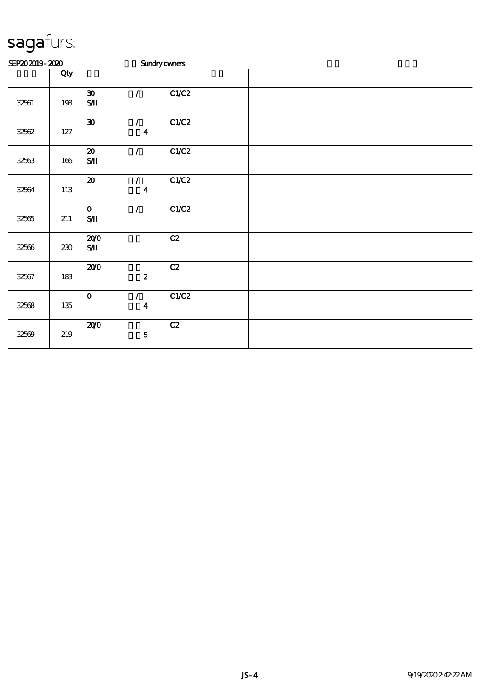| SEP202019-2020 |         |                                                         |                                                | <b>Sundryowners</b> |  |  |  |
|----------------|---------|---------------------------------------------------------|------------------------------------------------|---------------------|--|--|--|
|                | Qty     |                                                         |                                                |                     |  |  |  |
| 32561          | 198     | $\boldsymbol{\mathfrak{D}}$<br>$\mathbf{S}\mathbf{\Pi}$ | $\mathcal{L}$                                  | C1/C2               |  |  |  |
| 32562          | $127\,$ | $\pmb{\mathfrak{D}}$                                    | $\mathcal{L}$<br>$\boldsymbol{4}$              | C1/C2               |  |  |  |
| 32563          | $166\,$ | $\boldsymbol{\mathsf{20}}$<br>$\mathbf{S}\mathbf{\Pi}$  | $\mathcal{L}$                                  | C1/C2               |  |  |  |
| 32564          | 113     | $\pmb{\mathcal{Z}}$                                     | $\mathcal{L}$<br>$\boldsymbol{4}$              | C1/C2               |  |  |  |
| 32565          | 211     | $\mathbf{o}$<br>$\mathbf{S}/\mathbf{I}$                 | $\mathcal{L}$                                  | C1/C2               |  |  |  |
| 32566          | $230\,$ | 200<br>$\mathbf{S}/\mathbf{I}$                          |                                                | C2                  |  |  |  |
| 32567          | 183     | 200                                                     | $\boldsymbol{2}$                               | $\mathbf{C2}$       |  |  |  |
| 32568          | $135\,$ | $\mathbf O$                                             | $\mathcal{L}_{\mathbb{R}}$<br>$\boldsymbol{4}$ | C1/C2               |  |  |  |
| 32569          | 219     | 200                                                     | ${\bf 5}$                                      | C2                  |  |  |  |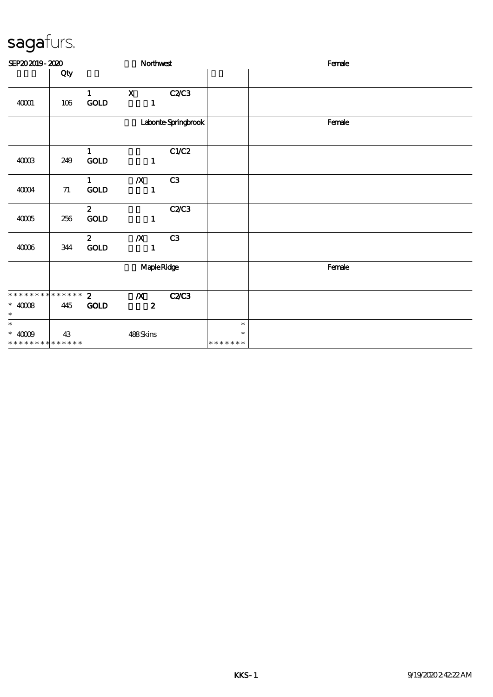| SEP202019-2020                                            |     |                                       | Northwest                            |                      |                                   | Female |
|-----------------------------------------------------------|-----|---------------------------------------|--------------------------------------|----------------------|-----------------------------------|--------|
|                                                           | Qty |                                       |                                      |                      |                                   |        |
| 40001                                                     | 106 | $\mathbf{1}$<br><b>GOLD</b>           | $\mathbf{x}$<br>$\mathbf{1}$         | C2/C3                |                                   |        |
|                                                           |     |                                       |                                      | Laborite Springbrook |                                   | Female |
| 40003                                                     | 249 | 1<br>$\mathop{\mathrm{GOD}}$          | $\mathbf{1}$                         | C1/C2                |                                   |        |
| $4004$                                                    | 71  | $1 \quad \blacksquare$<br><b>GOLD</b> | $\boldsymbol{X}$<br>$\mathbf{1}$     | C3                   |                                   |        |
| $4005$                                                    | 256 | $\mathbf{2}$<br>$\mathop{\rm GOD}$    | $\mathbf{1}$                         | C2C3                 |                                   |        |
| 40006                                                     | 344 | $\mathbf{2}$<br>GOLD                  | $\boldsymbol{X}$<br>$\mathbf{1}$     | C3                   |                                   |        |
|                                                           |     |                                       | MapleRidge                           |                      |                                   | Female |
| * * * * * * * * * * * * * * *<br>$*$ 40008 $\,$<br>$\ast$ | 445 | $\mathbf{2}$<br><b>GOLD</b>           | $\boldsymbol{X}$<br>$\boldsymbol{z}$ | <b>C2/C3</b>         |                                   |        |
| $\ast$<br>$*$ 40009<br>* * * * * * * * * * * * * *        | 43  |                                       | 488Skins                             |                      | $\ast$<br>$\ast$<br>* * * * * * * |        |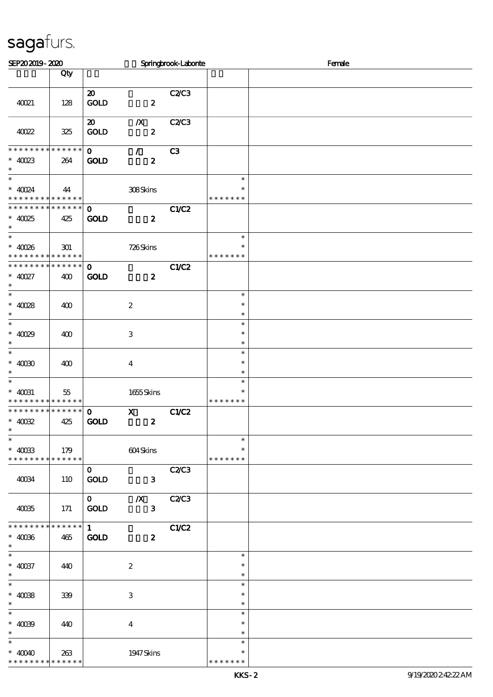| SEP202019-2020                                                       |                    |                                            |                                      | Springbrook-Laborie |                                   | Female |
|----------------------------------------------------------------------|--------------------|--------------------------------------------|--------------------------------------|---------------------|-----------------------------------|--------|
|                                                                      | Qty                |                                            |                                      |                     |                                   |        |
| 40021                                                                | 128                | $\boldsymbol{\mathfrak{D}}$<br><b>GOLD</b> | $\boldsymbol{z}$                     | C2/C3               |                                   |        |
| 40022                                                                | 325                | $\boldsymbol{\omega}$<br><b>GOLD</b>       | $\boldsymbol{X}$<br>$\boldsymbol{z}$ | <b>C2/C3</b>        |                                   |        |
| * * * * * * * *<br>$*$ 40023<br>$\ast$                               | * * * * * *<br>264 | $\mathbf{O}$<br><b>GOLD</b>                | $\mathcal{L}$<br>$\boldsymbol{z}$    | C3                  |                                   |        |
| $\overline{\phantom{0}}$<br>$*$ 40024<br>* * * * * * * * * * * * * * | 44                 |                                            | 308Skins                             |                     | $\ast$<br>$\ast$<br>* * * * * * * |        |
| * * * * * * * * * * * * * * *<br>$*$ 40025<br>$\ast$                 | 425                | $\mathbf{O}$<br><b>GOLD</b>                | $\boldsymbol{z}$                     | C1/C2               |                                   |        |
| $\ast$<br>$* 40086$<br>* * * * * * * * * * * * * *                   | 301                |                                            | 726Skins                             |                     | $\ast$<br>$\ast$<br>* * * * * * * |        |
| * * * * * * * * * * * * * *<br>$* 40027$<br>$\ast$                   | 400                | $\mathbf{O}$<br><b>GOLD</b>                | $\boldsymbol{z}$                     | C1/C2               |                                   |        |
| $_{*}^{-}$<br>$*$ 40028<br>$\ast$                                    | 400                |                                            | $\boldsymbol{2}$                     |                     | $\ast$<br>$\ast$<br>$\ast$        |        |
| $\overline{\phantom{0}}$<br>$* 4009$<br>$\ast$                       | 400                |                                            | $\,3$                                |                     | $\ast$<br>$\ast$<br>$\ast$        |        |
| $\overline{\ast}$<br>$*$ 40080<br>$\ast$                             | 400                |                                            | $\boldsymbol{4}$                     |                     | $\ast$<br>$\ast$<br>$\ast$        |        |
| $\ast$<br>$*$ 40031<br>* * * * * * * * * * * * * *                   | 55                 |                                            | $1655$ Skins                         |                     | $\ast$<br>$\ast$<br>* * * * * * * |        |
| * * * * * * * * * * * * * *<br>$*$ 40032<br>$\ast$                   | 425                | $\mathbf 0$<br><b>GOLD</b>                 | $\mathbf{x}$<br>$\boldsymbol{z}$     | C1/C2               |                                   |        |
| $\ast$<br>$*$ 40033<br>* * * * * * * * * * * * * *                   | 179                |                                            | 604Skins                             |                     | $\ast$<br>$\ast$<br>* * * * * * * |        |
| 40034                                                                | 110                | $\mathbf{O}$<br><b>GOLD</b>                | $\mathbf{3}$                         | <b>C2/C3</b>        |                                   |        |
| 40035                                                                | 171                | $\mathbf{O}$<br>GOLD                       | $\boldsymbol{X}$<br>$\mathbf{3}$     | C2C3                |                                   |        |
| **************<br>$* 4006$<br>$\ast$                                 | 465                | $1 -$<br><b>GOLD</b>                       | $\boldsymbol{z}$                     | C1/C2               |                                   |        |
| $\ast$<br>$\hspace{0.1cm}^*$ 40037<br>$\ast$                         | 440                |                                            | $\boldsymbol{2}$                     |                     | $\ast$<br>$\ast$<br>$\ast$        |        |
| $\overline{\ast}$<br>$* 4008$<br>$\ast$                              | 339                |                                            | $\,3$                                |                     | $\ast$<br>$\ast$<br>$\ast$        |        |
| $\overline{\ast}$<br>$* 4009$<br>$\ast$                              | 440                |                                            | $\bf{4}$                             |                     | $\ast$<br>$\ast$<br>$\ast$        |        |
| $\ast$<br>$* 4000$<br>* * * * * * * *                                | 263<br>* * * * * * |                                            | 1947 Skins                           |                     | $\ast$<br>$\ast$<br>* * * * * * * |        |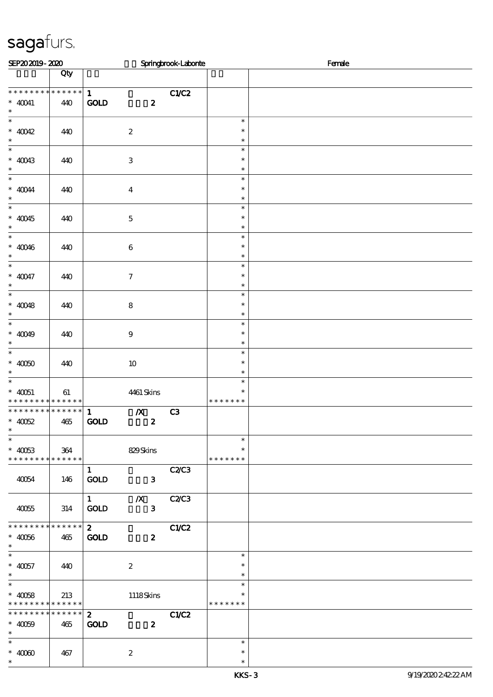| SEP202019-2020                                                                         |                    |                                                                    | Springbrook-Laborie |                                   | Female |
|----------------------------------------------------------------------------------------|--------------------|--------------------------------------------------------------------|---------------------|-----------------------------------|--------|
|                                                                                        | Qty                |                                                                    |                     |                                   |        |
| * * * * * * * *<br>$*$ 40041<br>$\ast$                                                 | $******$<br>440    | $\mathbf{1}$<br><b>GOLD</b><br>$\boldsymbol{z}$                    | C1/C2               |                                   |        |
| $\ast$<br>$* 40042$<br>$\ast$                                                          | 440                | $\boldsymbol{z}$                                                   |                     | $\ast$<br>$\ast$<br>$\ast$        |        |
| $\overline{\phantom{0}}$<br>$* 40043$<br>$\ast$                                        | 440                | $\ensuremath{\mathbf{3}}$                                          |                     | $\ast$<br>$\ast$<br>$\ast$        |        |
| $\overline{\ast}$<br>$\hspace{0.1cm}^*$ 40044<br>$\ast$                                | 440                | $\boldsymbol{4}$                                                   |                     | $\ast$<br>$\ast$<br>$\ast$        |        |
| $\ast$<br>$* 40045$<br>$\ast$                                                          | 440                | $\mathbf 5$                                                        |                     | $\ast$<br>$\ast$<br>$\ast$        |        |
| $\overline{\phantom{0}}$<br>$* 40046$<br>$\ast$                                        | 440                | $\bf 6$                                                            |                     | $\ast$<br>$\ast$<br>$\ast$        |        |
| $\overline{\ast}$<br>$* 40047$<br>$\ast$                                               | 440                | $\boldsymbol{\tau}$                                                |                     | $\ast$<br>$\ast$<br>$\ast$        |        |
| $\overline{\phantom{0}}$<br>$* 40048$<br>$\ast$                                        | 440                | $\bf8$                                                             |                     | $\ast$<br>$\ast$<br>$\ast$        |        |
| $\overline{\phantom{0}}$<br>* $40049$<br>$\ast$                                        | 440                | $\boldsymbol{9}$                                                   |                     | $\ast$<br>$\ast$<br>$\ast$        |        |
| $\overline{\phantom{0}}$<br>$\hspace{0.1cm}^*$ 40050<br>$\ast$                         | 440                | $10\,$                                                             |                     | $\ast$<br>$\ast$<br>$\ast$        |        |
| $\overline{\phantom{1}}$<br>$* 40051$<br>* * * * * * * * * * * * * * *                 | 61                 | 4461 Skins                                                         |                     | $\ast$<br>$\ast$<br>* * * * * * * |        |
| * * * * * * * * * * * * * *<br>$\hspace{0.1cm}^*$ 40052<br>$\ast$<br>$\overline{\ast}$ | 465                | $\mathbb{X}$<br>$\mathbf{1}$<br><b>GOLD</b><br>$\boldsymbol{z}$    | C3                  |                                   |        |
| $* 40033$<br>* * * * * * * * * * * * * *                                               | 364                | 829Skins                                                           |                     | $\ast$<br>$\ast$<br>* * * * * * * |        |
| 40054                                                                                  | 146                | $\mathbf{1}$<br>GOLD<br>$\mathbf{3}$                               | C2C3                |                                   |        |
| 40055                                                                                  | 314                | $\boldsymbol{X}$<br>$1 \quad \blacksquare$<br>GOLD<br>$\mathbf{3}$ | <b>C2/C3</b>        |                                   |        |
| * * * * * * * * * * * * * *<br>$* 40066$<br>$\ast$                                     | 465                | $\mathbf{2}$<br><b>GOLD</b><br>$\boldsymbol{z}$                    | C1/C2               |                                   |        |
| $\ast$<br>$* 40057$<br>$\ast$                                                          | 440                | $\boldsymbol{z}$                                                   |                     | $\ast$<br>$\ast$<br>$\ast$        |        |
| $\ast$<br>$* 40058$<br>* * * * * * * *                                                 | 213<br>$******$    | 1118Skins                                                          |                     | $\ast$<br>$\ast$<br>* * * * * * * |        |
| * * * * * * * *<br>$* 40009$<br>$\ast$                                                 | * * * * * *<br>465 | $\mathbf{2}$<br><b>GOLD</b><br>$\boldsymbol{z}$                    | C1/C2               |                                   |        |
| $\ast$<br>$*$ 40000<br>$\ast$                                                          | 467                | $\boldsymbol{z}$                                                   |                     | $\ast$<br>$\ast$<br>$\ast$        |        |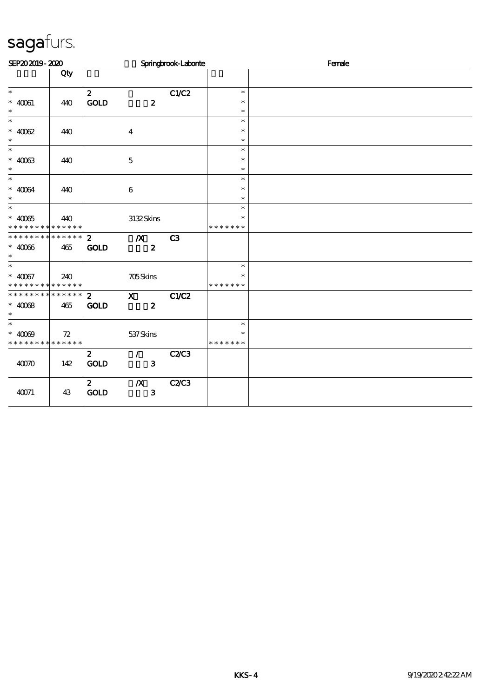| SEP202019-2020                             |     |                 |                  | Springbrook-Laborite |                         | Female |
|--------------------------------------------|-----|-----------------|------------------|----------------------|-------------------------|--------|
|                                            | Qty |                 |                  |                      |                         |        |
| $\ast$                                     |     | $\mathbf{z}$    |                  | C1/C2                | $\ast$                  |        |
| $*$ 40061                                  | 440 | <b>GOLD</b>     | $\boldsymbol{z}$ |                      | $\ast$                  |        |
| $\ast$                                     |     |                 |                  |                      | $\ast$                  |        |
| $\overline{\ast}$                          |     |                 |                  |                      | $\ast$                  |        |
| $* 4002$                                   | 440 |                 | $\boldsymbol{4}$ |                      | $\ast$                  |        |
| $\ast$<br>$\overline{\phantom{0}}$         |     |                 |                  |                      | $\ast$                  |        |
|                                            |     |                 |                  |                      | $\ast$                  |        |
| $* 4003$<br>$\ast$                         | 440 |                 | $\bf 5$          |                      | $\ast$<br>$\ast$        |        |
| $\overline{\ast}$                          |     |                 |                  |                      | $\ast$                  |        |
| $* 40064$                                  | 440 |                 | $\bf 6$          |                      | $\ast$                  |        |
| $\ast$                                     |     |                 |                  |                      | $\ast$                  |        |
| $\overline{\ast}$                          |     |                 |                  |                      | $\ast$                  |        |
| $^*$ 40065 $\,$                            | 440 |                 | 3132Skins        |                      | $\ast$                  |        |
| * * * * * * * * * * * * * *                |     |                 |                  |                      | * * * * * * *           |        |
| * * * * * * * * * * * * * * *              |     | $\mathbf{z}$    | $\boldsymbol{X}$ | C3                   |                         |        |
| $* 4006$                                   | 465 | <b>GOLD</b>     | $\boldsymbol{z}$ |                      |                         |        |
| $\ast$                                     |     |                 |                  |                      |                         |        |
| $\ast$                                     |     |                 |                  |                      | $\ast$                  |        |
| $* 40067$<br>* * * * * * * * * * * * * * * | 240 |                 | <b>705Skins</b>  |                      | $\ast$<br>* * * * * * * |        |
| * * * * * * * * * * * * * * *              |     | $\mathbf{2}$    | $\mathbf{X}$     | C1/C2                |                         |        |
| $* 4008$                                   | 465 | <b>GOLD</b>     | $\boldsymbol{z}$ |                      |                         |        |
| $\ast$                                     |     |                 |                  |                      |                         |        |
| $\ast$                                     |     |                 |                  |                      | $\ast$                  |        |
| $* 4000$                                   | 72  |                 | 537 Skins        |                      | $\ast$                  |        |
| * * * * * * * * * * * * * * *              |     |                 |                  |                      | * * * * * * *           |        |
|                                            |     | $\mathbf{z}$    | $\mathcal{T}$    | C2/C3                |                         |        |
| 4000                                       | 142 | $\mathbf{GOLD}$ | $\mathbf{3}$     |                      |                         |        |
|                                            |     |                 |                  |                      |                         |        |
|                                            |     | $\mathbf{2}$    | $\boldsymbol{X}$ | <b>C2/C3</b>         |                         |        |
| 40071                                      | 43  | <b>GOLD</b>     | $\mathbf{3}$     |                      |                         |        |
|                                            |     |                 |                  |                      |                         |        |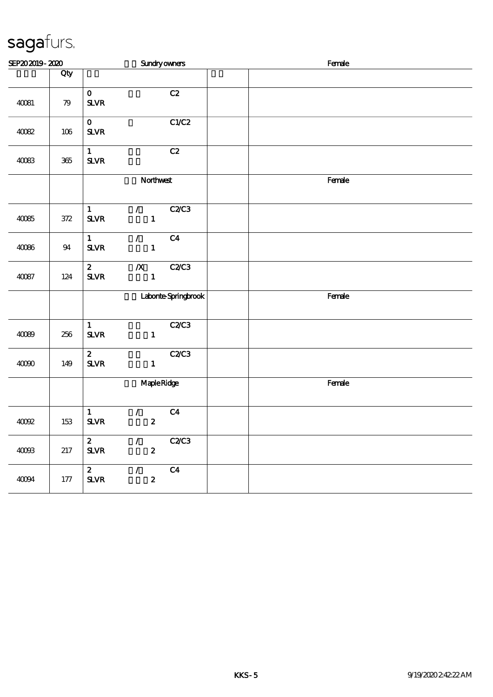| SEP202019-2020 |         |                                                                               | <b>Sundryowners</b>  | Female |
|----------------|---------|-------------------------------------------------------------------------------|----------------------|--------|
|                | Qty     |                                                                               |                      |        |
| 40081          | 79      | $\mathbf{o}$<br>${\bf S\!L}\!{\bf V\!R}$                                      | C2                   |        |
| $4002$         | $106\,$ | $\mathbf{o}$<br>${\bf S\!L}\!{\bf V\!R}$                                      | C1/C2                |        |
| 40083          | $365\,$ | $\mathbf{1}$<br>${\bf S\!L}\!{\bf V\!R}$                                      | C2                   |        |
|                |         | Northwest                                                                     |                      | Female |
| 40085          | $372\,$ | $\mathbf{1}$<br>$\mathcal{L}_{\mathbb{R}}$<br>$\mathbf{1}$<br>$S\!L\!V\!R$    | <b>C2/C3</b>         |        |
| 40086          | $9\!4$  | $\mathbf{1}$<br>$\mathcal{L}$<br>$\mathbf 1$<br>${\bf S\!L}\!{\bf V\!R}$      | C <sub>4</sub>       |        |
| $40087$        | 124     | $\mathbf{z}$<br>$\boldsymbol{X}$<br>$\mathbf{1}$<br>${\bf S\!L}\!{\bf V\!R}$  | C2C3                 |        |
|                |         |                                                                               | Laborite Springbrook | Female |
| 40089          | 256     | $\mathbf{1}$<br>${\bf S\!L}\!{\bf V\!R}$<br>$\mathbf{1}$                      | <b>C2/C3</b>         |        |
| $4000$         | 149     | $\boldsymbol{z}$<br>${\bf S\!L}\!{\bf V\!R}$<br>$\mathbf{1}$                  | C2/C3                |        |
|                |         | <b>Maple Ridge</b>                                                            |                      | Female |
| 40002          | 153     | $\mathbf{1}$<br>$\mathcal{L}$<br>${\bf S\!L}\!{\bf V\!R}$<br>$\pmb{2}$        | C <sub>4</sub>       |        |
| $40003$        | 217     | $\mathbf{z}$<br>$\mathcal{L}$<br>$\boldsymbol{2}$<br>${\bf S\!L}\!{\bf V\!R}$ | C2C3                 |        |
| 40094          | $177$   | $\mathbf{z}$<br>$\mathcal{L}$<br>$S\!L\!V\!R$<br>$\boldsymbol{z}$             | C <sub>4</sub>       |        |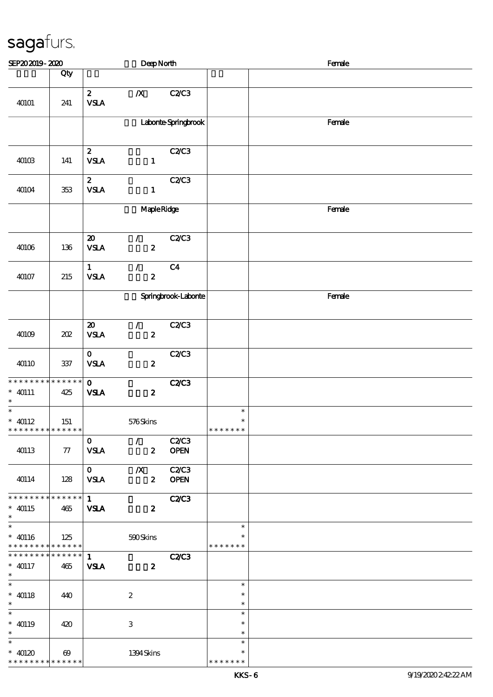| SEP202019-2020                                                |                                      |                                          | DeepNorth                                       |                             |                                   | Female |
|---------------------------------------------------------------|--------------------------------------|------------------------------------------|-------------------------------------------------|-----------------------------|-----------------------------------|--------|
|                                                               | Qty                                  |                                          |                                                 |                             |                                   |        |
| 40101                                                         | 241                                  | $\boldsymbol{z}$<br><b>VSLA</b>          | $\boldsymbol{X}$                                | <b>C2/C3</b>                |                                   |        |
|                                                               |                                      |                                          |                                                 | Laborite Springbrook        |                                   | Female |
| 40103                                                         | 141                                  | $\boldsymbol{z}$<br><b>VSLA</b>          | $\mathbf{1}$                                    | C2C3                        |                                   |        |
| 40104                                                         | 353                                  | $\mathbf{z}$<br>${\bf VSA}$              | $\mathbf{1}$                                    | C2C3                        |                                   |        |
|                                                               |                                      | MapleRidge                               |                                                 |                             |                                   | Female |
| 40106                                                         | 136                                  | $\boldsymbol{\mathbf{z}}$<br><b>VSLA</b> | $\mathcal{F}^{\mathcal{F}}$<br>$\boldsymbol{z}$ | C2C3                        |                                   |        |
| 40107                                                         | $215\,$                              | $\mathbf{1}$<br><b>VSLA</b>              | $\mathcal{L}$<br>$\boldsymbol{z}$               | C <sub>4</sub>              |                                   |        |
|                                                               |                                      |                                          |                                                 | Springbrook-Laborite        |                                   | Female |
| 40109                                                         | $202\,$                              | $\pmb{\mathcal{Z}}$<br>${\bf VSA}$       | $\mathcal{F}^{\mathbb{R}}$<br>$\boldsymbol{z}$  | C2C3                        |                                   |        |
| 40110                                                         | $337\,$                              | $\mathbf{O}$<br>${\bf VSA}$              | $\boldsymbol{z}$                                | <b>C2/C3</b>                |                                   |        |
| * * * * * * * * * * * * * *<br>$*$ 40111<br>$\ast$            | 425                                  | $\mathbf{o}$<br><b>VSLA</b>              | $\boldsymbol{z}$                                | <b>C2/C3</b>                |                                   |        |
| $\overline{\ast}$<br>$* 40112$<br>* * * * * * * * * * * * * * | 151                                  |                                          | 576Skins                                        |                             | $\ast$<br>$\ast$<br>* * * * * * * |        |
| 40113                                                         | 77                                   | $\mathbf{O}$<br><b>VSLA</b>              | $\mathcal{F}$<br>$\boldsymbol{z}$               | <b>C2/C3</b><br><b>OPEN</b> |                                   |        |
| 40114                                                         | 128                                  | $\mathbf{O}$<br><b>VSLA</b>              | $\boldsymbol{X}$<br>$\boldsymbol{2}$            | C2C3<br><b>OPEN</b>         |                                   |        |
| * * * * * * * * * * * * * * *<br>$* 40115$<br>$\ast$          | 465                                  | 1<br><b>VSLA</b>                         | $\boldsymbol{z}$                                | <b>C2/C3</b>                |                                   |        |
| $\ast$<br>$* 40116$<br>* * * * * * * * * * * * * *            | 125                                  |                                          | 590Skins                                        |                             | $\ast$<br>$\ast$<br>* * * * * * * |        |
| * * * * * * * * * * * * * *<br>$* 40117$<br>$\ast$            | 465                                  | $\mathbf{1}$<br><b>VSLA</b>              | $\boldsymbol{z}$                                | <b>C2/C3</b>                |                                   |        |
| $\ast$<br>$*$ 40118<br>$\ast$                                 | 440                                  |                                          | $\boldsymbol{2}$                                |                             | $\ast$<br>$\ast$<br>$\ast$        |        |
| $\ast$<br>$* 40119$<br>$\ast$                                 | 420                                  |                                          | 3                                               |                             | $\ast$<br>$\ast$<br>$\ast$        |        |
| $\ast$<br>$* 40120$<br>* * * * * * * *                        | $\boldsymbol{\omega}$<br>* * * * * * |                                          | 1394Skins                                       |                             | $\ast$<br>$\ast$<br>* * * * * * * |        |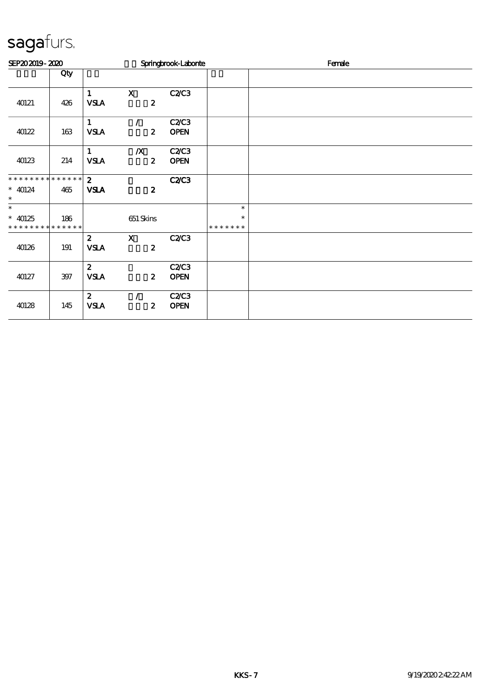| SEP202019-2020                             |         |                             |                                      | Springbrook-Laborie         |                         | Female |
|--------------------------------------------|---------|-----------------------------|--------------------------------------|-----------------------------|-------------------------|--------|
|                                            | Qty     |                             |                                      |                             |                         |        |
| 40121                                      | 426     | $\mathbf{1}$<br><b>VSLA</b> | $\mathbf X$<br>$\boldsymbol{z}$      | C2C3                        |                         |        |
| 40122                                      | $163\,$ | $\mathbf{1}$<br><b>VSLA</b> | $\prime$<br>$\boldsymbol{z}$         | C2/C3<br><b>OPEN</b>        |                         |        |
| 40123                                      | 214     | $\mathbf{1}$<br><b>VSLA</b> | $\boldsymbol{X}$<br>$\boldsymbol{z}$ | C2C3<br><b>OPEN</b>         |                         |        |
| ******** <mark>*******</mark><br>$*$ 40124 | 465     | $\mathbf{z}$<br><b>VSLA</b> | $\boldsymbol{z}$                     | <b>C2/C3</b>                |                         |        |
| $\ast$<br>$\ast$                           |         |                             |                                      |                             | $\ast$                  |        |
| $* 40125$<br>* * * * * * * * * * * * * *   | 186     |                             | 651 Skins                            |                             | $\ast$<br>* * * * * * * |        |
| 40126                                      | 191     | $\mathbf{2}$<br><b>VSLA</b> | $\mathbf{x}$<br>$\boldsymbol{z}$     | <b>C2/C3</b>                |                         |        |
| 40127                                      | $397$   | $\mathbf{z}$<br><b>VSLA</b> | $\boldsymbol{z}$                     | C2/C3<br><b>OPEN</b>        |                         |        |
| 40128                                      | 145     | $\mathbf{z}$<br><b>VSLA</b> | $\mathcal{L}$<br>$\boldsymbol{z}$    | <b>C2/C3</b><br><b>OPEN</b> |                         |        |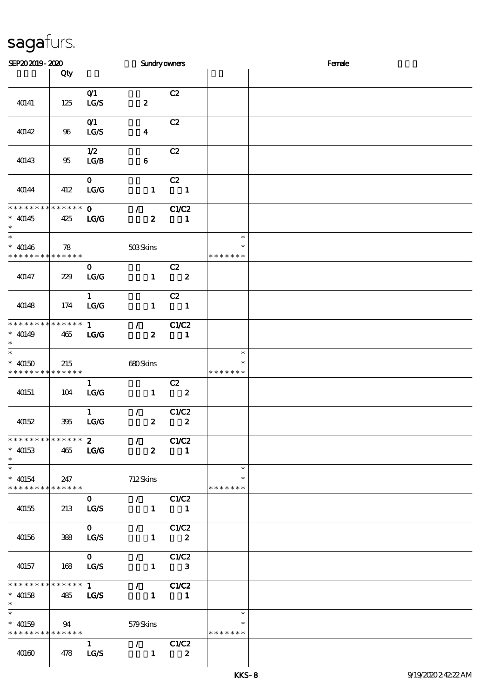| SEP202019-2020                                                               |                        |                      | <b>Sundryowners</b>                                 |                                |                                   | Female |  |  |  |
|------------------------------------------------------------------------------|------------------------|----------------------|-----------------------------------------------------|--------------------------------|-----------------------------------|--------|--|--|--|
|                                                                              | Qty                    |                      |                                                     |                                |                                   |        |  |  |  |
| 40141                                                                        | 125                    | O(1)<br>LG/S         | $\boldsymbol{z}$                                    | C2                             |                                   |        |  |  |  |
| 40142                                                                        | 96                     | O(1)<br>LG/S         | $\boldsymbol{4}$                                    | C2                             |                                   |        |  |  |  |
| 40143                                                                        | 95                     | 1/2<br>LG/B          | $\bf 6$                                             | C2                             |                                   |        |  |  |  |
| 40144                                                                        | 412                    | $\mathbf{O}$<br>LG/G | $\mathbf{1}$                                        | C2<br>$\overline{\phantom{a}}$ |                                   |        |  |  |  |
| * * * * * * * * * * * * * *<br>$* 40145$<br>$\ast$                           | 425                    | $\mathbf{O}$<br>LG   | $\mathcal{L}$<br>$\boldsymbol{z}$                   | C1/C2<br>$\mathbf{1}$          |                                   |        |  |  |  |
| $\overline{\ast}$<br>$* 40146$<br>* * * * * * * * <mark>* * * * * * *</mark> | 78                     |                      | 503Skins                                            |                                | $\ast$<br>$\ast$<br>* * * * * * * |        |  |  |  |
| 40147                                                                        | 229                    | $\mathbf{O}$<br>LG/G | $\mathbf{1}$                                        | C2<br>$\overline{\mathbf{2}}$  |                                   |        |  |  |  |
| 40148                                                                        | 174                    | $\mathbf{1}$<br>LG/G | $\mathbf{1}$                                        | C2<br>$\overline{\phantom{a}}$ |                                   |        |  |  |  |
| **************<br>$* 40149$<br>$\ast$                                        | 465                    | $\mathbf{1}$<br>LG   | $\mathcal{T}^{\pm}$<br>$\boldsymbol{z}$             | C1/C2<br>$\blacksquare$        |                                   |        |  |  |  |
| $\ast$<br>$* 40150$<br>* * * * * * * *                                       | 215<br>* * * * * *     |                      | 680Skins                                            |                                | $\ast$<br>$\ast$<br>* * * * * * * |        |  |  |  |
| 40151                                                                        | 104                    | $\mathbf{1}$<br>LG/G | $\mathbf{1}$                                        | C2<br>$\overline{\mathbf{2}}$  |                                   |        |  |  |  |
| 40152                                                                        | 395                    | $\mathbf{1}$<br>LG/G | $\mathcal{F}$<br>$\boldsymbol{z}$                   | C1/C2<br>$\boldsymbol{z}$      |                                   |        |  |  |  |
| * * * * * * * * * * * * * * *<br>$*$ 40153<br>$\ast$                         | 465                    | $\mathbf{2}$<br>LCC  | $\mathcal{F}$ and $\mathcal{F}$<br>$\boldsymbol{z}$ | C1/C2<br>1                     |                                   |        |  |  |  |
| $\ast$<br>$* 40154$<br>* * * * * * * *                                       | 247<br>$* * * * * * *$ |                      | 712Skins                                            |                                | $\ast$<br>$\ast$<br>* * * * * * * |        |  |  |  |
| 40155                                                                        | 213                    | $\mathbf{0}$<br>LG/S | $\mathcal{L}$ and $\mathcal{L}$<br>$\mathbf{1}$     | C1/C2<br>$\blacksquare$        |                                   |        |  |  |  |
| 40156                                                                        | 388                    | $\mathbf{0}$<br>LG/S | $\mathcal{T}^{\pm}$<br>$\mathbf{1}$                 | C1/C2<br>$\boldsymbol{z}$      |                                   |        |  |  |  |
| 40157                                                                        | 168                    | $\mathbf{O}$<br>LG/S | $\mathcal{L}$<br>$\mathbf{1}$                       | C1/C2<br>$\mathbf{3}$          |                                   |        |  |  |  |
| ************** 1<br>$* 40158$<br>$\ast$                                      | 485                    | <b>LG/S</b>          | $\mathcal{T}$ and $\mathcal{T}$<br>$\mathbf{1}$     | C1/C2<br>$\mathbf{1}$          |                                   |        |  |  |  |
| $\ast$<br>$* 40159$<br>* * * * * * * * * * * * * *                           | 94                     |                      | 579Skins                                            |                                | $\ast$<br>* * * * * * *           |        |  |  |  |
| 40160                                                                        | 478                    | $\mathbf{1}$<br>LG/S | $\mathcal{L}$ and $\mathcal{L}$<br>$\mathbf{1}$     | C1/C2<br>$\boldsymbol{z}$      |                                   |        |  |  |  |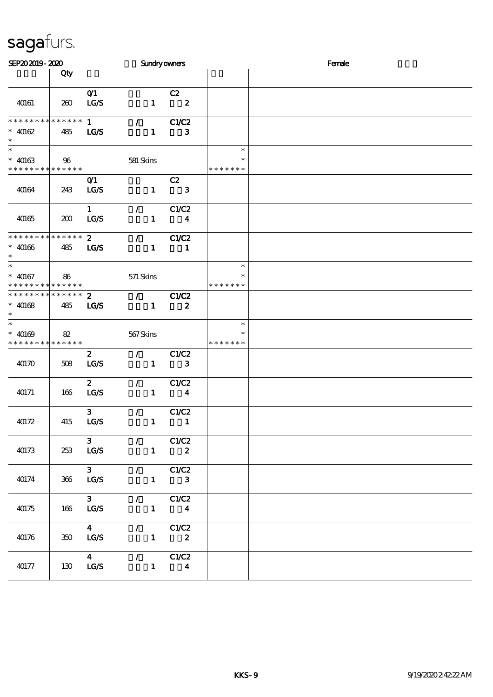| SEP202019-2020                                                               |     |                                 |                                 | <b>Sundryowners</b>                                       |                         |                                   | Female |
|------------------------------------------------------------------------------|-----|---------------------------------|---------------------------------|-----------------------------------------------------------|-------------------------|-----------------------------------|--------|
|                                                                              | Qty |                                 |                                 |                                                           |                         |                                   |        |
| 40161                                                                        | 260 | O(1)<br>LG/S                    |                                 | C2<br>$\mathbf{1}$<br>$\overline{\mathbf{z}}$             |                         |                                   |        |
| * * * * * * * * * * * * * *<br>$* 40162$<br>$\ast$                           | 485 | $\mathbf{1}$<br><b>LG/S</b>     | $\mathcal{L}$ and $\mathcal{L}$ | C1/C2<br>$\mathbf{1}$                                     | $\mathbf{3}$            |                                   |        |
| $\ast$<br>$* 40163$<br>* * * * * * * * <mark>* * * * * * *</mark>            | 96  |                                 | 581 Skins                       |                                                           |                         | $\ast$<br>* * * * * * *           |        |
| 40164                                                                        | 243 | O(1)<br>LCS                     |                                 | C2<br>$\mathbf{1}$                                        | 3                       |                                   |        |
| 40165                                                                        | 200 | $\mathbf{1}$<br><b>LG/S</b>     | $\mathcal{L}$                   | C1/C2<br>$\mathbf{1}$                                     | $\overline{\mathbf{4}}$ |                                   |        |
| * * * * * * * * * * * * * *<br>$* 40166$<br>$\ast$                           | 485 | $\mathbf{2}$<br>LGS             | $\mathcal{F}$                   | C1/C2<br>$\mathbf{1}$                                     | $\mathbf{1}$            |                                   |        |
| $\ast$<br>$* 40167$<br>* * * * * * * * * * * * * *                           | 86  |                                 | 571 Skins                       |                                                           |                         | $\ast$<br>$\ast$<br>* * * * * * * |        |
| * * * * * * * * * * * * * *<br>$* 40168$<br>$\ast$                           | 485 | $\mathbf{2}$<br><b>LG/S</b>     | $\mathcal{T}=\mathcal{F}$       | C1/C2<br>$\mathbf{1}$                                     | $\boldsymbol{z}$        |                                   |        |
| $\overline{\ast}$<br>$* 40169$<br>* * * * * * * * <mark>* * * * * * *</mark> | 82  |                                 | 567Skins                        |                                                           |                         | $\ast$<br>$\ast$<br>* * * * * * * |        |
| 40170                                                                        | 508 | $\boldsymbol{2}$<br>LCS         | $\mathcal{L}$                   | C1/C2<br>$\mathbf{1}$                                     | 3                       |                                   |        |
| 40171                                                                        | 166 | $\mathbf{z}$<br>LG/S            | $\mathcal{L}$                   | C1/C2<br>$\mathbf{1}$                                     | $\overline{\mathbf{4}}$ |                                   |        |
| 40172                                                                        | 415 | 3 <sup>1</sup><br>LG/S          | $\mathcal{L}$                   | C1/C2<br>$\mathbf{1}$                                     | $\mathbf{1}$            |                                   |        |
| 40173                                                                        | 253 | 3 <sup>1</sup><br>LCS           |                                 | $\sqrt{C1/C2}$<br>$\mathbf{1}$<br>$\overline{\mathbf{2}}$ |                         |                                   |        |
| 40174                                                                        | 366 | 3 <sup>7</sup><br>LG/S          | $\mathcal{L}$ and $\mathcal{L}$ | C1/C2<br>$1 -$                                            | $\mathbf{3}$            |                                   |        |
| 40175                                                                        | 166 | 3 <sup>1</sup><br>LG/S          |                                 | $\sqrt{C1/C2}$<br>$1 \qquad \qquad 4$                     |                         |                                   |        |
| 40176                                                                        | 350 | $4\overline{ }$<br>LG/S         |                                 | $\sqrt{C1/C2}$<br>$1 \t2$                                 |                         |                                   |        |
| 40177                                                                        | 130 | $\overline{\mathbf{4}}$<br>LG/S |                                 | $\sqrt{C1/C2}$<br>$1 \qquad \qquad$                       | $\boldsymbol{4}$        |                                   |        |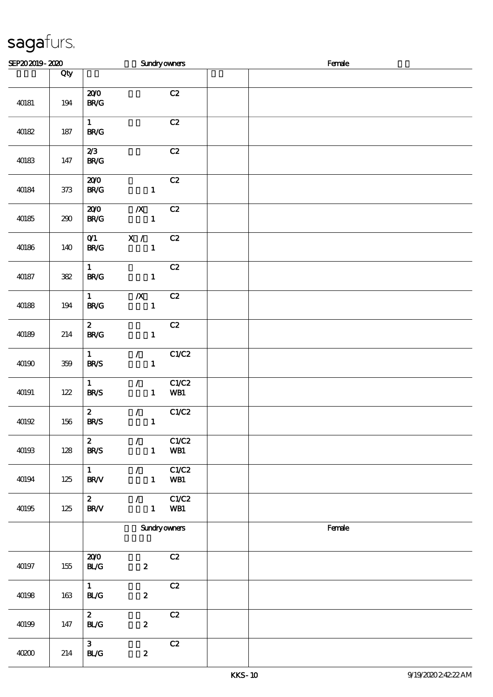| SEP202019-2020 |                             |                                                            | <b>Sundryowners</b>          | Female |  |
|----------------|-----------------------------|------------------------------------------------------------|------------------------------|--------|--|
|                | Qty                         |                                                            |                              |        |  |
| 40181          | 194                         | 200<br>$\mathbf{B}\mathbf{R}/\mathbf{G}$                   | C2                           |        |  |
| 40182          | 187                         | $1 -$<br><b>BR/G</b>                                       | C2                           |        |  |
| 40183          | 147                         | 2/3<br>B R/G                                               | C2                           |        |  |
| 40184          | $37\!\!3$                   | 200<br>BRC                                                 | C2<br>$\mathbf{1}$           |        |  |
| 40185          | $290\,$                     | $\boldsymbol{X}$<br>200<br><b>BR/G</b>                     | C2<br>$\mathbf{1}$           |        |  |
| 40186          | 140                         | $\mathbf{X}$ /<br>O(1)<br>B R / G                          | C2<br>$\mathbf{1}$           |        |  |
| 40187          | $3\hskip-2pt 3\hskip-2pt 2$ | $\mathbf{1}$<br><b>BR/G</b>                                | C2<br>$\mathbf{1}$           |        |  |
| 40188          | $194$                       | $\boldsymbol{X}$<br>$\mathbf{1}$<br><b>BR/G</b>            | C2<br>$\mathbf{1}$           |        |  |
| 40189          | 214                         | $\mathbf{z}$<br>B R / G                                    | C2<br>$\mathbf{1}$           |        |  |
| 40190          | 359                         | $\mathcal{L}$<br>$\mathbf{1}$<br><b>BR/S</b>               | C1/C2<br>$\mathbf{1}$        |        |  |
| 40191          | 122                         | $\mathcal{L}$<br>$\mathbf{1}$<br><b>BR/S</b>               | C1/C2<br>$\mathbf{1}$<br>WB1 |        |  |
| 40192          | 156                         | $\mathbf{z}$<br>$\mathcal{F}^{\mathcal{F}}$<br><b>BR/S</b> | C1/C2<br>$\mathbf{1}$        |        |  |
| 40193          | 128                         | $\boldsymbol{z}$<br>$\mathcal{L}$<br><b>BR/S</b>           | C1/C2<br>WB1<br>$1 -$        |        |  |
| 40194          | $125\,$                     | $1 -$<br>$\mathcal{L}$<br><b>BR/V</b>                      | CLC2<br>$\mathbf{1}$<br>WB1  |        |  |
| 40195          | 125                         | $2^{\circ}$<br>$\mathcal{L}$<br><b>BR/V</b>                | C1/C2<br>$1 -$<br>WB1        |        |  |
|                |                             |                                                            | <b>Sundry owners</b>         | Female |  |
| 40197          | 155                         | 200<br>BLG<br>$\boldsymbol{2}$                             | C2                           |        |  |
| 40198          | 163                         | $\mathbf{1}$<br><b>BL/G</b><br>$\pmb{2}$                   | C2                           |        |  |
| 40199          | 147                         | 2 <sup>1</sup><br>BLG<br>$\boldsymbol{z}$                  | C2                           |        |  |
| 40200          | 214                         | 3 <sup>1</sup><br>BLG<br>$\pmb{2}$                         | C2                           |        |  |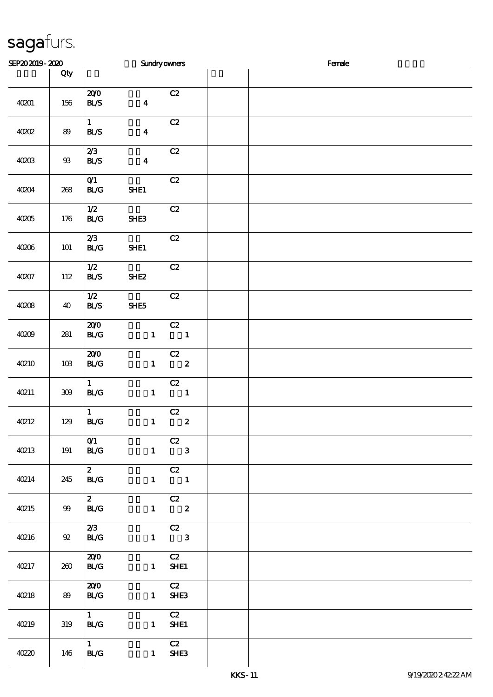| SEP202019-2020 |         |                                       |                  | <b>Sundryowners</b>            | Female |  |  |  |  |
|----------------|---------|---------------------------------------|------------------|--------------------------------|--------|--|--|--|--|
|                | Qty     |                                       |                  |                                |        |  |  |  |  |
| 40201          | 156     | 200<br>BLS                            | $\boldsymbol{4}$ | C2                             |        |  |  |  |  |
| 40002          | 89      | $1 -$<br><b>BL/S</b>                  | $\boldsymbol{4}$ | C2                             |        |  |  |  |  |
| 40203          | $93$    | 2/3<br>BLS                            | $\boldsymbol{4}$ | C2                             |        |  |  |  |  |
| 40204          | 268     | O(1)<br><b>BL/G</b>                   | SHE1             | C2                             |        |  |  |  |  |
| 40205          | 176     | 1/2<br>BLG                            | SHE3             | C2                             |        |  |  |  |  |
| 40206          | 101     | 2/3<br><b>BL/G</b>                    | SHE1             | C2                             |        |  |  |  |  |
| 40207          | 112     | 1/2<br>BLS                            | SHE <sub>2</sub> | $\mathbf{C2}$                  |        |  |  |  |  |
| 4008           | 40      | 1/2<br>BLS                            | SHE5             | C2                             |        |  |  |  |  |
| 40209          | 281     | 200<br>BLG                            | $\mathbf{1}$     | C2<br>$\overline{\phantom{a}}$ |        |  |  |  |  |
| <b>40210</b>   | $10B$   | 200<br>BLG                            |                  | C2<br>$1 \t 2$                 |        |  |  |  |  |
| 40211          | $309\,$ | 1<br><b>BL/G</b>                      | $\mathbf{1}$     | C2<br>$\overline{\mathbf{1}}$  |        |  |  |  |  |
| 40212          | 129     | $\mathbf{1}$<br>BLG                   | $\mathbf{1}$     | C2<br>$\overline{\mathbf{2}}$  |        |  |  |  |  |
| <b>40213</b>   | 191     | O(1)<br><b>BL/G</b>                   |                  | C2<br>$1 \qquad 3$             |        |  |  |  |  |
| 40214          | 245     | $\mathbf{2}$<br><b>BL/G</b>           |                  | $\overline{C}$<br>$1 \quad 1$  |        |  |  |  |  |
| <b>40215</b>   | 99      | $\mathbf{2}$<br><b>BL/G</b>           |                  | C2<br>$1 \t 2$                 |        |  |  |  |  |
| <b>40216</b>   | 92      | 2/3<br><b>BL/G</b>                    |                  | C2<br>$1 \qquad 3$             |        |  |  |  |  |
| 40217          | 260     | 200<br><b>BL/G</b>                    |                  | C2<br>$1$ SHE1                 |        |  |  |  |  |
| <b>40218</b>   | 89      | 200<br><b>BL/G</b>                    |                  | C2<br>$1$ SHE3                 |        |  |  |  |  |
| 40219          | 319     | $1 \quad$<br><b>BL/G</b>              |                  | C2<br>1 <b>SHE1</b>            |        |  |  |  |  |
| 4020           | 146     | $1 \quad \blacksquare$<br><b>BL/G</b> |                  | C2<br>1 SHE3                   |        |  |  |  |  |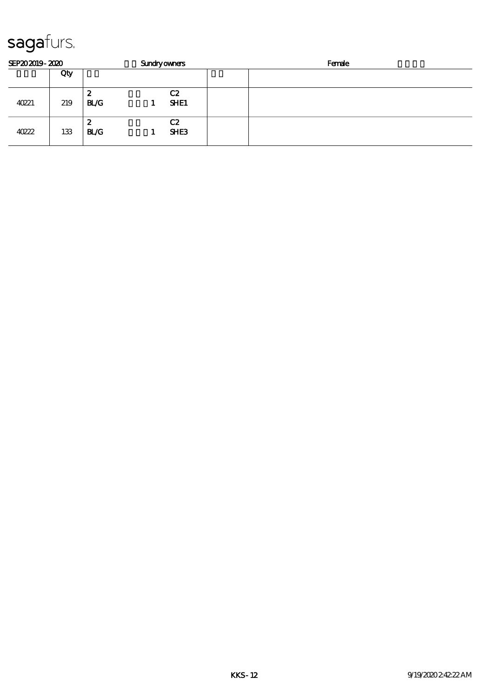| SEP202019-2020 |     |          | <b>Sundryowners</b> |                        | Female |
|----------------|-----|----------|---------------------|------------------------|--------|
|                | Qty |          |                     |                        |        |
| 40221          | 219 | 2<br>BLG |                     | C2<br>SHE1             |        |
| 40222          | 133 | 2<br>BLG |                     | C2<br>SHE <sub>3</sub> |        |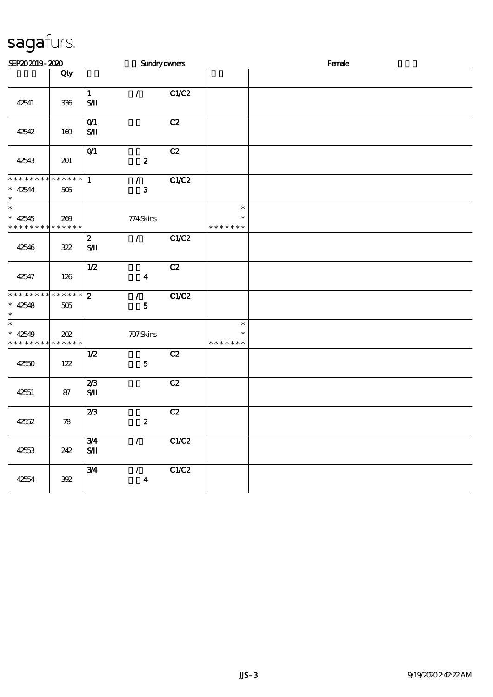| SEP202019-2020                                                                      |     |                                   | <b>Sundryowners</b>               |       |                                   | Female |  |  |  |  |
|-------------------------------------------------------------------------------------|-----|-----------------------------------|-----------------------------------|-------|-----------------------------------|--------|--|--|--|--|
|                                                                                     | Qty |                                   |                                   |       |                                   |        |  |  |  |  |
| 42541                                                                               | 336 | $\mathbf{1}$<br>$S/\mathbf{I}$    | $\mathcal{L}$                     | C1/C2 |                                   |        |  |  |  |  |
| 42542                                                                               | 169 | O(1)<br>SЛ                        |                                   | C2    |                                   |        |  |  |  |  |
| 42543                                                                               | 201 | $O$ <sup><math>1</math></sup>     | $\pmb{2}$                         | C2    |                                   |        |  |  |  |  |
| *************** 1<br>$* 42544$<br>$\ast$                                            | 505 |                                   | $\mathcal{L}$<br>$\mathbf{3}$     | C1/C2 |                                   |        |  |  |  |  |
| $\overline{\phantom{0}}$<br>$* 42545$<br>* * * * * * * * <mark>* * * * * * *</mark> | 269 |                                   | 774Skins                          |       | $\ast$<br>$\ast$<br>* * * * * * * |        |  |  |  |  |
| 42546                                                                               | 322 | $\mathbf{z}$<br>${\bf S} {\bf I}$ | $\mathcal{L}$                     | C1/C2 |                                   |        |  |  |  |  |
| 42547                                                                               | 126 | $1/2$                             | $\boldsymbol{4}$                  | C2    |                                   |        |  |  |  |  |
| * * * * * * * * * * * * * *<br>$* 42548$<br>$\ast$                                  | 505 | $\boldsymbol{z}$                  | $\mathcal{L}$<br>$\mathbf{5}$     | C1/C2 |                                   |        |  |  |  |  |
| $_{\ast}^{-}$<br>$* 42549$<br>* * * * * * * * <mark>* * * * * * *</mark>            | 202 |                                   | 707Skins                          |       | $\ast$<br>$\ast$<br>* * * * * * * |        |  |  |  |  |
| 42550                                                                               | 122 | 1/2                               | ${\bf 5}$                         | C2    |                                   |        |  |  |  |  |
| 42551                                                                               | 87  | 2/3<br>$S/\!\!\!M$                |                                   | C2    |                                   |        |  |  |  |  |
| 42552                                                                               | 78  | 2/3                               | $\pmb{2}$                         | C2    |                                   |        |  |  |  |  |
| 42553                                                                               | 242 | 3/4<br>$\mathbf{S}/\mathbf{I}$    | $\mathcal{L}$                     | C1/C2 |                                   |        |  |  |  |  |
| 42554                                                                               | 392 | 3/4                               | $\mathcal{L}$<br>$\boldsymbol{4}$ | C1/C2 |                                   |        |  |  |  |  |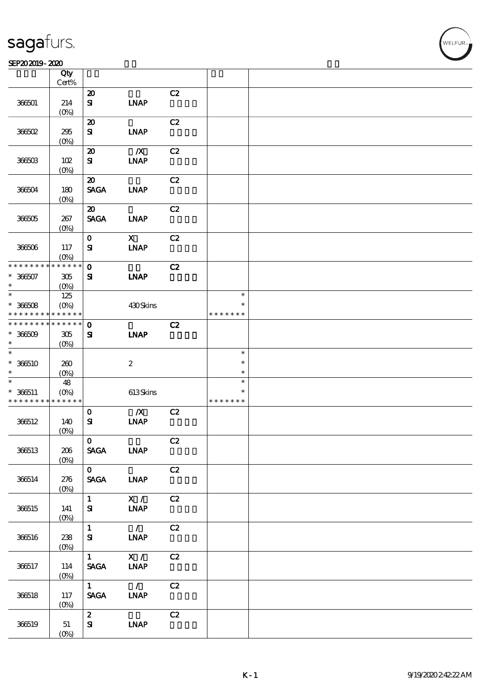#### SEP202019-2020

|                                                                    | Qty<br>$Cert\%$                          |                                                          |                                          |    |                                   |  |
|--------------------------------------------------------------------|------------------------------------------|----------------------------------------------------------|------------------------------------------|----|-----------------------------------|--|
| 366501                                                             | 214<br>(O <sub>0</sub> )                 | $\boldsymbol{\mathbf{z}}$<br>${\bf s}$                   | <b>INAP</b>                              | C2 |                                   |  |
| 36602                                                              | 295<br>(0%                               | $\boldsymbol{\mathfrak{D}}$<br>${\bf s}$                 | <b>LNAP</b>                              | C2 |                                   |  |
| 366503                                                             | 102<br>(0%)                              | $\boldsymbol{\mathbf{z}}$<br>${\bf s}$                   | $\boldsymbol{X}$<br><b>INAP</b>          | C2 |                                   |  |
| 366504                                                             | 180<br>(O <sub>0</sub> )                 | $\boldsymbol{\mathfrak{D}}$<br><b>SAGA</b>               | <b>INAP</b>                              | C2 |                                   |  |
| 36605                                                              | 267<br>$(O\%)$                           | $\boldsymbol{\mathfrak{D}}$<br><b>SAGA</b>               | <b>LNAP</b>                              | C2 |                                   |  |
| 366506                                                             | 117<br>$(O\%)$                           | $\mathbf O$<br>${\bf s}$                                 | $\boldsymbol{\mathrm{X}}$<br><b>INAP</b> | C2 |                                   |  |
| * * * * * * * *<br>$* 36607$<br>$\ast$                             | * * * * * *<br>305<br>(O <sub>0</sub> )  | $\mathbf 0$<br>${\bf s}$                                 | <b>INAP</b>                              | C2 |                                   |  |
| $\ast$<br>$* 36608$<br>* * * * * * * *                             | 125<br>$(O\!/\!\!\delta)$<br>* * * * * * |                                                          | 430Skins                                 |    | $\ast$<br>$\ast$<br>* * * * * * * |  |
| * * * * * * * *<br>$* 36609$<br>$\ast$                             | * * * * * *<br>305<br>$(O\!/\!\!\delta)$ | $\mathbf 0$<br>${\bf s}$                                 | <b>INAP</b>                              | C2 |                                   |  |
| $\ast$<br>$*366510$<br>$\ast$                                      | 260<br>$(O\%)$                           |                                                          | $\boldsymbol{2}$                         |    | $\ast$<br>$\ast$<br>$\ast$        |  |
| $\ast$<br>$* 366511$<br>* * * * * * * * <mark>* * * * * * *</mark> | 48<br>$(0\%)$                            |                                                          | 613Skins                                 |    | $\ast$<br>$\ast$<br>* * * * * * * |  |
| 366512                                                             | 140<br>$(0\%)$                           | $\mathbf 0$<br>${\bf s}$                                 | $\boldsymbol{X}$<br><b>INAP</b>          | C2 |                                   |  |
| 366513                                                             | 206<br>$(0\%)$                           | $\mathbf{O}$<br><b>SAGA</b>                              | <b>LNAP</b>                              | C2 |                                   |  |
| 366514                                                             | 276<br>$(0\%)$                           | $\mathbf{O}$<br><b>SAGA</b>                              | <b>INAP</b>                              | C2 |                                   |  |
| 366515                                                             | 141<br>$(0\%)$                           | $1 \quad \blacksquare$<br>${\bf s}$                      | $\mathbf{X}$ /<br><b>INAP</b>            | C2 |                                   |  |
| 366516                                                             | 238<br>$(0\%)$                           | $\mathbf{1}$<br>$S_{\mathbf{I}}$                         | $\overline{\phantom{a}}$<br><b>LNAP</b>  | C2 |                                   |  |
| 366517                                                             | 114<br>(0%)                              | $1 \quad \blacksquare$<br>$\operatorname{\mathsf{SAGA}}$ | X /<br>$\ensuremath{\mathbf{INAP}}$      | C2 |                                   |  |
| 366518                                                             | 117<br>$(O\%)$                           | 1<br>$\ensuremath{\mathsf{SAGA}}$                        | $\overline{1}$<br><b>INAP</b>            | C2 |                                   |  |
| 366519                                                             | 51<br>$(O\%)$                            | $\mathbf{z}$<br>${\bf s}$                                | <b>INAP</b>                              | C2 |                                   |  |

**NELFUR**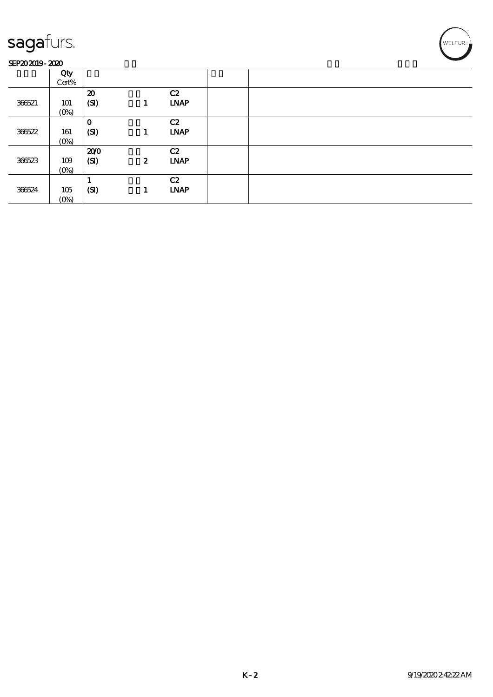#### SEP202019-2020

| .      | ________       |                                   |                  |                   |  |
|--------|----------------|-----------------------------------|------------------|-------------------|--|
|        | Qty<br>Cert%   |                                   |                  |                   |  |
| 36621  | 101<br>$(O\%)$ | $\boldsymbol{\mathbf{z}}$<br>(SI) | 1                | C2<br><b>LNAP</b> |  |
| 366522 | 161<br>$(O\%)$ | $\mathbf 0$<br>(SI)               | 1                | C2<br><b>LNAP</b> |  |
| 366523 | 109<br>$(0\%)$ | 200<br>(SI)                       | $\boldsymbol{z}$ | C2<br><b>LNAP</b> |  |
| 366524 | 105<br>(0%)    | (SI)                              | 1                | C2<br><b>LNAP</b> |  |

WELFUR<sub>T</sub>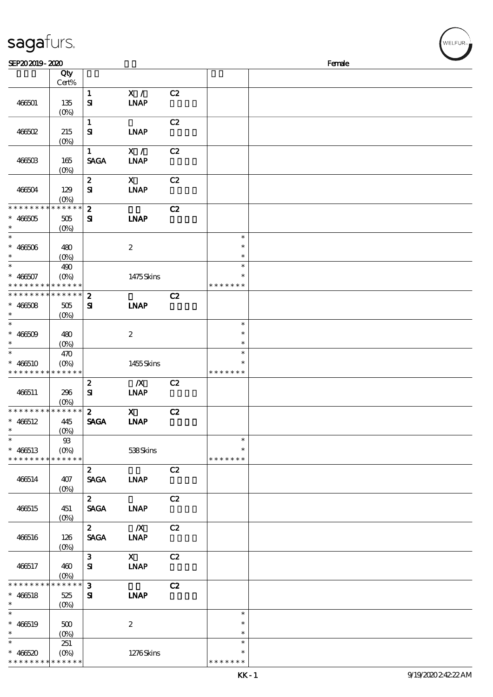| sagafurs.                                           |                                         |                                  |                                                                                                                                                                                                                                                                                                                                              |    |                                      |        |  |
|-----------------------------------------------------|-----------------------------------------|----------------------------------|----------------------------------------------------------------------------------------------------------------------------------------------------------------------------------------------------------------------------------------------------------------------------------------------------------------------------------------------|----|--------------------------------------|--------|--|
| SEP202019-2020                                      |                                         |                                  |                                                                                                                                                                                                                                                                                                                                              |    |                                      | Female |  |
|                                                     | Qty<br>Cert%                            |                                  |                                                                                                                                                                                                                                                                                                                                              |    |                                      |        |  |
| 466501                                              | 135<br>$(0\%)$                          | $\mathbf{1}$<br>${\bf s}$        | X /<br><b>INAP</b>                                                                                                                                                                                                                                                                                                                           | C2 |                                      |        |  |
| 466502                                              | 215<br>(O <sub>0</sub> )                | $\mathbf{1}$<br>${\bf s}$        | <b>LNAP</b>                                                                                                                                                                                                                                                                                                                                  | C2 |                                      |        |  |
| $466603$                                            | 165<br>(O <sub>0</sub> )                | $\mathbf{1}$<br><b>SAGA</b>      | X /<br><b>INAP</b>                                                                                                                                                                                                                                                                                                                           | C2 |                                      |        |  |
| 466504                                              | 129<br>$(O\!/\!\!\delta)$               | $\boldsymbol{z}$<br>${\bf S\!I}$ | $\mathbf x$<br><b>INAP</b>                                                                                                                                                                                                                                                                                                                   | C2 |                                      |        |  |
| * * * * * * * *<br>$* 466005$<br>$\ast$             | * * * * * *<br>505<br>(O <sub>0</sub> ) | $\boldsymbol{z}$<br>$\mathbf{S}$ | <b>LNAP</b>                                                                                                                                                                                                                                                                                                                                  | C2 |                                      |        |  |
| $\ast$<br>$* 466506$<br>$\ast$<br>$\ast$            | 480<br>$(O\%)$                          |                                  | $\boldsymbol{2}$                                                                                                                                                                                                                                                                                                                             |    | $\ast$<br>$\ast$<br>$\ast$<br>$\ast$ |        |  |
| $* 466507$                                          | 490<br>$(O\%)$<br>* * * * * * * * * * * |                                  | 1475Skins                                                                                                                                                                                                                                                                                                                                    |    | $\ast$<br>* * * * * * *              |        |  |
| * * * * * * * *<br>$* 466508$<br>$\ast$             | * * * * * *<br>505<br>(O <sub>0</sub> ) | $\boldsymbol{2}$<br>${\bf s}$    | <b>INAP</b>                                                                                                                                                                                                                                                                                                                                  | C2 |                                      |        |  |
| $\ast$<br>$* 466509$                                | 480<br>$(O\%)$                          |                                  | $\boldsymbol{2}$                                                                                                                                                                                                                                                                                                                             |    | $\ast$<br>$\ast$<br>$\ast$           |        |  |
| $\ast$<br>$* 466510$<br>* * * * * * * * * * * * *   | 470<br>$(O\%)$                          |                                  | 1455Skins                                                                                                                                                                                                                                                                                                                                    |    | $\ast$<br>$\ast$<br>* * * * * * *    |        |  |
| 466511                                              | 296<br>$(0\%)$                          | $\boldsymbol{2}$<br>${\bf S}$    | $\boldsymbol{X}$<br><b>INAP</b>                                                                                                                                                                                                                                                                                                              | C2 |                                      |        |  |
| * * * * * * * * * * * * * *<br>$* 466512$<br>$\ast$ | 445<br>(0%)                             | $\overline{\mathbf{z}}$          | $\mathbf x$ and $\mathbf x$ and $\mathbf x$ and $\mathbf x$ and $\mathbf x$ and $\mathbf x$ and $\mathbf x$ and $\mathbf x$ and $\mathbf x$ and $\mathbf x$ and $\mathbf x$ and $\mathbf x$ and $\mathbf x$ and $\mathbf x$ and $\mathbf x$ and $\mathbf x$ and $\mathbf x$ and $\mathbf x$ and $\mathbf x$ and $\mathbf x$ and<br>SAGA LNAP | C2 |                                      |        |  |
| $\ast$<br>$* 466513$<br>* * * * * * * * * * * * * * | 93<br>$(O\!\!\!\!\!\!\!/\,\!o)$         |                                  | 538Skins                                                                                                                                                                                                                                                                                                                                     |    | $\ast$<br>* * * * * * *              |        |  |
| 466514                                              | 407<br>$(O\%)$                          | $2^{\circ}$<br><b>SAGA</b>       | <b>LNAP</b>                                                                                                                                                                                                                                                                                                                                  | C2 |                                      |        |  |
| 466515                                              | 451<br>$(0\%)$                          | $\mathbf{2}$<br><b>SAGA</b>      | <b>INAP</b>                                                                                                                                                                                                                                                                                                                                  | C2 |                                      |        |  |
| 466516                                              | 126<br>$(O\%)$                          | $\mathbf{2}$<br><b>SAGA</b>      | $\mathbf{X}$<br><b>INAP</b>                                                                                                                                                                                                                                                                                                                  | C2 |                                      |        |  |
| 466517                                              | 460<br>$(O_0)$                          | 3 <sub>1</sub><br>${\bf s}$      | $\mathbf{X}$<br><b>INAP</b>                                                                                                                                                                                                                                                                                                                  | C2 |                                      |        |  |
| * * * * * * * *<br>$* 466518$<br>$\ast$             | $******$<br>525<br>$(O\%)$              | $\mathbf{3}$<br>${\bf s}$        | <b>INAP</b>                                                                                                                                                                                                                                                                                                                                  | C2 |                                      |        |  |
| $\ast$<br>$* 466519$<br>$\ast$                      | 500<br>$(O\%)$                          |                                  | $\boldsymbol{2}$                                                                                                                                                                                                                                                                                                                             |    | $\ast$<br>$\ast$<br>$\ast$           |        |  |
| $\ast$<br>$* 466520$                                | 251<br>$(O\%)$                          |                                  | 1276Skins                                                                                                                                                                                                                                                                                                                                    |    | $\ast$<br>$\ast$                     |        |  |

\* \* \* \* \* \*

\*\* <sup>466520</sup> \* \* \* \* \* \*

\* \* \* \* \* \* \*

(0%) 1276 Skins